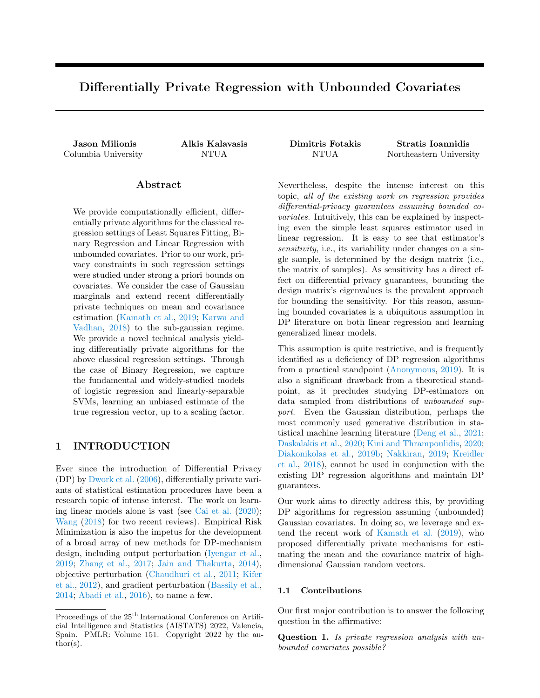# Differentially Private Regression with Unbounded Covariates

### Abstract

We provide computationally efficient, differentially private algorithms for the classical regression settings of Least Squares Fitting, Binary Regression and Linear Regression with unbounded covariates. Prior to our work, privacy constraints in such regression settings were studied under strong a priori bounds on covariates. We consider the case of Gaussian marginals and extend recent differentially private techniques on mean and covariance estimation [\(Kamath et al.,](#page-10-0) [2019;](#page-10-0) [Karwa and](#page-10-1) [Vadhan,](#page-10-1) [2018\)](#page-10-1) to the sub-gaussian regime. We provide a novel technical analysis yielding differentially private algorithms for the above classical regression settings. Through the case of Binary Regression, we capture the fundamental and widely-studied models of logistic regression and linearly-separable SVMs, learning an unbiased estimate of the true regression vector, up to a scaling factor.

# 1 INTRODUCTION

Ever since the introduction of Differential Privacy (DP) by [Dwork et al.](#page-10-2) [\(2006\)](#page-10-2), differentially private variants of statistical estimation procedures have been a research topic of intense interest. The work on learning linear models alone is vast (see [Cai et al.](#page-9-0) [\(2020\)](#page-9-0); [Wang](#page-11-0) [\(2018\)](#page-11-0) for two recent reviews). Empirical Risk Minimization is also the impetus for the development of a broad array of new methods for DP-mechanism design, including output perturbation [\(Iyengar et al.,](#page-10-3) [2019;](#page-10-3) [Zhang et al.,](#page-11-1) [2017;](#page-11-1) [Jain and Thakurta,](#page-10-4) [2014\)](#page-10-4), objective perturbation [\(Chaudhuri et al.,](#page-9-1) [2011;](#page-9-1) [Kifer](#page-10-5) [et al.,](#page-10-5) [2012\)](#page-10-5), and gradient perturbation [\(Bassily et al.,](#page-9-2) [2014;](#page-9-2) [Abadi et al.,](#page-8-0) [2016\)](#page-8-0), to name a few.

Jason Milionis Alkis Kalavasis Dimitris Fotakis Stratis Ioannidis Columbia University NTUA NTUA Northeastern University

> Nevertheless, despite the intense interest on this topic, all of the existing work on regression provides differential-privacy guarantees assuming bounded covariates. Intuitively, this can be explained by inspecting even the simple least squares estimator used in linear regression. It is easy to see that estimator's sensitivity, i.e., its variability under changes on a single sample, is determined by the design matrix (i.e., the matrix of samples). As sensitivity has a direct effect on differential privacy guarantees, bounding the design matrix's eigenvalues is the prevalent approach for bounding the sensitivity. For this reason, assuming bounded covariates is a ubiquitous assumption in DP literature on both linear regression and learning generalized linear models.

> This assumption is quite restrictive, and is frequently identified as a deficiency of DP regression algorithms from a practical standpoint [\(Anonymous,](#page-8-1) [2019\)](#page-8-1). It is also a significant drawback from a theoretical standpoint, as it precludes studying DP-estimators on data sampled from distributions of unbounded support. Even the Gaussian distribution, perhaps the most commonly used generative distribution in statistical machine learning literature [\(Deng et al.,](#page-9-3) [2021;](#page-9-3) [Daskalakis et al.,](#page-9-4) [2020;](#page-9-4) [Kini and Thrampoulidis,](#page-10-6) [2020;](#page-10-6) [Diakonikolas et al.,](#page-9-5) [2019b;](#page-9-5) [Nakkiran,](#page-11-2) [2019;](#page-11-2) [Kreidler](#page-10-7) [et al.,](#page-10-7) [2018\)](#page-10-7), cannot be used in conjunction with the existing DP regression algorithms and maintain DP guarantees.

> Our work aims to directly address this, by providing DP algorithms for regression assuming (unbounded) Gaussian covariates. In doing so, we leverage and extend the recent work of [Kamath et al.](#page-10-0) [\(2019\)](#page-10-0), who proposed differentially private mechanisms for estimating the mean and the covariance matrix of highdimensional Gaussian random vectors.

### 1.1 Contributions

Our first major contribution is to answer the following question in the affirmative:

Question 1. Is private regression analysis with unbounded covariates possible?

Proceedings of the 25<sup>th</sup> International Conference on Artificial Intelligence and Statistics (AISTATS) 2022, Valencia, Spain. PMLR: Volume 151. Copyright 2022 by the au- $\text{thor}(s)$ .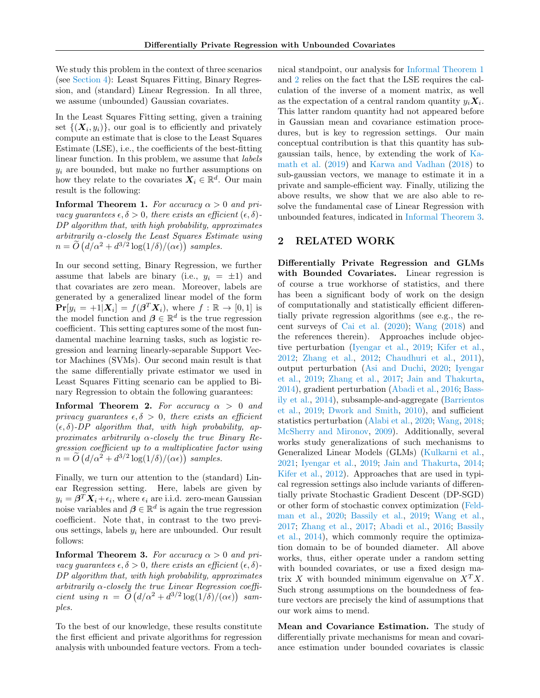We study this problem in the context of three scenarios (see [Section 4\)](#page-3-0): Least Squares Fitting, Binary Regression, and (standard) Linear Regression. In all three, we assume (unbounded) Gaussian covariates.

In the Least Squares Fitting setting, given a training set  $\{(\boldsymbol{X}_i, y_i)\}\$ , our goal is to efficiently and privately compute an estimate that is close to the Least Squares Estimate (LSE), i.e., the coefficients of the best-fitting linear function. In this problem, we assume that labels  $y_i$  are bounded, but make no further assumptions on how they relate to the covariates  $X_i \in \mathbb{R}^d$ . Our main result is the following:

<span id="page-1-0"></span>**Informal Theorem 1.** For accuracy  $\alpha > 0$  and privacy guarantees  $\epsilon, \delta > 0$ , there exists an efficient  $(\epsilon, \delta)$ -DP algorithm that, with high probability, approximates arbitrarily  $\alpha$ -closely the Least Squares Estimate using  $n = \tilde{O}\left(d/\alpha^2 + d^{3/2}\log(1/\delta)/(\alpha\epsilon)\right)$  samples.

In our second setting, Binary Regression, we further assume that labels are binary (i.e.,  $y_i = \pm 1$ ) and that covariates are zero mean. Moreover, labels are generated by a generalized linear model of the form  $\Pr[y_i = +1 | X_i] = f(\boldsymbol{\beta}^T X_i)$ , where  $f : \mathbb{R} \to [0,1]$  is the model function and  $\boldsymbol{\beta} \in \mathbb{R}^d$  is the true regression coefficient. This setting captures some of the most fundamental machine learning tasks, such as logistic regression and learning linearly-separable Support Vector Machines (SVMs). Our second main result is that the same differentially private estimator we used in Least Squares Fitting scenario can be applied to Binary Regression to obtain the following guarantees:

<span id="page-1-1"></span>**Informal Theorem 2.** For accuracy  $\alpha > 0$  and privacy guarantees  $\epsilon, \delta > 0$ , there exists an efficient  $(\epsilon, \delta)$ -DP algorithm that, with high probability, approximates arbitrarily  $\alpha$ -closely the true Binary Regression coefficient up to a multiplicative factor using  $n = \tilde{O}\left(d/\alpha^2 + d^{3/2}\log(1/\delta)/(\alpha\epsilon)\right)$  samples.

Finally, we turn our attention to the (standard) Linear Regression setting. Here, labels are given by  $y_i = \boldsymbol{\beta}^T \boldsymbol{X}_i + \epsilon_i$ , where  $\epsilon_i$  are i.i.d. zero-mean Gaussian noise variables and  $\boldsymbol{\beta} \in \mathbb{R}^d$  is again the true regression coefficient. Note that, in contrast to the two previous settings, labels  $y_i$  here are unbounded. Our result follows:

<span id="page-1-2"></span>**Informal Theorem 3.** For accuracy  $\alpha > 0$  and privacy quarantees  $\epsilon, \delta > 0$ , there exists an efficient  $(\epsilon, \delta)$ -DP algorithm that, with high probability, approximates arbitrarily  $\alpha$ -closely the true Linear Regression coefficient using  $n = \widetilde{O}\left(\frac{d}{\alpha^2} + \frac{d^{3/2} \log(1/\delta)}{(\alpha \epsilon)}\right)$  samples.

To the best of our knowledge, these results constitute the first efficient and private algorithms for regression analysis with unbounded feature vectors. From a technical standpoint, our analysis for [Informal Theorem 1](#page-1-0) and [2](#page-1-1) relies on the fact that the LSE requires the calculation of the inverse of a moment matrix, as well as the expectation of a central random quantity  $y_i \mathbf{X}_i$ . This latter random quantity had not appeared before in Gaussian mean and covariance estimation procedures, but is key to regression settings. Our main conceptual contribution is that this quantity has subgaussian tails, hence, by extending the work of [Ka](#page-10-0)[math et al.](#page-10-0) [\(2019\)](#page-10-0) and [Karwa and Vadhan](#page-10-1) [\(2018\)](#page-10-1) to sub-gaussian vectors, we manage to estimate it in a private and sample-efficient way. Finally, utilizing the above results, we show that we are also able to resolve the fundamental case of Linear Regression with unbounded features, indicated in [Informal Theorem 3.](#page-1-2)

## 2 RELATED WORK

Differentially Private Regression and GLMs with Bounded Covariates. Linear regression is of course a true workhorse of statistics, and there has been a significant body of work on the design of computationally and statistically efficient differentially private regression algorithms (see e.g., the recent surveys of [Cai et al.](#page-9-0) [\(2020\)](#page-9-0); [Wang](#page-11-0) [\(2018\)](#page-11-0) and the references therein). Approaches include objective perturbation [\(Iyengar et al.,](#page-10-3) [2019;](#page-10-3) [Kifer et al.,](#page-10-5) [2012;](#page-10-5) [Zhang et al.,](#page-11-3) [2012;](#page-11-3) [Chaudhuri et al.,](#page-9-1) [2011\)](#page-9-1), output perturbation [\(Asi and Duchi,](#page-9-6) [2020;](#page-9-6) [Iyengar](#page-10-3) [et al.,](#page-10-3) [2019;](#page-10-3) [Zhang et al.,](#page-11-1) [2017;](#page-11-1) [Jain and Thakurta,](#page-10-4) [2014\)](#page-10-4), gradient perturbation [\(Abadi et al.,](#page-8-0) [2016;](#page-8-0) [Bass](#page-9-2)[ily et al.,](#page-9-2) [2014\)](#page-9-2), subsample-and-aggregate [\(Barrientos](#page-9-7) [et al.,](#page-9-7) [2019;](#page-9-7) [Dwork and Smith,](#page-10-8) [2010\)](#page-10-8), and sufficient statistics perturbation [\(Alabi et al.,](#page-8-2) [2020;](#page-8-2) [Wang,](#page-11-0) [2018;](#page-11-0) [McSherry and Mironov,](#page-11-4) [2009\)](#page-11-4). Additionally, several works study generalizations of such mechanisms to Generalized Linear Models (GLMs) [\(Kulkarni et al.,](#page-10-9) [2021;](#page-10-9) [Iyengar et al.,](#page-10-3) [2019;](#page-10-3) [Jain and Thakurta,](#page-10-4) [2014;](#page-10-4) [Kifer et al.,](#page-10-5) [2012\)](#page-10-5). Approaches that are used in typical regression settings also include variants of differentially private Stochastic Gradient Descent (DP-SGD) or other form of stochastic convex optimization [\(Feld](#page-10-10)[man et al.,](#page-10-10) [2020;](#page-10-10) [Bassily et al.,](#page-9-8) [2019;](#page-9-8) [Wang et al.,](#page-11-5) [2017;](#page-11-5) [Zhang et al.,](#page-11-1) [2017;](#page-11-1) [Abadi et al.,](#page-8-0) [2016;](#page-8-0) [Bassily](#page-9-2) [et al.,](#page-9-2) [2014\)](#page-9-2), which commonly require the optimization domain to be of bounded diameter. All above works, thus, either operate under a random setting with bounded covariates, or use a fixed design matrix X with bounded minimum eigenvalue on  $X<sup>T</sup>X$ . Such strong assumptions on the boundedness of feature vectors are precisely the kind of assumptions that our work aims to mend.

Mean and Covariance Estimation. The study of differentially private mechanisms for mean and covariance estimation under bounded covariates is classic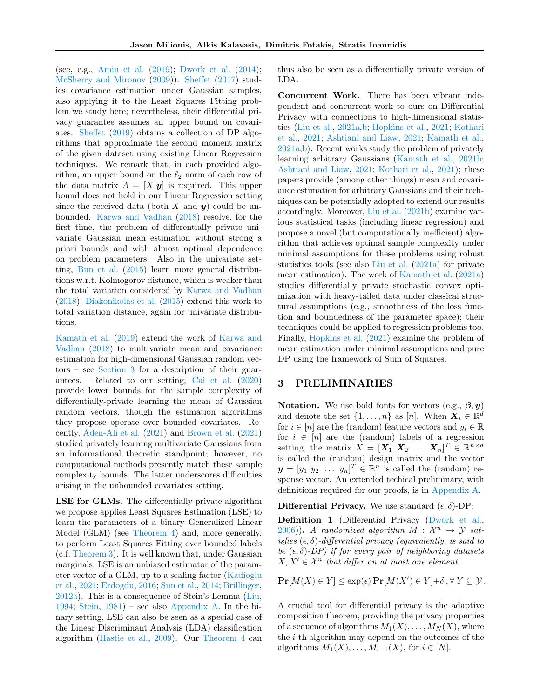(see, e.g., [Amin et al.](#page-8-3) [\(2019\)](#page-8-3); [Dwork et al.](#page-10-11) [\(2014\)](#page-10-11); [McSherry and Mironov](#page-11-4) [\(2009\)](#page-11-4)). [Sheffet](#page-11-6) [\(2017\)](#page-11-6) studies covariance estimation under Gaussian samples, also applying it to the Least Squares Fitting problem we study here; nevertheless, their differential privacy guarantee assumes an upper bound on covariates. [Sheffet](#page-11-7) [\(2019\)](#page-11-7) obtains a collection of DP algorithms that approximate the second moment matrix of the given dataset using existing Linear Regression techniques. We remark that, in each provided algorithm, an upper bound on the  $\ell_2$  norm of each row of the data matrix  $A = [X|y]$  is required. This upper bound does not hold in our Linear Regression setting since the received data (both X and  $y$ ) could be unbounded. [Karwa and Vadhan](#page-10-1) [\(2018\)](#page-10-1) resolve, for the first time, the problem of differentially private univariate Gaussian mean estimation without strong a priori bounds and with almost optimal dependence on problem parameters. Also in the univariate setting, [Bun et al.](#page-9-9) [\(2015\)](#page-9-9) learn more general distributions w.r.t. Kolmogorov distance, which is weaker than the total variation considered by [Karwa and Vadhan](#page-10-1) [\(2018\)](#page-10-1); [Diakonikolas et al.](#page-9-10) [\(2015\)](#page-9-10) extend this work to total variation distance, again for univariate distributions.

[Kamath et al.](#page-10-0) [\(2019\)](#page-10-0) extend the work of [Karwa and](#page-10-1) [Vadhan](#page-10-1) [\(2018\)](#page-10-1) to multivariate mean and covariance estimation for high-dimensional Gaussian random vectors – see [Section 3](#page-2-0) for a description of their guarantees. Related to our setting, [Cai et al.](#page-9-0) [\(2020\)](#page-9-0) provide lower bounds for the sample complexity of differentially-private learning the mean of Gaussian random vectors, though the estimation algorithms they propose operate over bounded covariates. Recently, [Aden-Ali et al.](#page-8-4) [\(2021\)](#page-8-4) and [Brown et al.](#page-9-11) [\(2021\)](#page-9-11) studied privately learning multivariate Gaussians from an informational theoretic standpoint; however, no computational methods presently match these sample complexity bounds. The latter underscores difficulties arising in the unbounded covariates setting.

LSE for GLMs. The differentially private algorithm we propose applies Least Squares Estimation (LSE) to learn the parameters of a binary Generalized Linear Model (GLM) (see [Theorem 4\)](#page-5-0) and, more generally, to perform Least Squares Fitting over bounded labels (c.f. [Theorem 3\)](#page-5-1). It is well known that, under Gaussian marginals, LSE is an unbiased estimator of the parameter vector of a GLM, up to a scaling factor [\(Kadioglu](#page-10-12) [et al.,](#page-10-12) [2021;](#page-10-12) [Erdogdu,](#page-10-13) [2016;](#page-10-13) [Sun et al.,](#page-11-8) [2014;](#page-11-8) [Brillinger,](#page-9-12) [2012a\)](#page-9-12). This is a consequence of Stein's Lemma [\(Liu,](#page-11-9) [1994;](#page-11-9) [Stein,](#page-11-10)  $1981$ ) – see also [Appendix A.](#page-12-0) In the binary setting, LSE can also be seen as a special case of the Linear Discriminant Analysis (LDA) classification algorithm [\(Hastie et al.,](#page-10-14) [2009\)](#page-10-14). Our [Theorem 4](#page-5-0) can thus also be seen as a differentially private version of LDA.

Concurrent Work. There has been vibrant independent and concurrent work to ours on Differential Privacy with connections to high-dimensional statistics [\(Liu et al.,](#page-11-11) [2021a,](#page-11-11)[b;](#page-11-12) [Hopkins et al.,](#page-10-15) [2021;](#page-10-15) [Kothari](#page-10-16) [et al.,](#page-10-16) [2021;](#page-10-16) [Ashtiani and Liaw,](#page-8-5) [2021;](#page-8-5) [Kamath et al.,](#page-10-17) [2021a,](#page-10-17)[b\)](#page-10-18). Recent works study the problem of privately learning arbitrary Gaussians [\(Kamath et al.,](#page-10-18) [2021b;](#page-10-18) [Ashtiani and Liaw,](#page-8-5) [2021;](#page-8-5) [Kothari et al.,](#page-10-16) [2021\)](#page-10-16); these papers provide (among other things) mean and covariance estimation for arbitrary Gaussians and their techniques can be potentially adopted to extend our results accordingly. Moreover, [Liu et al.](#page-11-12) [\(2021b\)](#page-11-12) examine various statistical tasks (including linear regression) and propose a novel (but computationally inefficient) algorithm that achieves optimal sample complexity under minimal assumptions for these problems using robust statistics tools (see also [Liu et al.](#page-11-11) [\(2021a\)](#page-11-11) for private mean estimation). The work of [Kamath et al.](#page-10-17) [\(2021a\)](#page-10-17) studies differentially private stochastic convex optimization with heavy-tailed data under classical structural assumptions (e.g., smoothness of the loss function and boundedness of the parameter space); their techniques could be applied to regression problems too. Finally, [Hopkins et al.](#page-10-15) [\(2021\)](#page-10-15) examine the problem of mean estimation under minimal assumptions and pure DP using the framework of Sum of Squares.

## 3 PRELIMINARIES

Notation. We use bold fonts for vectors (e.g.,  $\beta, y$ ) and denote the set  $\{1, \ldots, n\}$  as  $[n]$ . When  $\boldsymbol{X}_i \in \mathbb{R}^d$ for  $i \in [n]$  are the (random) feature vectors and  $y_i \in \mathbb{R}$ for  $i \in [n]$  are the (random) labels of a regression setting, the matrix  $X = [\mathbf{X}_1 \ \mathbf{X}_2 \ \dots \ \mathbf{X}_n]^T \in \mathbb{R}^{n \times d}$ is called the (random) design matrix and the vector  $y = [y_1 \ y_2 \ \dots \ y_n]^T \in \mathbb{R}^n$  is called the (random) response vector. An extended techical preliminary, with definitions required for our proofs, is in [Appendix A.](#page-12-1)

Differential Privacy. We use standard  $(\epsilon, \delta)$ -DP:

Definition 1 (Differential Privacy [\(Dwork et al.,](#page-10-2)  $(2006)$  $(2006)$ ). A randomized algorithm  $M : \mathcal{X}^n \to \mathcal{Y}$  satisfies  $(\epsilon, \delta)$ -differential privacy (equivalently, is said to be  $(\epsilon, \delta)$ -DP) if for every pair of neighboring datasets  $X, X' \in \mathcal{X}^n$  that differ on at most one element,

$$
\mathbf{Pr}[M(X) \in Y] \le \exp(\epsilon) \mathbf{Pr}[M(X') \in Y] + \delta, \forall Y \subseteq Y.
$$

<span id="page-2-0"></span>A crucial tool for differential privacy is the adaptive composition theorem, providing the privacy properties of a sequence of algorithms  $M_1(X), \ldots, M_N(X)$ , where the  $i$ -th algorithm may depend on the outcomes of the algorithms  $M_1(X), \ldots, M_{i-1}(X)$ , for  $i \in [N]$ .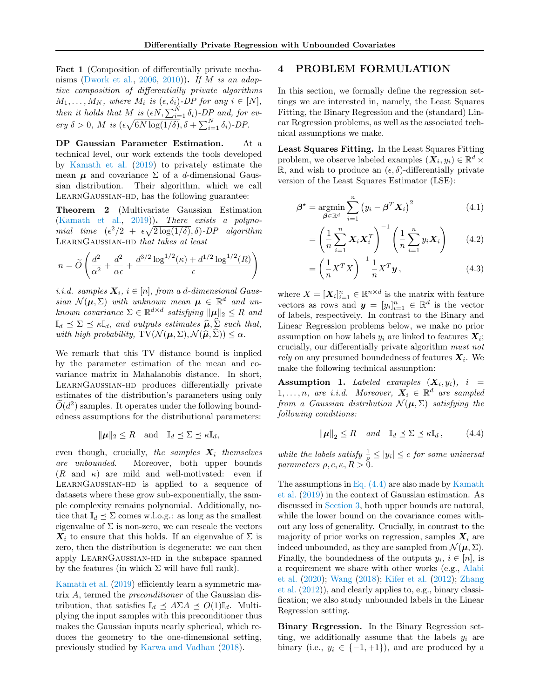Fact 1 (Composition of differentially private mecha-nisms [\(Dwork et al.,](#page-10-2) [2006,](#page-10-2) [2010\)](#page-10-19)). If  $M$  is an adaptive composition of differentially private algorithms  $M_1, \ldots, M_N$ , where  $M_i$  is  $(\epsilon, \delta_i)$ -DP for any  $i \in [N]$ , then it holds that M is  $(\epsilon N, \sum_{i=1}^N \delta_i)$ -DP and, for every  $\delta > 0$ , M is  $(\epsilon \sqrt{6N \log(1/\delta)}, \delta + \sum_{i=1}^{N} \delta_i)$ -DP.

DP Gaussian Parameter Estimation. At a technical level, our work extends the tools developed by [Kamath et al.](#page-10-0) [\(2019\)](#page-10-0) to privately estimate the mean  $\mu$  and covariance  $\Sigma$  of a d-dimensional Gaussian distribution. Their algorithm, which we call LEARNGAUSSIAN-HD, has the following guarantee:

<span id="page-3-5"></span>Theorem 2 (Multivariate Gaussian Estimation [\(Kamath et al.,](#page-10-0) [2019\)](#page-10-0)). There exists a polynomial time  $(\epsilon^2/2 + \epsilon \sqrt{2 \log(1/\delta)}, \delta)$ -DP algorithm LearnGaussian-hd that takes at least

$$
n = \widetilde{O}\left(\frac{d^2}{\alpha^2} + \frac{d^2}{\alpha\epsilon} + \frac{d^{3/2}\log^{1/2}(\kappa) + d^{1/2}\log^{1/2}(R)}{\epsilon}\right)
$$

*i.i.d.* samples  $X_i$ ,  $i \in [n]$ , from a d-dimensional Gaussian  $\mathcal{N}(\mu, \Sigma)$  with unknown mean  $\mu \in \mathbb{R}^d$  and unknown covariance  $\Sigma \in \mathbb{R}^{d \times d}$  satisfying  $\|\boldsymbol{\mu}\|_2 \leq R$  and  $\mathbb{I}_d \preceq \Sigma \preceq \kappa \mathbb{I}_d$ , and outputs estimates  $\widehat{\boldsymbol{\mu}}, \widehat{\boldsymbol{\Sigma}}$  such that, with high probability,  $TV(N(\mu, \Sigma), \mathcal{N}(\hat{\mu}, \hat{\Sigma})) \leq \alpha$ .

We remark that this TV distance bound is implied by the parameter estimation of the mean and covariance matrix in Mahalanobis distance. In short, LearnGaussian-hd produces differentially private estimates of the distribution's parameters using only  $\widetilde{O}(d^2)$  samples. It operates under the following boundedness assumptions for the distributional parameters:

$$
\|\boldsymbol{\mu}\|_2 \leq R \quad \text{and} \quad \mathbb{I}_d \preceq \Sigma \preceq \kappa \mathbb{I}_d,
$$

even though, crucially, the samples  $X_i$  themselves are unbounded. Moreover, both upper bounds  $(R \text{ and } \kappa)$  are mild and well-motivated: even if LearnGaussian-hd is applied to a sequence of datasets where these grow sub-exponentially, the sample complexity remains polynomial. Additionally, notice that  $\mathbb{I}_d \preceq \Sigma$  comes w.l.o.g.: as long as the smallest eigenvalue of  $\Sigma$  is non-zero, we can rescale the vectors  $X_i$  to ensure that this holds. If an eigenvalue of  $\Sigma$  is zero, then the distribution is degenerate: we can then apply LearnGaussian-hd in the subspace spanned by the features (in which  $\Sigma$  will have full rank).

[Kamath et al.](#page-10-0) [\(2019\)](#page-10-0) efficiently learn a symmetric matrix  $A$ , termed the *preconditioner* of the Gaussian distribution, that satisfies  $\mathbb{I}_d \preceq A \Sigma A \preceq O(1) \mathbb{I}_d$ . Multiplying the input samples with this preconditioner thus makes the Gaussian inputs nearly spherical, which reduces the geometry to the one-dimensional setting, previously studied by [Karwa and Vadhan](#page-10-1) [\(2018\)](#page-10-1).

## <span id="page-3-0"></span>4 PROBLEM FORMULATION

In this section, we formally define the regression settings we are interested in, namely, the Least Squares Fitting, the Binary Regression and the (standard) Linear Regression problems, as well as the associated technical assumptions we make.

Least Squares Fitting. In the Least Squares Fitting problem, we observe labeled examples  $(\mathbf{X}_i, y_i) \in \mathbb{R}^d \times$  $\mathbb{R}$ , and wish to produce an  $(\epsilon, \delta)$ -differentially private version of the Least Squares Estimator (LSE):

$$
\beta^* = \underset{\beta \in \mathbb{R}^d}{\text{argmin}} \sum_{i=1}^n (y_i - \beta^T X_i)^2
$$
 (4.1)

<span id="page-3-2"></span>
$$
= \left(\frac{1}{n}\sum_{i=1}^{n} \mathbf{X}_i \mathbf{X}_i^T\right)^{-1} \left(\frac{1}{n}\sum_{i=1}^{n} y_i \mathbf{X}_i\right) \tag{4.2}
$$

<span id="page-3-4"></span>
$$
= \left(\frac{1}{n}X^TX\right)^{-1}\frac{1}{n}X^T\mathbf{y},\tag{4.3}
$$

where  $X = [\mathbf{X}_i]_{i=1}^n \in \mathbb{R}^{n \times d}$  is the matrix with feature vectors as rows and  $\mathbf{y} = [y_i]_{i=1}^n \in \mathbb{R}^d$  is the vector of labels, respectively. In contrast to the Binary and Linear Regression problems below, we make no prior assumption on how labels  $y_i$  are linked to features  $\boldsymbol{X}_i$ ; crucially, our differentially private algorithm must not rely on any presumed boundedness of features  $X_i$ . We make the following technical assumption:

<span id="page-3-3"></span> $\begin{array}{cccc} \textbf{Assumption} & \textbf{1.} & \textit{Labeled examples} & (\boldsymbol{X_i}, y_i), & i \end{array} =$  $1, \ldots, n$ , are i.i.d. Moreover,  $X_i \in \mathbb{R}^d$  are sampled from a Gaussian distribution  $\mathcal{N}(\mu, \Sigma)$  satisfying the following conditions:

<span id="page-3-1"></span>
$$
\|\boldsymbol{\mu}\|_2 \le R \quad \text{and} \quad \mathbb{I}_d \preceq \Sigma \preceq \kappa \mathbb{I}_d \,, \tag{4.4}
$$

while the labels satisfy  $\frac{1}{\rho} \leq |y_i| \leq c$  for some universal parameters  $\rho, c, \kappa, R > 0$ .

The assumptions in Eq.  $(4.4)$  are also made by [Kamath](#page-10-0) [et al.](#page-10-0) [\(2019\)](#page-10-0) in the context of Gaussian estimation. As discussed in [Section 3,](#page-2-0) both upper bounds are natural, while the lower bound on the covariance comes without any loss of generality. Crucially, in contrast to the majority of prior works on regression, samples  $X_i$  are indeed unbounded, as they are sampled from  $\mathcal{N}(\boldsymbol{\mu}, \Sigma)$ . Finally, the boundedness of the outputs  $y_i, i \in [n]$ , is a requirement we share with other works (e.g., [Alabi](#page-8-2) [et al.](#page-8-2) [\(2020\)](#page-8-2); [Wang](#page-11-0) [\(2018\)](#page-11-0); [Kifer et al.](#page-10-5) [\(2012\)](#page-10-5); [Zhang](#page-11-3) [et al.](#page-11-3) [\(2012\)](#page-11-3)), and clearly applies to, e.g., binary classification; we also study unbounded labels in the Linear Regression setting.

Binary Regression. In the Binary Regression setting, we additionally assume that the labels  $y_i$  are binary (i.e.,  $y_i \in \{-1, +1\}$ ), and are produced by a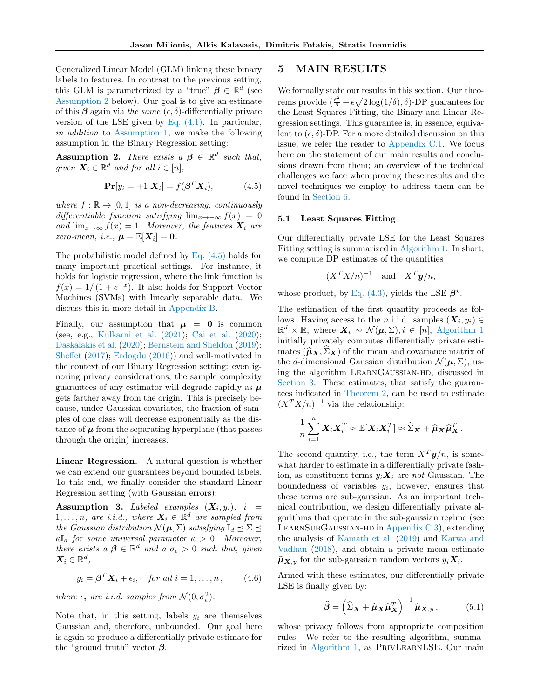Generalized Linear Model (GLM) linking these binary labels to features. In contrast to the previous setting, this GLM is parameterized by a "true"  $\beta \in \mathbb{R}^d$  (see [Assumption 2](#page-4-0) below). Our goal is to give an estimate of this  $\beta$  again via the same  $(\epsilon, \delta)$ -differentially private version of the LSE given by Eq.  $(4.1)$ . In particular, in addition to [Assumption 1,](#page-3-3) we make the following assumption in the Binary Regression setting:

<span id="page-4-0"></span>**Assumption 2.** There exists  $a \beta \in \mathbb{R}^d$  such that, given  $\overline{X}_i \in \mathbb{R}^d$  and for all  $i \in [n]$ ,

$$
\mathbf{Pr}[y_i = +1|\mathbf{X}_i] = f(\boldsymbol{\beta}^T \mathbf{X}_i), \quad (4.5)
$$

where  $f : \mathbb{R} \to [0, 1]$  is a non-decreasing, continuously differentiable function satisfying  $\lim_{x\to-\infty} f(x) = 0$ and  $\lim_{x\to\infty} f(x) = 1$ . Moreover, the features  $X_i$  are zero-mean, i.e.,  $\mu = \mathbb{E}[X_i] = 0$ .

The probabilistic model defined by [Eq. \(4.5\)](#page-4-1) holds for many important practical settings. For instance, it holds for logistic regression, where the link function is  $f(x) = 1/(1 + e^{-x})$ . It also holds for Support Vector Machines (SVMs) with linearly separable data. We discuss this in more detail in [Appendix B.](#page-13-0)

Finally, our assumption that  $\mu = 0$  is common (see, e.g., [Kulkarni et al.](#page-10-9) [\(2021\)](#page-10-9); [Cai et al.](#page-9-0) [\(2020\)](#page-9-0); [Daskalakis et al.](#page-9-4) [\(2020\)](#page-9-4); [Bernstein and Sheldon](#page-9-13) [\(2019\)](#page-9-13); [Sheffet](#page-11-6) [\(2017\)](#page-11-6); [Erdogdu](#page-10-13) [\(2016\)](#page-10-13)) and well-motivated in the context of our Binary Regression setting: even ignoring privacy considerations, the sample complexity guarantees of any estimator will degrade rapidly as  $\mu$ gets farther away from the origin. This is precisely because, under Gaussian covariates, the fraction of samples of one class will decrease exponentially as the distance of  $\mu$  from the separating hyperplane (that passes through the origin) increases.

Linear Regression. A natural question is whether we can extend our guarantees beyond bounded labels. To this end, we finally consider the standard Linear Regression setting (with Gaussian errors):

<span id="page-4-3"></span> $\begin{array}{cccc} \textbf{Assumption} & \textbf{3.} & Labeled & examples & (\boldsymbol{X_i}, y_i), & i \end{array} =$  $1, \ldots, n$ , are i.i.d., where  $\boldsymbol{X}_i \in \mathbb{R}^d$  are sampled from the Gaussian distribution  $\mathcal{N}(\boldsymbol{\mu}, \Sigma)$  satisfying  $\mathbb{I}_d \preceq \Sigma \preceq$  $\kappa \mathbb{I}_d$  for some universal parameter  $\kappa > 0$ . Moreover, there exists  $a \beta \in \mathbb{R}^d$  and  $a \sigma_{\epsilon} > 0$  such that, given  $\boldsymbol{X}_i \in \mathbb{R}^d,$ 

$$
y_i = \boldsymbol{\beta}^T \mathbf{X}_i + \epsilon_i, \quad \text{for all } i = 1, \dots, n \,, \tag{4.6}
$$

where  $\epsilon_i$  are *i.i.d.* samples from  $\mathcal{N}(0, \sigma_{\epsilon}^2)$ .

Note that, in this setting, labels  $y_i$  are themselves Gaussian and, therefore, unbounded. Our goal here is again to produce a differentially private estimate for the "ground truth" vector  $\beta$ .

## 5 MAIN RESULTS

We formally state our results in this section. Our theorems provide  $(\frac{\epsilon^2}{2} + \epsilon \sqrt{2 \log(1/\delta)}, \delta)$ -DP guarantees for the Least Squares Fitting, the Binary and Linear Regression settings. This guarantee is, in essence, equivalent to  $(\epsilon, \delta)$ -DP. For a more detailed discussion on this issue, we refer the reader to [Appendix C.1.](#page-13-1) We focus here on the statement of our main results and conclusions drawn from them; an overview of the technical challenges we face when proving these results and the novel techniques we employ to address them can be found in [Section 6.](#page-6-0)

### <span id="page-4-1"></span>5.1 Least Squares Fitting

Our differentially private LSE for the Least Squares Fitting setting is summarized in [Algorithm 1.](#page-5-2) In short, we compute DP estimates of the quantities

$$
(X^T X/n)^{-1}
$$
 and  $X^T y/n$ ,

whose product, by Eq.  $(4.3)$ , yields the LSE  $\beta^*$ .

The estimation of the first quantity proceeds as follows. Having access to the *n* i.i.d. samples  $(X_i, y_i) \in$  $\mathbb{R}^d \times \mathbb{R}$ , where  $\mathbf{X}_i \sim \mathcal{N}(\boldsymbol{\mu}, \Sigma), i \in [n]$ , [Algorithm 1](#page-5-2) initially privately computes differentially private estimates  $(\widehat{\boldsymbol{\mu}}_{\boldsymbol{X}}, \Sigma_{\boldsymbol{X}})$  of the mean and covariance matrix of the d-dimensional Gaussian distribution  $\mathcal{N}(\mu, \Sigma)$ , using the algorithm LEARNGAUSSIAN-HD, discussed in [Section 3.](#page-2-0) These estimates, that satisfy the guarantees indicated in [Theorem 2,](#page-3-5) can be used to estimate  $(X^T X/n)^{-1}$  via the relationship:

$$
\frac{1}{n}\sum_{i=1}^n \boldsymbol{X}_i \boldsymbol{X}_i^T \approx \mathbb{E}[\boldsymbol{X}_i \boldsymbol{X}_i^T] \approx \widehat{\Sigma}_{\boldsymbol{X}} + \widehat{\boldsymbol{\mu}}_{\boldsymbol{X}} \widehat{\boldsymbol{\mu}}_{\boldsymbol{X}}^T.
$$

The second quantity, i.e., the term  $X^T y/n$ , is somewhat harder to estimate in a differentially private fashion, as constituent terms  $y_i \mathbf{X}_i$  are not Gaussian. The boundedness of variables  $y_i$ , however, ensures that these terms are sub-gaussian. As an important technical contribution, we design differentially private algorithms that operate in the sub-gaussian regime (see LearnSubGaussian-hd in [Appendix C.3\)](#page-14-0), extending the analysis of [Kamath et al.](#page-10-0) [\(2019\)](#page-10-0) and [Karwa and](#page-10-1) [Vadhan](#page-10-1) [\(2018\)](#page-10-1), and obtain a private mean estimate  $\widehat{\boldsymbol{\mu}}_{\boldsymbol{X},y}$  for the sub-gaussian random vectors  $y_i \boldsymbol{X}_i$ .

<span id="page-4-4"></span>Armed with these estimates, our differentially private LSE is finally given by:

<span id="page-4-2"></span>
$$
\widehat{\boldsymbol{\beta}} = \left(\widehat{\boldsymbol{\Sigma}}_{\boldsymbol{X}} + \widehat{\boldsymbol{\mu}}_{\boldsymbol{X}} \widehat{\boldsymbol{\mu}}_{\boldsymbol{X}}^T\right)^{-1} \widehat{\boldsymbol{\mu}}_{\boldsymbol{X},y},\tag{5.1}
$$

whose privacy follows from appropriate composition rules. We refer to the resulting algorithm, summarized in [Algorithm 1,](#page-5-2) as PrivLearnLSE. Our main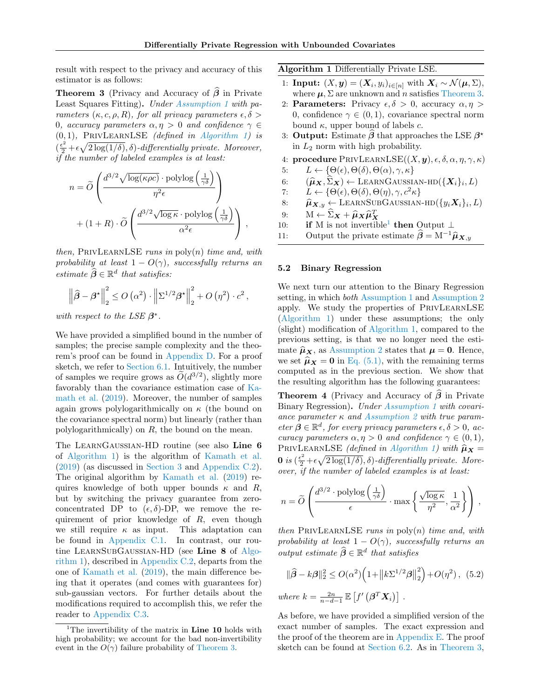result with respect to the privacy and accuracy of this estimator is as follows:

<span id="page-5-1"></span>**Theorem 3** (Privacy and Accuracy of  $\hat{\beta}$  in Private Least Squares Fitting). Under [Assumption 1](#page-3-3) with parameters  $(\kappa, c, \rho, R)$ , for all privacy parameters  $\epsilon, \delta$ 0, accuracy parameters  $\alpha, \eta > 0$  and confidence  $\gamma \in$  $(0, 1)$ , PRIVLEARNLSE *(defined in [Algorithm 1\)](#page-5-2) is*  $(\frac{\epsilon^2}{2} + \epsilon \sqrt{2 \log(1/\delta)}, \delta)$ -differentially private. Moreover, if the number of labeled examples is at least:

$$
n = \widetilde{O}\left(\frac{d^{3/2}\sqrt{\log(\kappa\rho c)}\cdot \text{polylog}\left(\frac{1}{\gamma\delta}\right)}{\eta^2\epsilon}\right) + (1+R)\cdot \widetilde{O}\left(\frac{d^{3/2}\sqrt{\log\kappa}\cdot \text{polylog}\left(\frac{1}{\gamma\delta}\right)}{\alpha^2\epsilon}\right),
$$

then, PRIVLEARNLSE runs in  $\text{poly}(n)$  time and, with probability at least  $1 - O(\gamma)$ , successfully returns an estimate  $\widehat{\boldsymbol{\beta}} \in \mathbb{R}^d$  that satisfies:

$$
\left\|\widehat{\boldsymbol{\beta}} - \boldsymbol{\beta}^{\star}\right\|_{2}^{2} \leq O\left(\alpha^{2}\right) \cdot \left\|\Sigma^{1/2}\boldsymbol{\beta}^{\star}\right\|_{2}^{2} + O\left(\eta^{2}\right) \cdot c^{2},
$$

with respect to the LSE  $\beta^*$ .

We have provided a simplified bound in the number of samples; the precise sample complexity and the theorem's proof can be found in [Appendix D.](#page-16-0) For a proof sketch, we refer to [Section 6.1.](#page-6-1) Intuitively, the number of samples we require grows as  $\widetilde{O}(d^{3/2})$ , slightly more favorably than the covariance estimation case of [Ka](#page-10-0)[math et al.](#page-10-0) [\(2019\)](#page-10-0). Moreover, the number of samples again grows polylogarithmically on  $\kappa$  (the bound on the covariance spectral norm) but linearly (rather than polylogarithmically) on  $R$ , the bound on the mean.

The LearnGaussian-HD routine (see also Line 6 of [Algorithm 1\)](#page-5-2) is the algorithm of [Kamath et al.](#page-10-0) [\(2019\)](#page-10-0) (as discussed in [Section 3](#page-2-0) and [Appendix C.2\)](#page-14-1). The original algorithm by [Kamath et al.](#page-10-0) [\(2019\)](#page-10-0) requires knowledge of both upper bounds  $\kappa$  and R, but by switching the privacy guarantee from zeroconcentrated DP to  $(\epsilon, \delta)$ -DP, we remove the requirement of prior knowledge of  $R$ , even though we still require  $\kappa$  as input. This adaptation can be found in [Appendix C.1.](#page-13-1) In contrast, our rou-tine LEARNSUBGAUSSIAN-HD (see Line 8 of [Algo](#page-5-2)[rithm 1\)](#page-5-2), described in [Appendix C.2,](#page-14-1) departs from the one of [Kamath et al.](#page-10-0) [\(2019\)](#page-10-0), the main difference being that it operates (and comes with guarantees for) sub-gaussian vectors. For further details about the modifications required to accomplish this, we refer the reader to [Appendix C.3.](#page-14-0)

<span id="page-5-2"></span>Algorithm 1 Differentially Private LSE.

- 1: **Input:**  $(X, y) = (X_i, y_i)_{i \in [n]}$  with  $X_i \sim \mathcal{N}(\mu, \Sigma)$ , where  $\mu$ ,  $\Sigma$  are unknown and *n* satisfies [Theorem 3.](#page-5-1)
- 2: **Parameters:** Privacy  $\epsilon, \delta > 0$ , accuracy  $\alpha, \eta >$ 0, confidence  $\gamma \in (0,1)$ , covariance spectral norm bound  $\kappa$ , upper bound of labels  $c$ .
- 3: Output: Estimate  $\hat{\boldsymbol{\beta}}$  that approaches the LSE  $\beta^*$ in  $L_2$  norm with high probability.
- 4: procedure PRIVLEARNLSE $((X, y), \epsilon, \delta, \alpha, \eta, \gamma, \kappa)$
- 5:  $L \leftarrow \{\Theta(\epsilon), \Theta(\delta), \Theta(\alpha), \gamma, \kappa\}$
- 6:  $(\hat{\mu}_X, \hat{\Sigma}_X) \leftarrow \text{LEARNGAUSSIAN-HD}(\{X_i\}_i, L)$ <br>7.  $I \leftarrow \{ \Theta(\epsilon), \Theta(\delta), \Theta(n), \alpha, \epsilon^2 \kappa \}$
- 7:  $L \leftarrow \{\Theta(\epsilon), \Theta(\delta), \Theta(\eta), \gamma, c^2 \kappa\}$
- 8:  $\hat{\mu}_{\mathbf{X},y} \leftarrow \text{LEARNINGUBGAUSSIAN-HD}(\{y_i \mathbf{X}_i\}_i, L)$
- 9:  $M \leftarrow \widehat{\Sigma}_{\mathbf{X}} + \widehat{\boldsymbol{\mu}}_{\mathbf{X}} \widehat{\boldsymbol{\mu}}_{\mathbf{X}}^T$ <br>0. **if** M is not invertible
- [1](#page-5-3)0: **if** M is not invertible<sup>1</sup> then Output  $\perp$
- 11: Output the private estimate  $\hat{\boldsymbol{\beta}} = M^{-1} \hat{\boldsymbol{\mu}}_{\boldsymbol{X},y}$

### 5.2 Binary Regression

We next turn our attention to the Binary Regression setting, in which both [Assumption 1](#page-3-3) and [Assumption 2](#page-4-0) apply. We study the properties of PrivLearnLSE [\(Algorithm 1\)](#page-5-2) under these assumptions; the only (slight) modification of [Algorithm 1,](#page-5-2) compared to the previous setting, is that we no longer need the estimate  $\hat{\mu}_X$ , as [Assumption 2](#page-4-0) states that  $\mu = 0$ . Hence, we set  $\hat{\mu}_X = 0$  in [Eq. \(5.1\),](#page-4-2) with the remaining terms computed as in the previous section. We show that the resulting algorithm has the following guarantees:

<span id="page-5-0"></span>**Theorem 4** (Privacy and Accuracy of  $\hat{\beta}$  in Private Binary Regression). Under [Assumption 1](#page-3-3) with covariance parameter  $\kappa$  and [Assumption 2](#page-4-0) with true parameter  $\beta \in \mathbb{R}^d$ , for every privacy parameters  $\epsilon, \delta > 0$ , accuracy parameters  $\alpha, \eta > 0$  and confidence  $\gamma \in (0, 1)$ , PRIVLEARNLSE (defined in [Algorithm 1\)](#page-5-2) with  $\hat{\mu}_X$  = **0** is  $(\frac{\epsilon^2}{2} + \epsilon \sqrt{2 \log(1/\delta)}, \delta)$ -differentially private. Moreover, if the number of labeled examples is at least:

$$
n = \widetilde{O}\left(\frac{d^{3/2} \cdot \text{polylog}\left(\frac{1}{\gamma \delta}\right)}{\epsilon} \cdot \max\left\{\frac{\sqrt{\log \kappa}}{\eta^2}, \frac{1}{\alpha^2}\right\}\right),\,
$$

then PRIVLEARNLSE runs in  $\text{poly}(n)$  time and, with probability at least  $1 - O(\gamma)$ , successfully returns an output estimate  $\widehat{\boldsymbol{\beta}} \in \mathbb{R}^d$  that satisfies

<span id="page-5-4"></span>
$$
\|\widehat{\boldsymbol{\beta}} - k\boldsymbol{\beta}\|_2^2 \le O(\alpha^2) \Big( 1 + \big\| k \Sigma^{1/2} \boldsymbol{\beta} \big\|_2^2 \Big) + O(\eta^2), \tag{5.2}
$$
  
where 
$$
k = \frac{2n}{n - d - 1} \mathbb{E} \left[ f' \left( \boldsymbol{\beta}^T \mathbf{X}_i \right) \right].
$$

As before, we have provided a simplified version of the exact number of samples. The exact expression and the proof of the theorem are in [Appendix E.](#page-25-0) The proof sketch can be found at [Section 6.2.](#page-7-0) As in [Theorem 3,](#page-5-1)

<span id="page-5-3"></span><sup>&</sup>lt;sup>1</sup>The invertibility of the matrix in **Line 10** holds with high probability; we account for the bad non-invertibility event in the  $O(\gamma)$  failure probability of [Theorem 3.](#page-5-1)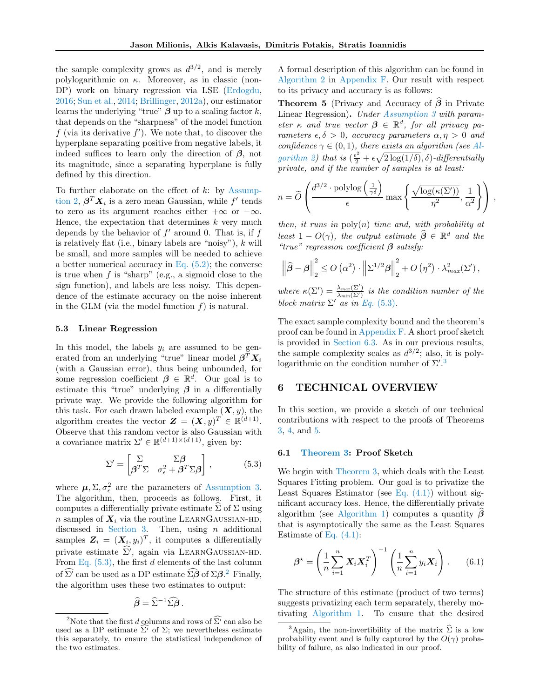the sample complexity grows as  $d^{3/2}$ , and is merely polylogarithmic on  $\kappa$ . Moreover, as in classic (non-DP) work on binary regression via LSE [\(Erdogdu,](#page-10-13) [2016;](#page-10-13) [Sun et al.,](#page-11-8) [2014;](#page-11-8) [Brillinger,](#page-9-12) [2012a\)](#page-9-12), our estimator learns the underlying "true"  $\beta$  up to a scaling factor k, that depends on the "sharpness" of the model function f (via its derivative  $f'$ ). We note that, to discover the hyperplane separating positive from negative labels, it indeed suffices to learn only the direction of  $\beta$ , not its magnitude, since a separating hyperplane is fully defined by this direction.

To further elaborate on the effect of  $k$ : by [Assump](#page-4-0)[tion 2,](#page-4-0)  $\boldsymbol{\beta}^T \boldsymbol{X}_i$  is a zero mean Gaussian, while  $f'$  tends to zero as its argument reaches either  $+\infty$  or  $-\infty$ . Hence, the expectation that determines  $k$  very much depends by the behavior of  $f'$  around 0. That is, if  $f$ is relatively flat (i.e., binary labels are "noisy"),  $k$  will be small, and more samples will be needed to achieve a better numerical accuracy in Eq.  $(5.2)$ ; the converse is true when  $f$  is "sharp" (e.g., a sigmoid close to the sign function), and labels are less noisy. This dependence of the estimate accuracy on the noise inherent in the GLM (via the model function  $f$ ) is natural.

## 5.3 Linear Regression

In this model, the labels  $y_i$  are assumed to be generated from an underlying "true" linear model  $\beta^T X_i$ (with a Gaussian error), thus being unbounded, for some regression coefficient  $\beta \in \mathbb{R}^d$ . Our goal is to estimate this "true" underlying  $\beta$  in a differentially private way. We provide the following algorithm for this task. For each drawn labeled example  $(X, y)$ , the algorithm creates the vector  $\mathbf{Z} = (\mathbf{X}, y)^T \in \mathbb{R}^{(d+1)}$ . Observe that this random vector is also Gaussian with a covariance matrix  $\Sigma' \in \mathbb{R}^{(d+1)\times(d+1)}$ , given by:

$$
\Sigma' = \begin{bmatrix} \Sigma & \Sigma \beta \\ \beta^T \Sigma & \sigma_{\epsilon}^2 + \beta^T \Sigma \beta \end{bmatrix},
$$
 (5.3)

where  $\mu$ ,  $\Sigma$ ,  $\sigma_{\epsilon}^2$  are the parameters of [Assumption 3.](#page-4-3) The algorithm, then, proceeds as follows. First, it computes a differentially private estimate  $\hat{\Sigma}$  of  $\Sigma$  using n samples of  $X_i$  via the routine LEARNGAUSSIAN-HD, discussed in [Section 3.](#page-2-0) Then, using  $n$  additional samples  $\mathbf{Z}_i = (\mathbf{X}_i, y_i)^T$ , it computes a differentially private estimate  $\widehat{\Sigma'}$ , again via LEARNGAUSSIAN-HD. From Eq.  $(5.3)$ , the first d elements of the last column of  $\hat{\Sigma}^j$  can be used as a DP estimate  $\hat{\Sigma}\hat{\boldsymbol{\beta}}$  of  $\Sigma\boldsymbol{\beta}$ . Finally, the algorithm uses these two estimates to output:

$$
\widehat{\boldsymbol{\beta}} = \widehat{\Sigma}^{-1} \widehat{\Sigma} \widehat{\boldsymbol{\beta}} \, .
$$

A formal description of this algorithm can be found in [Algorithm 2](#page-28-0) in [Appendix F.](#page-27-0) Our result with respect to its privacy and accuracy is as follows:

<span id="page-6-5"></span>**Theorem 5** (Privacy and Accuracy of  $\hat{\boldsymbol{\beta}}$  in Private Linear Regression). Under [Assumption 3](#page-4-3) with parameter  $\kappa$  and true vector  $\beta \in \mathbb{R}^d$ , for all privacy parameters  $\epsilon, \delta > 0$ , accuracy parameters  $\alpha, \eta > 0$  and confidence  $\gamma \in (0,1)$ , there exists an algorithm (see [Al](#page-28-0)[gorithm 2\)](#page-28-0) that is  $(\frac{\epsilon^2}{2} + \epsilon \sqrt{2 \log(1/\delta)}, \delta)$ -differentially private, and if the number of samples is at least:

$$
n = \widetilde{O}\left(\frac{d^{3/2} \cdot \mathrm{polylog}\left(\frac{1}{\gamma \delta}\right)}{\epsilon} \max\left\{\frac{\sqrt{\log(\kappa(\Sigma'))}}{\eta^2}, \frac{1}{\alpha^2}\right\}\right),\,
$$

then, it runs in  $\text{poly}(n)$  time and, with probability at least  $1 - O(\gamma)$ , the output estimate  $\widehat{\beta} \in \mathbb{R}^d$  and the "true" regression coefficient  $\beta$  satisfy:

$$
\left\|\widehat{\boldsymbol{\beta}} - \boldsymbol{\beta}\right\|_{2}^{2} \leq O\left(\alpha^{2}\right) \cdot \left\|\Sigma^{1/2} \boldsymbol{\beta}\right\|_{2}^{2} + O\left(\eta^{2}\right) \cdot \lambda_{max}^{2}(\Sigma'),
$$

where  $\kappa(\Sigma') = \frac{\lambda_{max}(\Sigma')}{\lambda_{min}(\Sigma')}$  is the condition number of the block matrix  $\Sigma'$  as in Eq. [\(5.3\)](#page-6-2).

The exact sample complexity bound and the theorem's proof can be found in [Appendix F.](#page-27-0) A short proof sketch is provided in [Section 6.3.](#page-7-1) As in our previous results, the sample complexity scales as  $d^{3/2}$ ; also, it is polylogarithmic on the condition number of  $\Sigma^{\prime}$ .<sup>[3](#page-6-4)</sup>

# <span id="page-6-0"></span>6 TECHNICAL OVERVIEW

In this section, we provide a sketch of our technical contributions with respect to the proofs of Theorems [3,](#page-5-1) [4,](#page-5-0) and [5.](#page-6-5)

## <span id="page-6-2"></span><span id="page-6-1"></span>6.1 [Theorem 3:](#page-5-1) Proof Sketch

We begin with [Theorem 3,](#page-5-1) which deals with the Least Squares Fitting problem. Our goal is to privatize the Least Squares Estimator (see Eq.  $(4.1)$ ) without significant accuracy loss. Hence, the differentially private algorithm (see [Algorithm 1\)](#page-5-2) computes a quantity  $\beta$ that is asymptotically the same as the Least Squares Estimate of [Eq. \(4.1\):](#page-3-2)

<span id="page-6-6"></span>
$$
\beta^* = \left(\frac{1}{n}\sum_{i=1}^n \mathbf{X}_i \mathbf{X}_i^T\right)^{-1} \left(\frac{1}{n}\sum_{i=1}^n y_i \mathbf{X}_i\right). \tag{6.1}
$$

The structure of this estimate (product of two terms) suggests privatizing each term separately, thereby motivating [Algorithm 1.](#page-5-2) To ensure that the desired

<span id="page-6-3"></span><sup>&</sup>lt;sup>2</sup>Note that the first *d* columns and rows of  $\widehat{\Sigma'}$  can also be used as a DP estimate  $\Sigma'$  of  $\Sigma$ ; we nevertheless estimate this separately, to ensure the statistical independence of the two estimates.

<span id="page-6-4"></span><sup>&</sup>lt;sup>3</sup>Again, the non-invertibility of the matrix  $\hat{\Sigma}$  is a low probability event and is fully captured by the  $O(\gamma)$  probability of failure, as also indicated in our proof.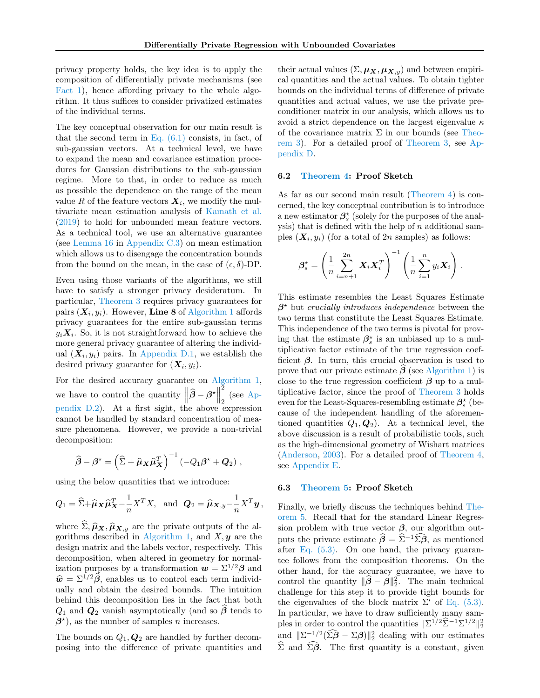privacy property holds, the key idea is to apply the composition of differentially private mechanisms (see [Fact 1\)](#page-2-0), hence affording privacy to the whole algorithm. It thus suffices to consider privatized estimates of the individual terms.

The key conceptual observation for our main result is that the second term in Eq.  $(6.1)$  consists, in fact, of sub-gaussian vectors. At a technical level, we have to expand the mean and covariance estimation procedures for Gaussian distributions to the sub-gaussian regime. More to that, in order to reduce as much as possible the dependence on the range of the mean value R of the feature vectors  $X_i$ , we modify the multivariate mean estimation analysis of [Kamath et al.](#page-10-0) [\(2019\)](#page-10-0) to hold for unbounded mean feature vectors. As a technical tool, we use an alternative guarantee (see [Lemma 16](#page-15-0) in [Appendix C.3\)](#page-14-0) on mean estimation which allows us to disengage the concentration bounds from the bound on the mean, in the case of  $(\epsilon, \delta)$ -DP.

Even using those variants of the algorithms, we still have to satisfy a stronger privacy desideratum. In particular, [Theorem 3](#page-5-1) requires privacy guarantees for pairs  $(\boldsymbol{X}_i, y_i)$ . However, Line 8 of [Algorithm 1](#page-5-2) affords privacy guarantees for the entire sub-gaussian terms  $y_i \mathbf{X}_i$ . So, it is not straightforward how to achieve the more general privacy guarantee of altering the individual  $(X_i, y_i)$  pairs. In [Appendix D.1,](#page-17-0) we establish the desired privacy guarantee for  $(X_i, y_i)$ .

For the desired accuracy guarantee on [Algorithm 1,](#page-5-2) we have to control the quantity  $\left\|\widehat{\boldsymbol{\beta}} - \boldsymbol{\beta}^{\star}\right\|$ 2 2 (see [Ap](#page-17-1)[pendix D.2\)](#page-17-1). At a first sight, the above expression cannot be handled by standard concentration of measure phenomena. However, we provide a non-trivial decomposition:

$$
\widehat{\boldsymbol{\beta}} - \boldsymbol{\beta}^{\star} = \left(\widehat{\Sigma} + \widehat{\boldsymbol{\mu}}_{\boldsymbol{X}} \widehat{\boldsymbol{\mu}}_{\boldsymbol{X}}^{T}\right)^{-1} \left(-Q_{1} \boldsymbol{\beta}^{\star} + \boldsymbol{Q}_{2}\right),
$$

using the below quantities that we introduce:

$$
Q_1 = \widehat{\Sigma} + \widehat{\boldsymbol{\mu}}_{\boldsymbol{X}} \widehat{\boldsymbol{\mu}}_{\boldsymbol{X}}^T - \frac{1}{n} \boldsymbol{X}^T \boldsymbol{X}, \text{ and } \boldsymbol{Q}_2 = \widehat{\boldsymbol{\mu}}_{\boldsymbol{X},y} - \frac{1}{n} \boldsymbol{X}^T \boldsymbol{y},
$$

where  $\hat{\Sigma}, \hat{\mu}_X, \hat{\mu}_{X,y}$  are the private outputs of the al-gorithms described in [Algorithm 1,](#page-5-2) and  $X, y$  are the design matrix and the labels vector, respectively. This decomposition, when altered in geometry for normalization purposes by a transformation  $w = \Sigma^{1/2} \beta$  and  $\hat{\mathbf{w}} = \Sigma^{1/2} \hat{\mathbf{\beta}}$ , enables us to control each term individually and obtain the desired bounds. The intuition behind this decomposition lies in the fact that both  $Q_1$  and  $Q_2$  vanish asymptotically (and so  $\beta$  tends to  $\beta^*$ , as the number of samples *n* increases.

The bounds on  $Q_1$ ,  $Q_2$  are handled by further decomposing into the difference of private quantities and

their actual values  $(\Sigma, \mu_X, \mu_{X,y})$  and between empirical quantities and the actual values. To obtain tighter bounds on the individual terms of difference of private quantities and actual values, we use the private preconditioner matrix in our analysis, which allows us to avoid a strict dependence on the largest eigenvalue  $\kappa$ of the covariance matrix  $\Sigma$  in our bounds (see [Theo](#page-5-1)[rem 3\)](#page-5-1). For a detailed proof of [Theorem 3,](#page-5-1) see [Ap](#page-16-0)[pendix D.](#page-16-0)

### <span id="page-7-0"></span>6.2 [Theorem 4:](#page-5-0) Proof Sketch

As far as our second main result [\(Theorem 4\)](#page-5-0) is concerned, the key conceptual contribution is to introduce a new estimator  $\beta_s^{\star}$  (solely for the purposes of the analysis) that is defined with the help of  $n$  additional samples  $(X_i, y_i)$  (for a total of 2*n* samples) as follows:

$$
\beta_s^{\star} = \left(\frac{1}{n} \sum_{i=n+1}^{2n} \boldsymbol{X}_i \boldsymbol{X}_i^T\right)^{-1} \left(\frac{1}{n} \sum_{i=1}^n y_i \boldsymbol{X}_i\right).
$$

This estimate resembles the Least Squares Estimate  $\beta^*$  but crucially introduces independence between the two terms that constitute the Least Squares Estimate. This independence of the two terms is pivotal for proving that the estimate  $\beta_s^*$  is an unbiased up to a multiplicative factor estimate of the true regression coefficient  $\beta$ . In turn, this crucial observation is used to prove that our private estimate  $\beta$  (see [Algorithm 1\)](#page-5-2) is close to the true regression coefficient  $\beta$  up to a multiplicative factor, since the proof of [Theorem 3](#page-5-1) holds even for the Least-Squares-resembling estimate  $\beta_s^{\star}$  (because of the independent handling of the aforementioned quantities  $Q_1, Q_2$ . At a technical level, the above discussion is a result of probabilistic tools, such as the high-dimensional geometry of Wishart matrices [\(Anderson,](#page-8-6) [2003\)](#page-8-6). For a detailed proof of [Theorem 4,](#page-5-0) see [Appendix E.](#page-25-0)

#### <span id="page-7-1"></span>6.3 [Theorem 5:](#page-6-5) Proof Sketch

Finally, we briefly discuss the techniques behind [The](#page-6-5)[orem 5.](#page-6-5) Recall that for the standard Linear Regression problem with true vector  $\beta$ , our algorithm outputs the private estimate  $\hat{\beta} = \hat{\Sigma}^{-1} \hat{\Sigma} \hat{\beta}$ , as mentioned after [Eq. \(5.3\).](#page-6-2) On one hand, the privacy guarantee follows from the composition theorems. On the other hand, for the accuracy guarantee, we have to control the quantity  $\|\hat{\beta} - \beta\|_2^2$ . The main technical challenge for this step it to provide tight bounds for the eigenvalues of the block matrix  $\Sigma'$  of [Eq. \(5.3\).](#page-6-2) In particular, we have to draw sufficiently many samples in order to control the quantities  $\|\Sigma^{1/2}\widehat{\Sigma}^{-1}\Sigma^{1/2}\|_2^2$ and  $\|\Sigma^{-1/2}(\hat{\Sigma}\hat{\boldsymbol{\beta}} - \Sigma\boldsymbol{\beta})\|_2^2$  dealing with our estimates  $\widehat{\Sigma}$  and  $\widehat{\Sigma}\widehat{\beta}$ . The first quantity is a constant, given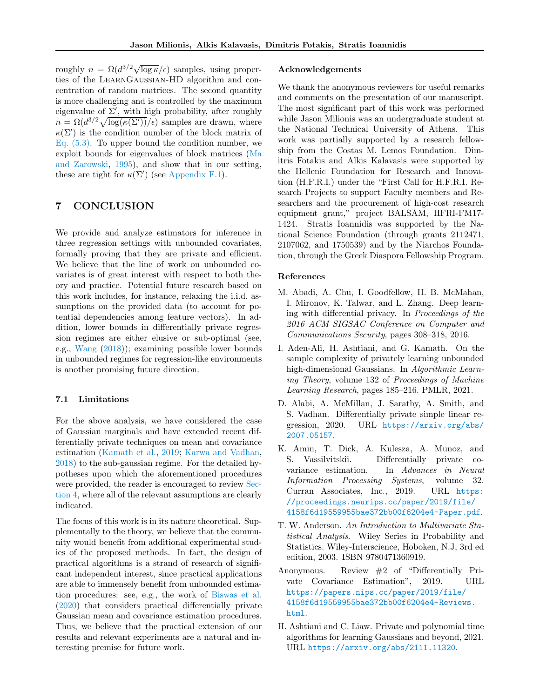roughly  $n = \Omega(d^{3/2}\sqrt{\log \kappa}/\epsilon)$  samples, using properties of the LearnGaussian-HD algorithm and concentration of random matrices. The second quantity is more challenging and is controlled by the maximum eigenvalue of  $\Sigma'$ , with high probability, after roughly  $n = \Omega(d^{3/2}\sqrt{\log(\kappa(\Sigma'))}/\epsilon)$  samples are drawn, where  $\kappa(\Sigma')$  is the condition number of the block matrix of [Eq. \(5.3\).](#page-6-2) To upper bound the condition number, we exploit bounds for eigenvalues of block matrices [\(Ma](#page-11-13) [and Zarowski,](#page-11-13) [1995\)](#page-11-13), and show that in our setting, these are tight for  $\kappa(\Sigma')$  (see [Appendix F.1\)](#page-30-0).

# 7 CONCLUSION

We provide and analyze estimators for inference in three regression settings with unbounded covariates, formally proving that they are private and efficient. We believe that the line of work on unbounded covariates is of great interest with respect to both theory and practice. Potential future research based on this work includes, for instance, relaxing the i.i.d. assumptions on the provided data (to account for potential dependencies among feature vectors). In addition, lower bounds in differentially private regression regimes are either elusive or sub-optimal (see, e.g., [Wang](#page-11-0) [\(2018\)](#page-11-0)); examining possible lower bounds in unbounded regimes for regression-like environments is another promising future direction.

### 7.1 Limitations

For the above analysis, we have considered the case of Gaussian marginals and have extended recent differentially private techniques on mean and covariance estimation [\(Kamath et al.,](#page-10-0) [2019;](#page-10-0) [Karwa and Vadhan,](#page-10-1) [2018\)](#page-10-1) to the sub-gaussian regime. For the detailed hypotheses upon which the aforementioned procedures were provided, the reader is encouraged to review [Sec](#page-3-0)[tion 4,](#page-3-0) where all of the relevant assumptions are clearly indicated.

The focus of this work is in its nature theoretical. Supplementally to the theory, we believe that the community would benefit from additional experimental studies of the proposed methods. In fact, the design of practical algorithms is a strand of research of significant independent interest, since practical applications are able to immensely benefit from unbounded estimation procedures: see, e.g., the work of [Biswas et al.](#page-9-14) [\(2020\)](#page-9-14) that considers practical differentially private Gaussian mean and covariance estimation procedures. Thus, we believe that the practical extension of our results and relevant experiments are a natural and interesting premise for future work.

#### Acknowledgements

We thank the anonymous reviewers for useful remarks and comments on the presentation of our manuscript. The most significant part of this work was performed while Jason Milionis was an undergraduate student at the National Technical University of Athens. This work was partially supported by a research fellowship from the Costas M. Lemos Foundation. Dimitris Fotakis and Alkis Kalavasis were supported by the Hellenic Foundation for Research and Innovation (H.F.R.I.) under the "First Call for H.F.R.I. Research Projects to support Faculty members and Researchers and the procurement of high-cost research equipment grant," project BALSAM, HFRI-FM17- 1424. Stratis Ioannidis was supported by the National Science Foundation (through grants 2112471, 2107062, and 1750539) and by the Niarchos Foundation, through the Greek Diaspora Fellowship Program.

### References

- <span id="page-8-0"></span>M. Abadi, A. Chu, I. Goodfellow, H. B. McMahan, I. Mironov, K. Talwar, and L. Zhang. Deep learning with differential privacy. In Proceedings of the 2016 ACM SIGSAC Conference on Computer and Communications Security, pages 308–318, 2016.
- <span id="page-8-4"></span>I. Aden-Ali, H. Ashtiani, and G. Kamath. On the sample complexity of privately learning unbounded high-dimensional Gaussians. In Algorithmic Learning Theory, volume 132 of Proceedings of Machine Learning Research, pages 185–216. PMLR, 2021.
- <span id="page-8-2"></span>D. Alabi, A. McMillan, J. Sarathy, A. Smith, and S. Vadhan. Differentially private simple linear regression, 2020. URL [https://arxiv.org/abs/](https://arxiv.org/abs/2007.05157) [2007.05157](https://arxiv.org/abs/2007.05157).
- <span id="page-8-3"></span>K. Amin, T. Dick, A. Kulesza, A. Munoz, and S. Vassilvitskii. Differentially private covariance estimation. In Advances in Neural Information Processing Systems, volume 32. Curran Associates, Inc., 2019. URL [https:](https://proceedings.neurips.cc/paper/2019/file/4158f6d19559955bae372bb00f6204e4-Paper.pdf) [//proceedings.neurips.cc/paper/2019/file/](https://proceedings.neurips.cc/paper/2019/file/4158f6d19559955bae372bb00f6204e4-Paper.pdf) [4158f6d19559955bae372bb00f6204e4-Paper.pdf](https://proceedings.neurips.cc/paper/2019/file/4158f6d19559955bae372bb00f6204e4-Paper.pdf).
- <span id="page-8-6"></span>T. W. Anderson. An Introduction to Multivariate Statistical Analysis. Wiley Series in Probability and Statistics. Wiley-Interscience, Hoboken, N.J, 3rd ed edition, 2003. ISBN 9780471360919.
- <span id="page-8-1"></span>Anonymous. Review #2 of "Differentially Private Covariance Estimation", 2019. URL [https://papers.nips.cc/paper/2019/file/](https://papers.nips.cc/paper/2019/file/4158f6d19559955bae372bb00f6204e4-Reviews.html) [4158f6d19559955bae372bb00f6204e4-Reviews.](https://papers.nips.cc/paper/2019/file/4158f6d19559955bae372bb00f6204e4-Reviews.html) [html](https://papers.nips.cc/paper/2019/file/4158f6d19559955bae372bb00f6204e4-Reviews.html).
- <span id="page-8-5"></span>H. Ashtiani and C. Liaw. Private and polynomial time algorithms for learning Gaussians and beyond, 2021. URL <https://arxiv.org/abs/2111.11320>.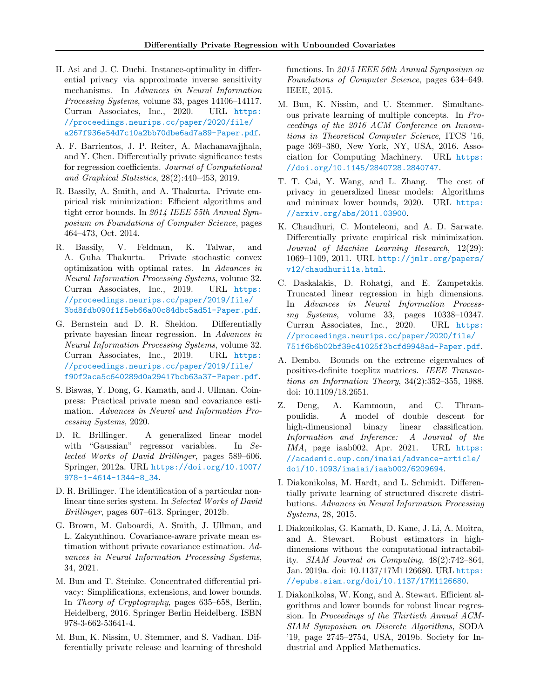- <span id="page-9-6"></span>H. Asi and J. C. Duchi. Instance-optimality in differential privacy via approximate inverse sensitivity mechanisms. In Advances in Neural Information Processing Systems, volume 33, pages 14106–14117. Curran Associates, Inc., 2020. URL [https:](https://proceedings.neurips.cc/paper/2020/file/a267f936e54d7c10a2bb70dbe6ad7a89-Paper.pdf) [//proceedings.neurips.cc/paper/2020/file/](https://proceedings.neurips.cc/paper/2020/file/a267f936e54d7c10a2bb70dbe6ad7a89-Paper.pdf) [a267f936e54d7c10a2bb70dbe6ad7a89-Paper.pdf](https://proceedings.neurips.cc/paper/2020/file/a267f936e54d7c10a2bb70dbe6ad7a89-Paper.pdf).
- <span id="page-9-7"></span>A. F. Barrientos, J. P. Reiter, A. Machanavajjhala, and Y. Chen. Differentially private significance tests for regression coefficients. Journal of Computational and Graphical Statistics, 28(2):440–453, 2019.
- <span id="page-9-2"></span>R. Bassily, A. Smith, and A. Thakurta. Private empirical risk minimization: Efficient algorithms and tight error bounds. In 2014 IEEE 55th Annual Symposium on Foundations of Computer Science, pages 464–473, Oct. 2014.
- <span id="page-9-8"></span>R. Bassily, V. Feldman, K. Talwar, and A. Guha Thakurta. Private stochastic convex optimization with optimal rates. In Advances in Neural Information Processing Systems, volume 32. Curran Associates, Inc., 2019. URL [https:](https://proceedings.neurips.cc/paper/2019/file/3bd8fdb090f1f5eb66a00c84dbc5ad51-Paper.pdf) [//proceedings.neurips.cc/paper/2019/file/](https://proceedings.neurips.cc/paper/2019/file/3bd8fdb090f1f5eb66a00c84dbc5ad51-Paper.pdf) [3bd8fdb090f1f5eb66a00c84dbc5ad51-Paper.pdf](https://proceedings.neurips.cc/paper/2019/file/3bd8fdb090f1f5eb66a00c84dbc5ad51-Paper.pdf).
- <span id="page-9-13"></span>G. Bernstein and D. R. Sheldon. Differentially private bayesian linear regression. In Advances in Neural Information Processing Systems, volume 32. Curran Associates, Inc., 2019. URL [https:](https://proceedings.neurips.cc/paper/2019/file/f90f2aca5c640289d0a29417bcb63a37-Paper.pdf) [//proceedings.neurips.cc/paper/2019/file/](https://proceedings.neurips.cc/paper/2019/file/f90f2aca5c640289d0a29417bcb63a37-Paper.pdf) [f90f2aca5c640289d0a29417bcb63a37-Paper.pdf](https://proceedings.neurips.cc/paper/2019/file/f90f2aca5c640289d0a29417bcb63a37-Paper.pdf).
- <span id="page-9-14"></span>S. Biswas, Y. Dong, G. Kamath, and J. Ullman. Coinpress: Practical private mean and covariance estimation. Advances in Neural and Information Processing Systems, 2020.
- <span id="page-9-12"></span>D. R. Brillinger. A generalized linear model with "Gaussian" regressor variables. In Selected Works of David Brillinger, pages 589–606. Springer, 2012a. URL [https://doi.org/10.1007/](https://doi.org/10.1007/978-1-4614-1344-8_34) [978-1-4614-1344-8\\_34](https://doi.org/10.1007/978-1-4614-1344-8_34).
- <span id="page-9-16"></span>D. R. Brillinger. The identification of a particular nonlinear time series system. In Selected Works of David Brillinger, pages 607–613. Springer, 2012b.
- <span id="page-9-11"></span>G. Brown, M. Gaboardi, A. Smith, J. Ullman, and L. Zakynthinou. Covariance-aware private mean estimation without private covariance estimation. Advances in Neural Information Processing Systems, 34, 2021.
- <span id="page-9-15"></span>M. Bun and T. Steinke. Concentrated differential privacy: Simplifications, extensions, and lower bounds. In Theory of Cryptography, pages 635–658, Berlin, Heidelberg, 2016. Springer Berlin Heidelberg. ISBN 978-3-662-53641-4.
- <span id="page-9-9"></span>M. Bun, K. Nissim, U. Stemmer, and S. Vadhan. Differentially private release and learning of threshold

functions. In 2015 IEEE 56th Annual Symposium on Foundations of Computer Science, pages 634–649. IEEE, 2015.

- <span id="page-9-17"></span>M. Bun, K. Nissim, and U. Stemmer. Simultaneous private learning of multiple concepts. In Proceedings of the 2016 ACM Conference on Innovations in Theoretical Computer Science, ITCS '16, page 369–380, New York, NY, USA, 2016. Association for Computing Machinery. URL [https:](https://doi.org/10.1145/2840728.2840747) [//doi.org/10.1145/2840728.2840747](https://doi.org/10.1145/2840728.2840747).
- <span id="page-9-0"></span>T. T. Cai, Y. Wang, and L. Zhang. The cost of privacy in generalized linear models: Algorithms and minimax lower bounds, 2020. URL [https:](https://arxiv.org/abs/2011.03900) [//arxiv.org/abs/2011.03900](https://arxiv.org/abs/2011.03900).
- <span id="page-9-1"></span>K. Chaudhuri, C. Monteleoni, and A. D. Sarwate. Differentially private empirical risk minimization. Journal of Machine Learning Research, 12(29): 1069–1109, 2011. URL [http://jmlr.org/papers/](http://jmlr.org/papers/v12/chaudhuri11a.html) [v12/chaudhuri11a.html](http://jmlr.org/papers/v12/chaudhuri11a.html).
- <span id="page-9-4"></span>C. Daskalakis, D. Rohatgi, and E. Zampetakis. Truncated linear regression in high dimensions. In Advances in Neural Information Processing Systems, volume 33, pages 10338–10347. Curran Associates, Inc., 2020. URL [https:](https://proceedings.neurips.cc/paper/2020/file/751f6b6b02bf39c41025f3bcfd9948ad-Paper.pdf) [//proceedings.neurips.cc/paper/2020/file/](https://proceedings.neurips.cc/paper/2020/file/751f6b6b02bf39c41025f3bcfd9948ad-Paper.pdf) [751f6b6b02bf39c41025f3bcfd9948ad-Paper.pdf](https://proceedings.neurips.cc/paper/2020/file/751f6b6b02bf39c41025f3bcfd9948ad-Paper.pdf).
- <span id="page-9-19"></span>A. Dembo. Bounds on the extreme eigenvalues of positive-definite toeplitz matrices. IEEE Transactions on Information Theory, 34(2):352–355, 1988. doi: 10.1109/18.2651.
- <span id="page-9-3"></span>Z. Deng, A. Kammoun, and C. Thrampoulidis. A model of double descent for high-dimensional binary linear classification. Information and Inference: A Journal of the IMA, page iaab002, Apr. 2021. URL [https:](https://academic.oup.com/imaiai/advance-article/doi/10.1093/imaiai/iaab002/6209694) [//academic.oup.com/imaiai/advance-article/](https://academic.oup.com/imaiai/advance-article/doi/10.1093/imaiai/iaab002/6209694) [doi/10.1093/imaiai/iaab002/6209694](https://academic.oup.com/imaiai/advance-article/doi/10.1093/imaiai/iaab002/6209694).
- <span id="page-9-10"></span>I. Diakonikolas, M. Hardt, and L. Schmidt. Differentially private learning of structured discrete distributions. Advances in Neural Information Processing Systems, 28, 2015.
- <span id="page-9-18"></span>I. Diakonikolas, G. Kamath, D. Kane, J. Li, A. Moitra, and A. Stewart. Robust estimators in highdimensions without the computational intractability. SIAM Journal on Computing, 48(2):742–864, Jan. 2019a. doi: 10.1137/17M1126680. URL [https:](https://epubs.siam.org/doi/10.1137/17M1126680) [//epubs.siam.org/doi/10.1137/17M1126680](https://epubs.siam.org/doi/10.1137/17M1126680).
- <span id="page-9-5"></span>I. Diakonikolas, W. Kong, and A. Stewart. Efficient algorithms and lower bounds for robust linear regression. In Proceedings of the Thirtieth Annual ACM-SIAM Symposium on Discrete Algorithms, SODA '19, page 2745–2754, USA, 2019b. Society for Industrial and Applied Mathematics.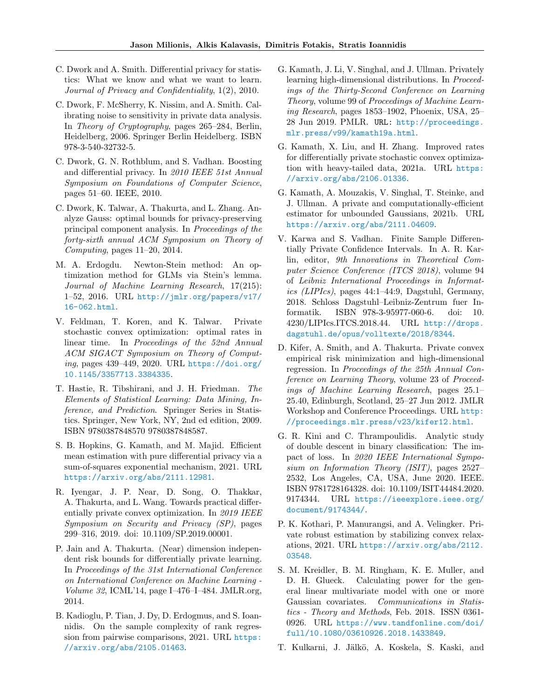- <span id="page-10-8"></span>C. Dwork and A. Smith. Differential privacy for statistics: What we know and what we want to learn. Journal of Privacy and Confidentiality, 1(2), 2010.
- <span id="page-10-2"></span>C. Dwork, F. McSherry, K. Nissim, and A. Smith. Calibrating noise to sensitivity in private data analysis. In Theory of Cryptography, pages 265–284, Berlin, Heidelberg, 2006. Springer Berlin Heidelberg. ISBN 978-3-540-32732-5.
- <span id="page-10-19"></span>C. Dwork, G. N. Rothblum, and S. Vadhan. Boosting and differential privacy. In 2010 IEEE 51st Annual Symposium on Foundations of Computer Science, pages 51–60. IEEE, 2010.
- <span id="page-10-11"></span>C. Dwork, K. Talwar, A. Thakurta, and L. Zhang. Analyze Gauss: optimal bounds for privacy-preserving principal component analysis. In Proceedings of the forty-sixth annual ACM Symposium on Theory of Computing, pages 11–20, 2014.
- <span id="page-10-13"></span>M. A. Erdogdu. Newton-Stein method: An optimization method for GLMs via Stein's lemma. Journal of Machine Learning Research, 17(215): 1–52, 2016. URL [http://jmlr.org/papers/v17/](http://jmlr.org/papers/v17/16-062.html) [16-062.html](http://jmlr.org/papers/v17/16-062.html).
- <span id="page-10-10"></span>V. Feldman, T. Koren, and K. Talwar. Private stochastic convex optimization: optimal rates in linear time. In Proceedings of the 52nd Annual ACM SIGACT Symposium on Theory of Computing, pages 439–449, 2020. URL [https://doi.org/](https://doi.org/10.1145/3357713.3384335) [10.1145/3357713.3384335](https://doi.org/10.1145/3357713.3384335).
- <span id="page-10-14"></span>T. Hastie, R. Tibshirani, and J. H. Friedman. The Elements of Statistical Learning: Data Mining, Inference, and Prediction. Springer Series in Statistics. Springer, New York, NY, 2nd ed edition, 2009. ISBN 9780387848570 9780387848587.
- <span id="page-10-15"></span>S. B. Hopkins, G. Kamath, and M. Majid. Efficient mean estimation with pure differential privacy via a sum-of-squares exponential mechanism, 2021. URL <https://arxiv.org/abs/2111.12981>.
- <span id="page-10-3"></span>R. Iyengar, J. P. Near, D. Song, O. Thakkar, A. Thakurta, and L. Wang. Towards practical differentially private convex optimization. In 2019 IEEE Symposium on Security and Privacy (SP), pages 299–316, 2019. doi: 10.1109/SP.2019.00001.
- <span id="page-10-4"></span>P. Jain and A. Thakurta. (Near) dimension independent risk bounds for differentially private learning. In Proceedings of the 31st International Conference on International Conference on Machine Learning - Volume 32, ICML'14, page I–476–I–484. JMLR.org, 2014.
- <span id="page-10-12"></span>B. Kadioglu, P. Tian, J. Dy, D. Erdogmus, and S. Ioannidis. On the sample complexity of rank regression from pairwise comparisons, 2021. URL [https:](https://arxiv.org/abs/2105.01463) [//arxiv.org/abs/2105.01463](https://arxiv.org/abs/2105.01463).
- <span id="page-10-0"></span>G. Kamath, J. Li, V. Singhal, and J. Ullman. Privately learning high-dimensional distributions. In Proceedings of the Thirty-Second Conference on Learning Theory, volume 99 of Proceedings of Machine Learning Research, pages 1853–1902, Phoenix, USA, 25– 28 Jun 2019. PMLR. URL: [http://proceedings.](http://proceedings.mlr.press/v99/kamath19a.html) [mlr.press/v99/kamath19a.html](http://proceedings.mlr.press/v99/kamath19a.html).
- <span id="page-10-17"></span>G. Kamath, X. Liu, and H. Zhang. Improved rates for differentially private stochastic convex optimization with heavy-tailed data, 2021a. URL [https:](https://arxiv.org/abs/2106.01336) [//arxiv.org/abs/2106.01336](https://arxiv.org/abs/2106.01336).
- <span id="page-10-18"></span>G. Kamath, A. Mouzakis, V. Singhal, T. Steinke, and J. Ullman. A private and computationally-efficient estimator for unbounded Gaussians, 2021b. URL <https://arxiv.org/abs/2111.04609>.
- <span id="page-10-1"></span>V. Karwa and S. Vadhan. Finite Sample Differentially Private Confidence Intervals. In A. R. Karlin, editor, 9th Innovations in Theoretical Computer Science Conference (ITCS 2018), volume 94 of Leibniz International Proceedings in Informatics (LIPIcs), pages  $44:1-44:9$ , Dagstuhl, Germany, 2018. Schloss Dagstuhl–Leibniz-Zentrum fuer Informatik. ISBN 978-3-95977-060-6. doi: 10. 4230/LIPIcs.ITCS.2018.44. URL [http://drops.](http://drops.dagstuhl.de/opus/volltexte/2018/8344) [dagstuhl.de/opus/volltexte/2018/8344](http://drops.dagstuhl.de/opus/volltexte/2018/8344).
- <span id="page-10-5"></span>D. Kifer, A. Smith, and A. Thakurta. Private convex empirical risk minimization and high-dimensional regression. In Proceedings of the 25th Annual Conference on Learning Theory, volume 23 of Proceedings of Machine Learning Research, pages 25.1– 25.40, Edinburgh, Scotland, 25–27 Jun 2012. JMLR Workshop and Conference Proceedings. URL [http:](http://proceedings.mlr.press/v23/kifer12.html) [//proceedings.mlr.press/v23/kifer12.html](http://proceedings.mlr.press/v23/kifer12.html).
- <span id="page-10-6"></span>G. R. Kini and C. Thrampoulidis. Analytic study of double descent in binary classification: The impact of loss. In 2020 IEEE International Symposium on Information Theory (ISIT), pages 2527– 2532, Los Angeles, CA, USA, June 2020. IEEE. ISBN 9781728164328. doi: 10.1109/ISIT44484.2020. 9174344. URL [https://ieeexplore.ieee.org/](https://ieeexplore.ieee.org/document/9174344/) [document/9174344/](https://ieeexplore.ieee.org/document/9174344/).
- <span id="page-10-16"></span>P. K. Kothari, P. Manurangsi, and A. Velingker. Private robust estimation by stabilizing convex relaxations, 2021. URL [https://arxiv.org/abs/2112.](https://arxiv.org/abs/2112.03548) [03548](https://arxiv.org/abs/2112.03548).
- <span id="page-10-7"></span>S. M. Kreidler, B. M. Ringham, K. E. Muller, and D. H. Glueck. Calculating power for the general linear multivariate model with one or more Gaussian covariates. Communications in Statistics - Theory and Methods, Feb. 2018. ISSN 0361- 0926. URL [https://www.tandfonline.com/doi/](https://www.tandfonline.com/doi/full/10.1080/03610926.2018.1433849) [full/10.1080/03610926.2018.1433849](https://www.tandfonline.com/doi/full/10.1080/03610926.2018.1433849).
- <span id="page-10-9"></span>T. Kulkarni, J. Jälkö, A. Koskela, S. Kaski, and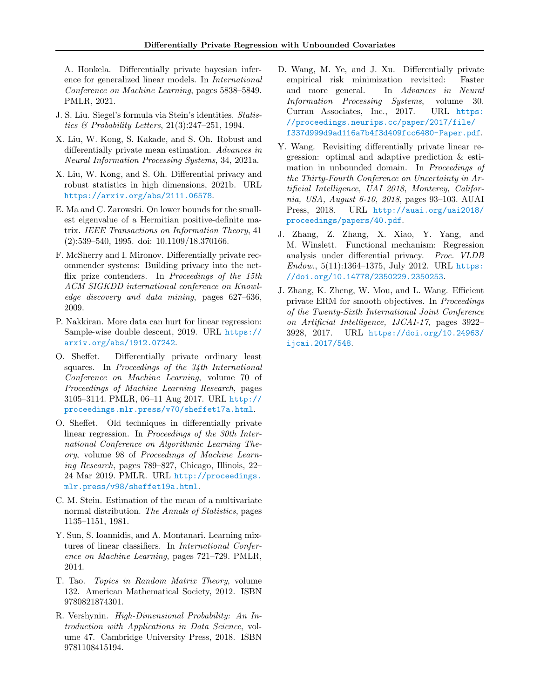A. Honkela. Differentially private bayesian inference for generalized linear models. In International Conference on Machine Learning, pages 5838–5849. PMLR, 2021.

- <span id="page-11-9"></span>J. S. Liu. Siegel's formula via Stein's identities. Statistics  $\mathcal B$  Probability Letters, 21(3):247–251, 1994.
- <span id="page-11-11"></span>X. Liu, W. Kong, S. Kakade, and S. Oh. Robust and differentially private mean estimation. Advances in Neural Information Processing Systems, 34, 2021a.
- <span id="page-11-12"></span>X. Liu, W. Kong, and S. Oh. Differential privacy and robust statistics in high dimensions, 2021b. URL <https://arxiv.org/abs/2111.06578>.
- <span id="page-11-13"></span>E. Ma and C. Zarowski. On lower bounds for the smallest eigenvalue of a Hermitian positive-definite matrix. IEEE Transactions on Information Theory, 41 (2):539–540, 1995. doi: 10.1109/18.370166.
- <span id="page-11-4"></span>F. McSherry and I. Mironov. Differentially private recommender systems: Building privacy into the netflix prize contenders. In Proceedings of the 15th ACM SIGKDD international conference on Knowledge discovery and data mining, pages 627–636, 2009.
- <span id="page-11-2"></span>P. Nakkiran. More data can hurt for linear regression: Sample-wise double descent, 2019. URL [https://](https://arxiv.org/abs/1912.07242) [arxiv.org/abs/1912.07242](https://arxiv.org/abs/1912.07242).
- <span id="page-11-6"></span>O. Sheffet. Differentially private ordinary least squares. In Proceedings of the 34th International Conference on Machine Learning, volume 70 of Proceedings of Machine Learning Research, pages 3105–3114. PMLR, 06–11 Aug 2017. URL [http://](http://proceedings.mlr.press/v70/sheffet17a.html) [proceedings.mlr.press/v70/sheffet17a.html](http://proceedings.mlr.press/v70/sheffet17a.html).
- <span id="page-11-7"></span>O. Sheffet. Old techniques in differentially private linear regression. In Proceedings of the 30th International Conference on Algorithmic Learning Theory, volume 98 of Proceedings of Machine Learning Research, pages 789–827, Chicago, Illinois, 22– 24 Mar 2019. PMLR. URL [http://proceedings.](http://proceedings.mlr.press/v98/sheffet19a.html) [mlr.press/v98/sheffet19a.html](http://proceedings.mlr.press/v98/sheffet19a.html).
- <span id="page-11-10"></span>C. M. Stein. Estimation of the mean of a multivariate normal distribution. The Annals of Statistics, pages 1135–1151, 1981.
- <span id="page-11-8"></span>Y. Sun, S. Ioannidis, and A. Montanari. Learning mixtures of linear classifiers. In International Conference on Machine Learning, pages 721–729. PMLR, 2014.
- <span id="page-11-15"></span>T. Tao. Topics in Random Matrix Theory, volume 132. American Mathematical Society, 2012. ISBN 9780821874301.
- <span id="page-11-14"></span>R. Vershynin. High-Dimensional Probability: An Introduction with Applications in Data Science, volume 47. Cambridge University Press, 2018. ISBN 9781108415194.
- <span id="page-11-5"></span>D. Wang, M. Ye, and J. Xu. Differentially private empirical risk minimization revisited: Faster and more general. In Advances in Neural Information Processing Systems, volume 30. Curran Associates, Inc., 2017. URL [https:](https://proceedings.neurips.cc/paper/2017/file/f337d999d9ad116a7b4f3d409fcc6480-Paper.pdf) [//proceedings.neurips.cc/paper/2017/file/](https://proceedings.neurips.cc/paper/2017/file/f337d999d9ad116a7b4f3d409fcc6480-Paper.pdf) [f337d999d9ad116a7b4f3d409fcc6480-Paper.pdf](https://proceedings.neurips.cc/paper/2017/file/f337d999d9ad116a7b4f3d409fcc6480-Paper.pdf).
- <span id="page-11-0"></span>Y. Wang. Revisiting differentially private linear regression: optimal and adaptive prediction & estimation in unbounded domain. In Proceedings of the Thirty-Fourth Conference on Uncertainty in Artificial Intelligence, UAI 2018, Monterey, California, USA, August 6-10, 2018, pages 93–103. AUAI Press, 2018. URL [http://auai.org/uai2018/](http://auai.org/uai2018/proceedings/papers/40.pdf) [proceedings/papers/40.pdf](http://auai.org/uai2018/proceedings/papers/40.pdf).
- <span id="page-11-3"></span>J. Zhang, Z. Zhang, X. Xiao, Y. Yang, and M. Winslett. Functional mechanism: Regression analysis under differential privacy. Proc. VLDB Endow., 5(11):1364–1375, July 2012. URL [https:](https://doi.org/10.14778/2350229.2350253) [//doi.org/10.14778/2350229.2350253](https://doi.org/10.14778/2350229.2350253).
- <span id="page-11-1"></span>J. Zhang, K. Zheng, W. Mou, and L. Wang. Efficient private ERM for smooth objectives. In Proceedings of the Twenty-Sixth International Joint Conference on Artificial Intelligence, IJCAI-17, pages 3922– 3928, 2017. URL [https://doi.org/10.24963/](https://doi.org/10.24963/ijcai.2017/548) [ijcai.2017/548](https://doi.org/10.24963/ijcai.2017/548).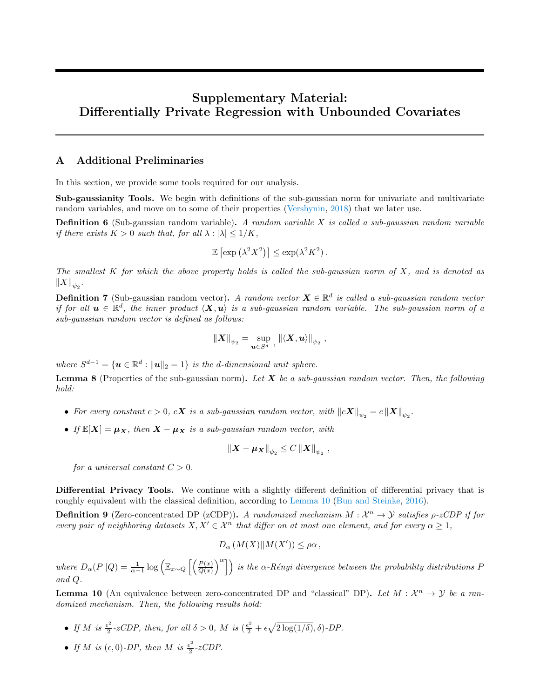# Supplementary Material: Differentially Private Regression with Unbounded Covariates

## <span id="page-12-1"></span>A Additional Preliminaries

In this section, we provide some tools required for our analysis.

Sub-gaussianity Tools. We begin with definitions of the sub-gaussian norm for univariate and multivariate random variables, and move on to some of their properties [\(Vershynin,](#page-11-14) [2018\)](#page-11-14) that we later use.

**Definition 6** (Sub-gaussian random variable). A random variable X is called a sub-gaussian random variable if there exists  $K > 0$  such that, for all  $\lambda : |\lambda| \leq 1/K$ ,

$$
\mathbb{E}\left[\exp\left(\lambda^2 X^2\right)\right] \le \exp(\lambda^2 K^2).
$$

The smallest  $K$  for which the above property holds is called the sub-gaussian norm of  $X$ , and is denoted as  $||X||_{\psi_2}$ .

<span id="page-12-3"></span>**Definition 7** (Sub-gaussian random vector). A random vector  $\mathbf{X} \in \mathbb{R}^d$  is called a sub-gaussian random vector if for all  $u \in \mathbb{R}^d$ , the inner product  $\langle X, u \rangle$  is a sub-gaussian random variable. The sub-gaussian norm of a sub-gaussian random vector is defined as follows:

$$
\left\|\boldsymbol{X}\right\|_{\psi_2}=\sup_{\boldsymbol{u}\in S^{d-1}}\left\|\langle \boldsymbol{X},\boldsymbol{u}\rangle\right\|_{\psi_2},
$$

where  $S^{d-1} = {\mathbf{u} \in \mathbb{R}^d : ||\mathbf{u}||_2 = 1}$  is the d-dimensional unit sphere.

<span id="page-12-4"></span>**Lemma 8** (Properties of the sub-gaussian norm). Let  $X$  be a sub-gaussian random vector. Then, the following hold:

- For every constant  $c > 0$ ,  $c\mathbf{X}$  is a sub-gaussian random vector, with  $\|c\mathbf{X}\|_{\psi_2} = c\left\|\mathbf{X}\right\|_{\psi_2}$ .
- If  $\mathbb{E}[X] = \mu_X$ , then  $X \mu_X$  is a sub-gaussian random vector, with

$$
\left\|\boldsymbol{X} - \boldsymbol{\mu}_{\boldsymbol{X}} \right\|_{\psi_2} \leq C \left\|\boldsymbol{X} \right\|_{\psi_2},
$$

for a universal constant  $C > 0$ .

Differential Privacy Tools. We continue with a slightly different definition of differential privacy that is roughly equivalent with the classical definition, according to [Lemma 10](#page-12-0) [\(Bun and Steinke,](#page-9-15) [2016\)](#page-9-15).

<span id="page-12-2"></span>**Definition 9** (Zero-concentrated DP (zCDP)). A randomized mechanism  $M : \mathcal{X}^n \to \mathcal{Y}$  satisfies  $\rho$ -zCDP if for every pair of neighboring datasets  $X, X' \in \mathcal{X}^n$  that differ on at most one element, and for every  $\alpha \geq 1$ ,

$$
D_{\alpha}(M(X)||M(X')) \leq \rho \alpha,
$$

where  $D_{\alpha}(P||Q) = \frac{1}{\alpha-1} \log \left( \mathbb{E}_{x \sim Q} \left[ \left( \frac{P(x)}{Q(x)} \right)^{\alpha} \right] \right)$  is the  $\alpha$ -Rényi divergence between the probability distributions P and  $Q$ .

<span id="page-12-0"></span>**Lemma 10** (An equivalence between zero-concentrated DP and "classical" DP). Let  $M : \mathcal{X}^n \to \mathcal{Y}$  be a randomized mechanism. Then, the following results hold:

- If M is  $\frac{\epsilon^2}{2}$  $\frac{\epsilon^2}{2}$ -zCDP, then, for all  $\delta > 0$ , M is  $(\frac{\epsilon^2}{2} + \epsilon \sqrt{2 \log(1/\delta)}, \delta)$ -DP.
- If M is  $(\epsilon, 0)$ -DP, then M is  $\frac{\epsilon^2}{2}$  $\frac{z^2}{2}$ -zCDP.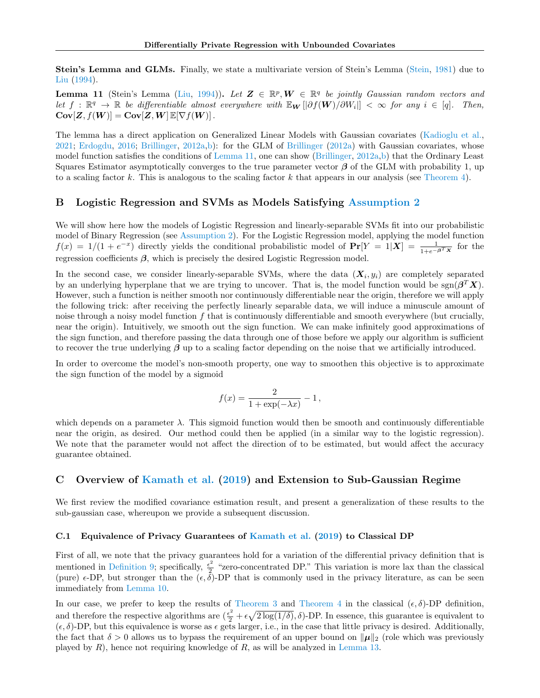Stein's Lemma and GLMs. Finally, we state a multivariate version of Stein's Lemma [\(Stein,](#page-11-10) [1981\)](#page-11-10) due to [Liu](#page-11-9) [\(1994\)](#page-11-9).

<span id="page-13-2"></span>**Lemma 11** (Stein's Lemma [\(Liu,](#page-11-9) [1994\)](#page-11-9)). Let  $\mathbf{Z} \in \mathbb{R}^p$ ,  $\mathbf{W} \in \mathbb{R}^q$  be jointly Gaussian random vectors and Let  $f: \mathbb{R}^q \to \mathbb{R}$  be differentiable almost everywhere with  $\mathbb{E}_{\mathbf{W}}[\partial f(\mathbf{W})/\partial W_i]] < \infty$  for any  $i \in [q]$ . Then,  $Cov[Z, f(W)] = Cov[Z, W] E[\nabla f(W)].$ 

The lemma has a direct application on Generalized Linear Models with Gaussian covariates [\(Kadioglu et al.,](#page-10-12) [2021;](#page-10-12) [Erdogdu,](#page-10-13) [2016;](#page-10-13) [Brillinger,](#page-9-12) [2012a](#page-9-12)[,b\)](#page-9-16): for the GLM of [Brillinger](#page-9-12) [\(2012a\)](#page-9-12) with Gaussian covariates, whose model function satisfies the conditions of [Lemma 11,](#page-13-2) one can show [\(Brillinger,](#page-9-12) [2012a,](#page-9-12)[b\)](#page-9-16) that the Ordinary Least Squares Estimator asymptotically converges to the true parameter vector  $\beta$  of the GLM with probability 1, up to a scaling factor  $k$ . This is analogous to the scaling factor  $k$  that appears in our analysis (see [Theorem 4\)](#page-5-0).

## <span id="page-13-0"></span>B Logistic Regression and SVMs as Models Satisfying [Assumption 2](#page-4-0)

We will show here how the models of Logistic Regression and linearly-separable SVMs fit into our probabilistic model of Binary Regression (see [Assumption 2\)](#page-4-0). For the Logistic Regression model, applying the model function  $f(x) = 1/(1 + e^{-x})$  directly yields the conditional probabilistic model of  $Pr[Y = 1|X] = \frac{1}{1 + e^{-\beta x}}$  for the regression coefficients  $\beta$ , which is precisely the desired Logistic Regression model.

In the second case, we consider linearly-separable SVMs, where the data  $(X_i, y_i)$  are completely separated by an underlying hyperplane that we are trying to uncover. That is, the model function would be  $sgn(\beta^T X)$ . However, such a function is neither smooth nor continuously differentiable near the origin, therefore we will apply the following trick: after receiving the perfectly linearly separable data, we will induce a minuscule amount of noise through a noisy model function  $f$  that is continuously differentiable and smooth everywhere (but crucially, near the origin). Intuitively, we smooth out the sign function. We can make infinitely good approximations of the sign function, and therefore passing the data through one of those before we apply our algorithm is sufficient to recover the true underlying  $\beta$  up to a scaling factor depending on the noise that we artificially introduced.

In order to overcome the model's non-smooth property, one way to smoothen this objective is to approximate the sign function of the model by a sigmoid

$$
f(x) = \frac{2}{1 + \exp(-\lambda x)} - 1,
$$

which depends on a parameter  $\lambda$ . This sigmoid function would then be smooth and continuously differentiable near the origin, as desired. Our method could then be applied (in a similar way to the logistic regression). We note that the parameter would not affect the direction of to be estimated, but would affect the accuracy guarantee obtained.

# C Overview of [Kamath et al.](#page-10-0) [\(2019\)](#page-10-0) and Extension to Sub-Gaussian Regime

We first review the modified covariance estimation result, and present a generalization of these results to the sub-gaussian case, whereupon we provide a subsequent discussion.

## <span id="page-13-1"></span>C.1 Equivalence of Privacy Guarantees of [Kamath et al.](#page-10-0) [\(2019\)](#page-10-0) to Classical DP

First of all, we note that the privacy guarantees hold for a variation of the differential privacy definition that is mentioned in [Definition 9;](#page-12-2) specifically,  $\frac{\epsilon^2}{2}$  $\frac{z}{2}$  "zero-concentrated DP." This variation is more lax than the classical (pure)  $\epsilon$ -DP, but stronger than the  $(\epsilon, \delta)$ -DP that is commonly used in the privacy literature, as can be seen immediately from [Lemma 10.](#page-12-0)

In our case, we prefer to keep the results of [Theorem 3](#page-5-1) and [Theorem 4](#page-5-0) in the classical  $(\epsilon, \delta)$ -DP definition, and therefore the respective algorithms are  $(\frac{\epsilon^2}{2} + \epsilon \sqrt{2 \log(1/\delta)}, \delta)$ -DP. In essence, this guarantee is equivalent to  $(\epsilon, \delta)$ -DP, but this equivalence is worse as  $\epsilon$  gets larger, i.e., in the case that little privacy is desired. Additionally, the fact that  $\delta > 0$  allows us to bypass the requirement of an upper bound on  $\|\mu\|_2$  (role which was previously played by  $R$ ), hence not requiring knowledge of  $R$ , as will be analyzed in [Lemma 13.](#page-15-1)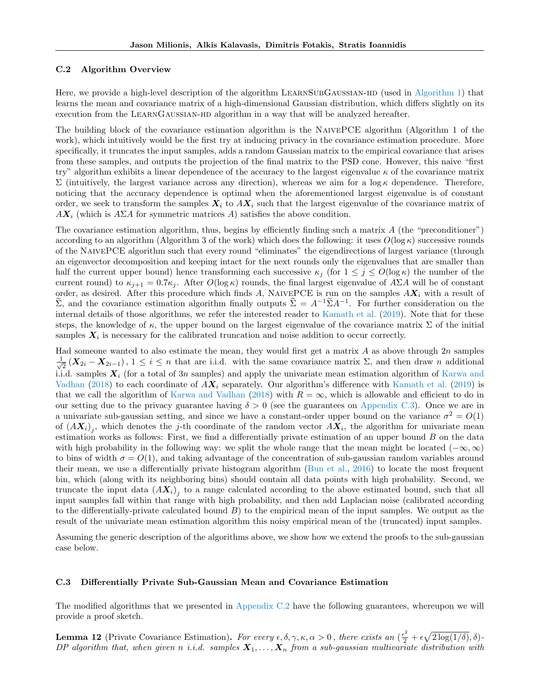### <span id="page-14-1"></span>C.2 Algorithm Overview

Here, we provide a high-level description of the algorithm LEARNSUBGAUSSIAN-HD (used in [Algorithm 1\)](#page-5-2) that learns the mean and covariance matrix of a high-dimensional Gaussian distribution, which differs slightly on its execution from the LEARNGAUSSIAN-HD algorithm in a way that will be analyzed hereafter.

The building block of the covariance estimation algorithm is the NaivePCE algorithm (Algorithm 1 of the work), which intuitively would be the first try at inducing privacy in the covariance estimation procedure. More specifically, it truncates the input samples, adds a random Gaussian matrix to the empirical covariance that arises from these samples, and outputs the projection of the final matrix to the PSD cone. However, this naive "first try" algorithm exhibits a linear dependence of the accuracy to the largest eigenvalue  $\kappa$  of the covariance matrix  $\Sigma$  (intuitively, the largest variance across any direction), whereas we aim for a log  $\kappa$  dependence. Therefore, noticing that the accuracy dependence is optimal when the aforementioned largest eigenvalue is of constant order, we seek to transform the samples  $X_i$  to  $AX_i$  such that the largest eigenvalue of the covariance matrix of  $AX_i$  (which is  $A\Sigma A$  for symmetric matrices A) satisfies the above condition.

The covariance estimation algorithm, thus, begins by efficiently finding such a matrix  $\vec{A}$  (the "preconditioner") according to an algorithm (Algorithm 3 of the work) which does the following: it uses  $O(\log \kappa)$  successive rounds of the NaivePCE algorithm such that every round "eliminates" the eigendirections of largest variance (through an eigenvector decomposition and keeping intact for the next rounds only the eigenvalues that are smaller than half the current upper bound) hence transforming each successive  $\kappa_i$  (for  $1 \leq j \leq O(\log \kappa)$  the number of the current round) to  $\kappa_{i+1} = 0.7 \kappa_i$ . After  $O(\log \kappa)$  rounds, the final largest eigenvalue of  $A\Sigma A$  will be of constant order, as desired. After this procedure which finds A, NAIVEPCE is run on the samples  $AX_i$  with a result of  $\widetilde{\Sigma}$ , and the covariance estimation algorithm finally outputs  $\widetilde{\Sigma} = A^{-1}\widetilde{\Sigma}A^{-1}$ . For further consideration on the internal details of those algorithms, we refer the interested reader to [Kamath et al.](#page-10-0) [\(2019\)](#page-10-0). Note that for these steps, the knowledge of  $\kappa$ , the upper bound on the largest eigenvalue of the covariance matrix  $\Sigma$  of the initial samples  $X_i$  is necessary for the calibrated truncation and noise addition to occur correctly.

Had someone wanted to also estimate the mean, they would first get a matrix  $A$  as above through  $2n$  samples  $\frac{1}{\sqrt{2}}$  $\frac{1}{2}$   $(X_{2i} - X_{2i-1}), 1 \leq i \leq n$  that are i.i.d. with the same covariance matrix  $\Sigma$ , and then draw *n* additional i.i.d. samples  $X_i$  (for a total of 3n samples) and apply the univariate mean estimation algorithm of [Karwa and](#page-10-1) [Vadhan](#page-10-1) [\(2018\)](#page-10-1) to each coordinate of  $AX_i$  separately. Our algorithm's difference with [Kamath et al.](#page-10-0) [\(2019\)](#page-10-0) is that we call the algorithm of [Karwa and Vadhan](#page-10-1) [\(2018\)](#page-10-1) with  $R = \infty$ , which is allowable and efficient to do in our setting due to the privacy guarantee having  $\delta > 0$  (see the guarantees on [Appendix C.3\)](#page-14-0). Once we are in a univariate sub-gaussian setting, and since we have a constant-order upper bound on the variance  $\sigma^2 = O(1)$ of  $(X_i)$ , which denotes the j-th coordinate of the random vector  $AX_i$ , the algorithm for univariate mean estimation works as follows: First, we find a differentially private estimation of an upper bound  $B$  on the data with high probability in the following way: we split the whole range that the mean might be located ( $-\infty, \infty$ ) to bins of width  $\sigma = O(1)$ , and taking advantage of the concentration of sub-gaussian random variables around their mean, we use a differentially private histogram algorithm [\(Bun et al.,](#page-9-17) [2016\)](#page-9-17) to locate the most frequent bin, which (along with its neighboring bins) should contain all data points with high probability. Second, we truncate the input data  $(AX_i)_j$  to a range calculated according to the above estimated bound, such that all input samples fall within that range with high probability, and then add Laplacian noise (calibrated according to the differentially-private calculated bound  $B$ ) to the empirical mean of the input samples. We output as the result of the univariate mean estimation algorithm this noisy empirical mean of the (truncated) input samples.

Assuming the generic description of the algorithms above, we show how we extend the proofs to the sub-gaussian case below.

### <span id="page-14-0"></span>C.3 Differentially Private Sub-Gaussian Mean and Covariance Estimation

The modified algorithms that we presented in [Appendix C.2](#page-14-1) have the following guarantees, whereupon we will provide a proof sketch.

<span id="page-14-2"></span>**Lemma 12** (Private Covariance Estimation). For every  $\epsilon, \delta, \gamma, \kappa, \alpha > 0$ , there exists an  $(\frac{\epsilon^2}{2} + \epsilon \sqrt{2 \log(1/\delta)}, \delta)$ -DP algorithm that, when given n i.i.d. samples  $X_1, \ldots, X_n$  from a sub-gaussian multivariate distribution with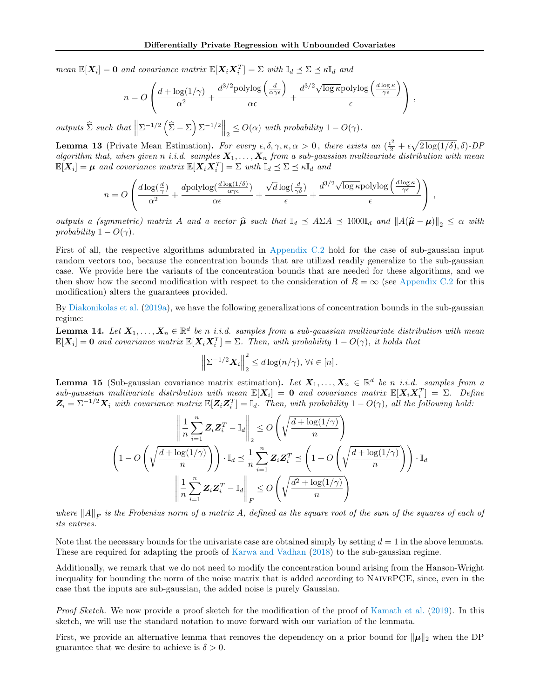mean  $\mathbb{E}[X_i] = 0$  and covariance matrix  $\mathbb{E}[X_i X_i^T] = \Sigma$  with  $\mathbb{I}_d \preceq \Sigma \preceq \kappa \mathbb{I}_d$  and

$$
n = O\left(\frac{d + \log(1/\gamma)}{\alpha^2} + \frac{d^{3/2} \text{polylog}\left(\frac{d}{\alpha \gamma \epsilon}\right)}{\alpha \epsilon} + \frac{d^{3/2} \sqrt{\log \kappa} \text{polylog}\left(\frac{d \log \kappa}{\gamma \epsilon}\right)}{\epsilon}\right),
$$

outputs  $\hat{\Sigma}$  such that  $\left\|\Sigma^{-1/2}\left(\hat{\Sigma} - \Sigma\right) \Sigma^{-1/2}\right\|_2 \le O(\alpha)$  with probability  $1 - O(\gamma)$ .

<span id="page-15-1"></span>**Lemma 13** (Private Mean Estimation). For every  $\epsilon, \delta, \gamma, \kappa, \alpha > 0$ , there exists an  $(\frac{\epsilon^2}{2} + \epsilon \sqrt{2 \log(1/\delta)}, \delta)$ -DP algorithm that, when given n i.i.d. samples  $X_1, \ldots, X_n$  from a sub-gaussian multivariate distribution with mean  $\mathbb{E}[X_i] = \mu$  and covariance matrix  $\mathbb{E}[X_i X_i^T] = \Sigma$  with  $\mathbb{I}_d \preceq \Sigma \preceq \kappa \mathbb{I}_d$  and

$$
n = O\left(\frac{d\log(\frac{d}{\gamma})}{\alpha^2} + \frac{d\text{polylog}(\frac{d\log(1/\delta)}{\alpha\gamma\epsilon})}{\alpha\epsilon} + \frac{\sqrt{d}\log(\frac{d}{\gamma\delta})}{\epsilon} + \frac{d^{3/2}\sqrt{\log \kappa} \text{polylog}\left(\frac{d\log \kappa}{\gamma\epsilon}\right)}{\epsilon}\right),
$$

outputs a (symmetric) matrix A and a vector  $\hat{\mu}$  such that  $\mathbb{I}_d \preceq A \Sigma A \preceq 1000 \mathbb{I}_d$  and  $||A(\hat{\mu} - \mu)||_2 \preceq \alpha$  with probability  $1 - O(\gamma)$ .

First of all, the respective algorithms adumbrated in [Appendix C.2](#page-14-1) hold for the case of sub-gaussian input random vectors too, because the concentration bounds that are utilized readily generalize to the sub-gaussian case. We provide here the variants of the concentration bounds that are needed for these algorithms, and we then show how the second modification with respect to the consideration of  $R = \infty$  (see [Appendix C.2](#page-14-1) for this modification) alters the guarantees provided.

By [Diakonikolas et al.](#page-9-18) [\(2019a\)](#page-9-18), we have the following generalizations of concentration bounds in the sub-gaussian regime:

<span id="page-15-2"></span>**Lemma 14.** Let  $X_1, \ldots, X_n \in \mathbb{R}^d$  be n i.i.d. samples from a sub-gaussian multivariate distribution with mean  $\mathbb{E}[X_i] = 0$  and covariance matrix  $\mathbb{E}[X_i X_i^T] = \Sigma$ . Then, with probability  $1 - O(\gamma)$ , it holds that

$$
\left\|\Sigma^{-1/2}\mathbf{X}_i\right\|_2^2 \leq d\log(n/\gamma), \,\forall i \in [n].
$$

**Lemma 15** (Sub-gaussian covariance matrix estimation). Let  $X_1, \ldots, X_n \in \mathbb{R}^d$  be n *i.i.d.* samples from a  $sub-gaussian$  multivariate distribution with mean  $\mathbb{E}[\bm{X}_i] = \bm{0}$  and covariance matrix  $\mathbb{E}[\bm{X}_i \bm{X}_i^T] = \Sigma$ . Define  $\mathbf{Z}_i = \Sigma^{-1/2} \mathbf{X}_i$  with covariance matrix  $\mathbb{E}[\mathbf{Z}_i \mathbf{Z}_i^T] = \mathbb{I}_d$ . Then, with probability  $1 - O(\gamma)$ , all the following hold:

$$
\left\| \frac{1}{n} \sum_{i=1}^{n} \mathbf{Z}_{i} \mathbf{Z}_{i}^{T} - \mathbb{I}_{d} \right\|_{2} \leq O\left(\sqrt{\frac{d + \log(1/\gamma)}{n}}\right)
$$
  

$$
\left(1 - O\left(\sqrt{\frac{d + \log(1/\gamma)}{n}}\right)\right) \cdot \mathbb{I}_{d} \leq \frac{1}{n} \sum_{i=1}^{n} \mathbf{Z}_{i} \mathbf{Z}_{i}^{T} \leq \left(1 + O\left(\sqrt{\frac{d + \log(1/\gamma)}{n}}\right)\right) \cdot \mathbb{I}_{d}
$$
  

$$
\left\| \frac{1}{n} \sum_{i=1}^{n} \mathbf{Z}_{i} \mathbf{Z}_{i}^{T} - \mathbb{I}_{d} \right\|_{F} \leq O\left(\sqrt{\frac{d^{2} + \log(1/\gamma)}{n}}\right)
$$

where  $||A||_F$  is the Frobenius norm of a matrix A, defined as the square root of the sum of the squares of each of its entries.

Note that the necessary bounds for the univariate case are obtained simply by setting  $d = 1$  in the above lemmata. These are required for adapting the proofs of [Karwa and Vadhan](#page-10-1) [\(2018\)](#page-10-1) to the sub-gaussian regime.

Additionally, we remark that we do not need to modify the concentration bound arising from the Hanson-Wright inequality for bounding the norm of the noise matrix that is added according to NAIVEPCE, since, even in the case that the inputs are sub-gaussian, the added noise is purely Gaussian.

Proof Sketch. We now provide a proof sketch for the modification of the proof of [Kamath et al.](#page-10-0) [\(2019\)](#page-10-0). In this sketch, we will use the standard notation to move forward with our variation of the lemmata.

<span id="page-15-0"></span>First, we provide an alternative lemma that removes the dependency on a prior bound for  $\|\mu\|_2$  when the DP guarantee that we desire to achieve is  $\delta > 0$ .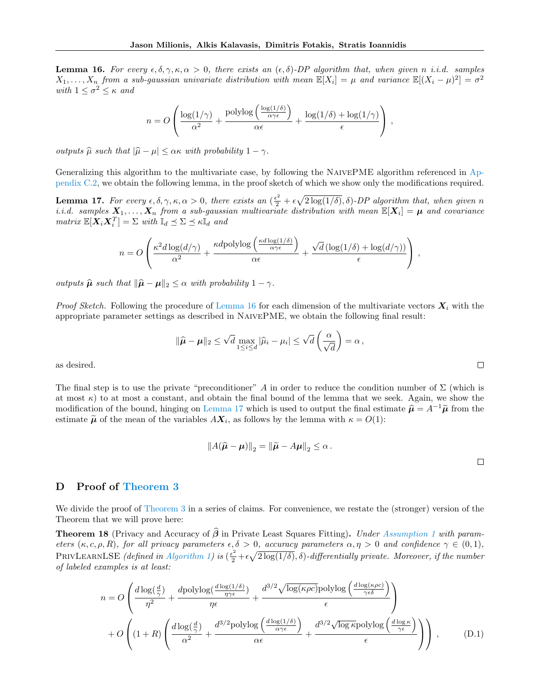**Lemma 16.** For every  $\epsilon, \delta, \gamma, \kappa, \alpha > 0$ , there exists an  $(\epsilon, \delta)$ -DP algorithm that, when given n i.i.d. samples  $X_1,\ldots,X_n$  from a sub-gaussian univariate distribution with mean  $\mathbb{E}[X_i] = \mu$  and variance  $\mathbb{E}[(X_i - \mu)^2] = \sigma^2$ with  $1 \leq \sigma^2 \leq \kappa$  and

$$
n = O\left(\frac{\log(1/\gamma)}{\alpha^2} + \frac{\text{polylog}\left(\frac{\log(1/\delta)}{\alpha\gamma\epsilon}\right)}{\alpha\epsilon} + \frac{\log(1/\delta) + \log(1/\gamma)}{\epsilon}\right),
$$

outputs  $\widehat{\mu}$  such that  $|\widehat{\mu} - \mu| \leq \alpha \kappa$  with probability  $1 - \gamma$ .

Generalizing this algorithm to the multivariate case, by following the NaivePME algorithm referenced in [Ap](#page-14-1)[pendix C.2,](#page-14-1) we obtain the following lemma, in the proof sketch of which we show only the modifications required.

<span id="page-16-1"></span>**Lemma 17.** For every  $\epsilon, \delta, \gamma, \kappa, \alpha > 0$ , there exists an  $(\frac{\epsilon^2}{2} + \epsilon \sqrt{2 \log(1/\delta)}, \delta)$ -DP algorithm that, when given n i.i.d. samples  $X_1, \ldots, X_n$  from a sub-gaussian multivariate distribution with mean  $\mathbb{E}[X_i] = \mu$  and covariance  $matrix \ \mathbb{E}[\boldsymbol{X}_i \boldsymbol{X}_i^T] = \Sigma \ with \ \mathbb{I}_d \preceq \Sigma \preceq \kappa \mathbb{I}_d \ and$ 

$$
n = O\left(\frac{\kappa^2 d \log(d/\gamma)}{\alpha^2} + \frac{\kappa d \mathrm{polylog}\left(\frac{\kappa d \log(1/\delta)}{\alpha \gamma \epsilon}\right)}{\alpha \epsilon} + \frac{\sqrt{d} \left(\log(1/\delta) + \log(d/\gamma)\right)}{\epsilon}\right),
$$

outputs  $\hat{\mu}$  such that  $\|\hat{\mu} - \mu\|_2 \leq \alpha$  with probability  $1 - \gamma$ .

*Proof Sketch.* Following the procedure of [Lemma 16](#page-15-0) for each dimension of the multivariate vectors  $X_i$  with the appropriate parameter settings as described in NaivePME, we obtain the following final result:

$$
\|\widehat{\boldsymbol{\mu}} - \boldsymbol{\mu}\|_2 \leq \sqrt{d} \max_{1 \leq i \leq d} |\widehat{\mu}_i - \mu_i| \leq \sqrt{d} \left(\frac{\alpha}{\sqrt{d}}\right) = \alpha,
$$

as desired.

The final step is to use the private "preconditioner" A in order to reduce the condition number of  $\Sigma$  (which is at most  $\kappa$ ) to at most a constant, and obtain the final bound of the lemma that we seek. Again, we show the modification of the bound, hinging on [Lemma 17](#page-16-1) which is used to output the final estimate  $\hat{\mu} = A^{-1}\tilde{\mu}$  from the estimate  $\widetilde{\mu}$  of the mean of the variables  $AX_i$ , as follows by the lemma with  $\kappa = O(1)$ :

<span id="page-16-2"></span>
$$
||A(\hat{\boldsymbol{\mu}} - \boldsymbol{\mu})||_2 = ||\tilde{\boldsymbol{\mu}} - A\boldsymbol{\mu}||_2 \le \alpha.
$$

# <span id="page-16-0"></span>D Proof of [Theorem 3](#page-5-1)

We divide the proof of [Theorem 3](#page-5-1) in a series of claims. For convenience, we restate the (stronger) version of the Theorem that we will prove here:

**Theorem 18** (Privacy and Accuracy of  $\hat{\beta}$  in Private Least Squares Fitting). Under [Assumption 1](#page-3-3) with parameters  $(\kappa, c, \rho, R)$ , for all privacy parameters  $\epsilon, \delta > 0$ , accuracy parameters  $\alpha, \eta > 0$  and confidence  $\gamma \in (0, 1)$ , PRIVLEARNLSE (defined in [Algorithm 1\)](#page-5-2) is  $(\frac{\epsilon^2}{2}+\epsilon\sqrt{2\log(1/\delta)},\delta)$ -differentially private. Moreover, if the number of labeled examples is at least:

$$
n = O\left(\frac{d\log(\frac{d}{\gamma})}{\eta^2} + \frac{d\text{polylog}(\frac{d\log(1/\delta)}{\eta\gamma\epsilon})}{\eta\epsilon} + \frac{d^{3/2}\sqrt{\log(\kappa\rho c)}\text{polylog}\left(\frac{d\log(\kappa\rho c)}{\gamma\epsilon\delta}\right)}{\epsilon}\right) + O\left((1+R)\left(\frac{d\log(\frac{d}{\gamma})}{\alpha^2} + \frac{d^{3/2}\text{polylog}\left(\frac{d\log(1/\delta)}{\alpha\gamma\epsilon}\right)}{\alpha\epsilon} + \frac{d^{3/2}\sqrt{\log \kappa}\text{polylog}\left(\frac{d\log\kappa}{\gamma\epsilon}\right)}{\epsilon}\right)\right),\tag{D.1}
$$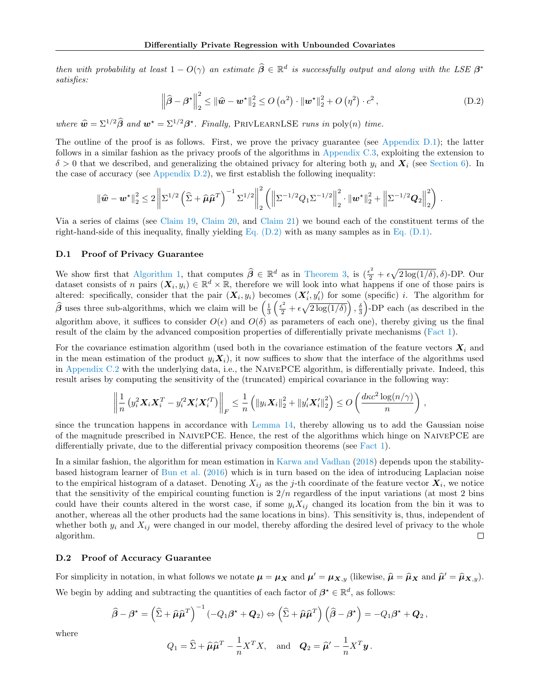then with probability at least  $1 - O(\gamma)$  an estimate  $\widehat{\boldsymbol{\beta}} \in \mathbb{R}^d$  is successfully output and along with the LSE  $\boldsymbol{\beta}^*$ satisfies:

<span id="page-17-2"></span>
$$
\left\|\widehat{\boldsymbol{\beta}} - \boldsymbol{\beta}^{\star}\right\|_{2}^{2} \leq \left\|\widehat{\boldsymbol{w}} - \boldsymbol{w}^{\star}\right\|_{2}^{2} \leq O\left(\alpha^{2}\right) \cdot \left\|\boldsymbol{w}^{\star}\right\|_{2}^{2} + O\left(\eta^{2}\right) \cdot c^{2},\tag{D.2}
$$

where  $\hat{\mathbf{w}} = \Sigma^{1/2} \hat{\boldsymbol{\beta}}$  and  $\mathbf{w}^* = \Sigma^{1/2} \hat{\boldsymbol{\beta}}^*$ . Finally, PRIVLEARNLSE runs in poly(n) time.

The outline of the proof is as follows. First, we prove the privacy guarantee (see [Appendix D.1\)](#page-17-0); the latter follows in a similar fashion as the privacy proofs of the algorithms in [Appendix C.3,](#page-14-0) exploiting the extension to  $\delta > 0$  that we described, and generalizing the obtained privacy for altering both  $y_i$  and  $\mathbf{X}_i$  (see [Section 6\)](#page-6-0). In the case of accuracy (see Appendix  $D.2$ ), we first establish the following inequality:

$$
\left\|\widehat{\boldsymbol{w}}-\boldsymbol{w}^{\star}\right\|_{2}^{2}\leq2\left\|\Sigma^{1/2}\left(\widehat{\Sigma}+\widehat{\boldsymbol{\mu}}\widehat{\boldsymbol{\mu}}^{T}\right)^{-1}\Sigma^{1/2}\right\|_{2}^{2}\left(\left\|\Sigma^{-1/2}Q_{1}\Sigma^{-1/2}\right\|_{2}^{2}\cdot\left\|\boldsymbol{w}^{\star}\right\|_{2}^{2}+\left\|\Sigma^{-1/2}\boldsymbol{Q}_{2}\right\|_{2}^{2}\right)\,.
$$

Via a series of claims (see [Claim 19,](#page-18-0) [Claim 20,](#page-18-1) and [Claim 21\)](#page-18-2) we bound each of the constituent terms of the right-hand-side of this inequality, finally yielding Eq.  $(D.2)$  with as many samples as in Eq.  $(D.1)$ .

### <span id="page-17-0"></span>D.1 Proof of Privacy Guarantee

We show first that [Algorithm 1,](#page-5-2) that computes  $\hat{\beta} \in \mathbb{R}^d$  as in [Theorem 3,](#page-5-1) is  $(\frac{\epsilon^2}{2} + \epsilon \sqrt{2 \log(1/\delta)}, \delta)$ -DP. Our dataset consists of *n* pairs  $(X_i, y_i) \in \mathbb{R}^d \times \mathbb{R}$ , therefore we will look into what happens if one of those pairs is altered: specifically, consider that the pair  $(X_i, y_i)$  becomes  $(X'_i, y'_i)$  for some (specific) *i*. The algorithm for  $\hat{\beta}$  uses three sub-algorithms, which we claim will be  $\left(\frac{1}{3}\left(\frac{\epsilon^2}{2}+\epsilon\sqrt{2\log(1/\delta)}\right),\frac{\delta}{3}\right)$ -DP each (as described in the algorithm above, it suffices to consider  $O(\epsilon)$  and  $O(\delta)$  as parameters of each one), thereby giving us the final result of the claim by the advanced composition properties of differentially private mechanisms [\(Fact 1\)](#page-2-0).

For the covariance estimation algorithm (used both in the covariance estimation of the feature vectors  $X_i$  and in the mean estimation of the product  $y_i \mathbf{X}_i$ , it now suffices to show that the interface of the algorithms used in [Appendix C.2](#page-14-1) with the underlying data, i.e., the NAIVEPCE algorithm, is differentially private. Indeed, this result arises by computing the sensitivity of the (truncated) empirical covariance in the following way:

$$
\left\| \frac{1}{n} \left( y_i^2 \mathbf{X}_i \mathbf{X}_i^T - y_i'^2 \mathbf{X}_i' \mathbf{X}_i'^T \right) \right\|_F \leq \frac{1}{n} \left( \| y_i \mathbf{X}_i \|_2^2 + \| y_i' \mathbf{X}_i' \|_2^2 \right) \leq O \left( \frac{d\kappa c^2 \log(n/\gamma)}{n} \right) \,,
$$

since the truncation happens in accordance with [Lemma 14,](#page-15-2) thereby allowing us to add the Gaussian noise of the magnitude prescribed in NaivePCE. Hence, the rest of the algorithms which hinge on NaivePCE are differentially private, due to the differential privacy composition theorems (see [Fact 1\)](#page-2-0).

In a similar fashion, the algorithm for mean estimation in [Karwa and Vadhan](#page-10-1) [\(2018\)](#page-10-1) depends upon the stabilitybased histogram learner of [Bun et al.](#page-9-17) [\(2016\)](#page-9-17) which is in turn based on the idea of introducing Laplacian noise to the empirical histogram of a dataset. Denoting  $X_{ij}$  as the j-th coordinate of the feature vector  $\bm{X}_i$ , we notice that the sensitivity of the empirical counting function is  $2/n$  regardless of the input variations (at most 2 bins could have their counts altered in the worst case, if some  $y_i X_{ij}$  changed its location from the bin it was to another, whereas all the other products had the same locations in bins). This sensitivity is, thus, independent of whether both  $y_i$  and  $X_{ij}$  were changed in our model, thereby affording the desired level of privacy to the whole  $\Box$ algorithm.

## <span id="page-17-1"></span>D.2 Proof of Accuracy Guarantee

For simplicity in notation, in what follows we notate  $\mu = \mu_X$  and  $\mu' = \mu_{X,y}$  (likewise,  $\hat{\mu} = \hat{\mu}_X$  and  $\hat{\mu}' = \hat{\mu}_{X,y}$ ). We begin by adding and subtracting the quantities of each factor of  $\beta^* \in \mathbb{R}^d$ , as follows:

$$
\widehat{\boldsymbol{\beta}} - \boldsymbol{\beta}^{\star} = \left(\widehat{\Sigma} + \widehat{\boldsymbol{\mu}} \widehat{\boldsymbol{\mu}}^{T}\right)^{-1} \left(-Q_{1} \boldsymbol{\beta}^{\star} + \boldsymbol{Q}_{2}\right) \Leftrightarrow \left(\widehat{\Sigma} + \widehat{\boldsymbol{\mu}} \widehat{\boldsymbol{\mu}}^{T}\right) \left(\widehat{\boldsymbol{\beta}} - \boldsymbol{\beta}^{\star}\right) = -Q_{1} \boldsymbol{\beta}^{\star} + \boldsymbol{Q}_{2},
$$

where

$$
Q_1 = \hat{\Sigma} + \hat{\mu}\hat{\mu}^T - \frac{1}{n}X^TX
$$
, and  $Q_2 = \hat{\mu}' - \frac{1}{n}X^T\mathbf{y}$ .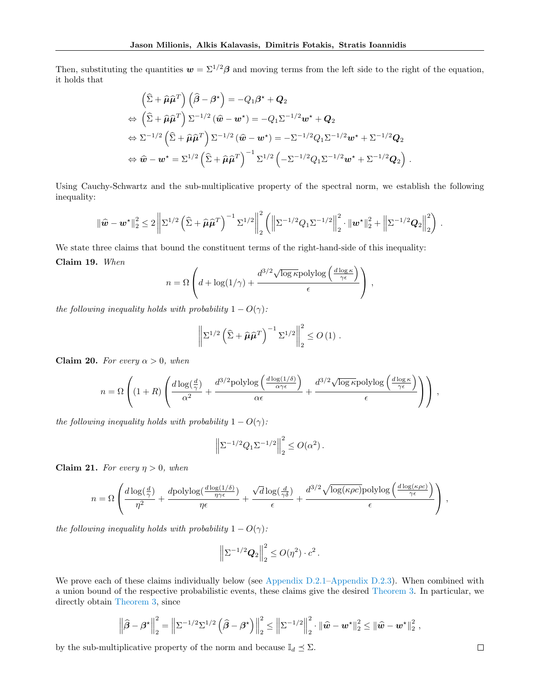Then, substituting the quantities  $w = \Sigma^{1/2} \beta$  and moving terms from the left side to the right of the equation, it holds that

$$
\left(\widehat{\Sigma} + \widehat{\mu}\widehat{\mu}^T\right)\left(\widehat{\beta} - \beta^*\right) = -Q_1\beta^* + Q_2
$$
\n
$$
\Leftrightarrow \left(\widehat{\Sigma} + \widehat{\mu}\widehat{\mu}^T\right)\Sigma^{-1/2}\left(\widehat{w} - w^*\right) = -Q_1\Sigma^{-1/2}w^* + Q_2
$$
\n
$$
\Leftrightarrow \Sigma^{-1/2}\left(\widehat{\Sigma} + \widehat{\mu}\widehat{\mu}^T\right)\Sigma^{-1/2}\left(\widehat{w} - w^*\right) = -\Sigma^{-1/2}Q_1\Sigma^{-1/2}w^* + \Sigma^{-1/2}Q_2
$$
\n
$$
\Leftrightarrow \widehat{w} - w^* = \Sigma^{1/2}\left(\widehat{\Sigma} + \widehat{\mu}\widehat{\mu}^T\right)^{-1}\Sigma^{1/2}\left(-\Sigma^{-1/2}Q_1\Sigma^{-1/2}w^* + \Sigma^{-1/2}Q_2\right).
$$

Using Cauchy-Schwartz and the sub-multiplicative property of the spectral norm, we establish the following inequality:

$$
\|\widehat{\mathbf{w}} - \mathbf{w}^{\star}\|_{2}^{2} \leq 2 \left\|\Sigma^{1/2} \left(\widehat{\Sigma} + \widehat{\mu}\widehat{\mu}^{T}\right)^{-1} \Sigma^{1/2}\right\|_{2}^{2} \left(\left\|\Sigma^{-1/2} Q_{1} \Sigma^{-1/2}\right\|_{2}^{2} \cdot \|\mathbf{w}^{\star}\|_{2}^{2} + \left\|\Sigma^{-1/2} Q_{2}\right\|_{2}^{2}\right).
$$

<span id="page-18-0"></span>We state three claims that bound the constituent terms of the right-hand-side of this inequality: Claim 19. When

$$
n = \Omega \left( d + \log(1/\gamma) + \frac{d^{3/2} \sqrt{\log \kappa} \text{polylog}\left(\frac{d \log \kappa}{\gamma \epsilon}\right)}{\epsilon} \right) ,
$$

the following inequality holds with probability  $1 - O(\gamma)$ :

$$
\left\|\Sigma^{1/2}\left(\widehat{\Sigma}+\widehat{\boldsymbol{\mu}}\widehat{\boldsymbol{\mu}}^T\right)^{-1}\Sigma^{1/2}\right\|_2^2\leq O\left(1\right).
$$

<span id="page-18-1"></span>Claim 20. For every  $\alpha > 0$ , when

$$
n = \Omega \left( (1+R) \left( \frac{d \log(\frac{d}{\gamma})}{\alpha^2} + \frac{d^{3/2} \text{polylog}\left( \frac{d \log(1/\delta)}{\alpha \gamma \epsilon} \right)}{\alpha \epsilon} + \frac{d^{3/2} \sqrt{\log \kappa} \text{polylog}\left( \frac{d \log \kappa}{\gamma \epsilon} \right)}{\epsilon} \right) \right) ,
$$

the following inequality holds with probability  $1 - O(\gamma)$ :

$$
\left\|\Sigma^{-1/2}Q_1\Sigma^{-1/2}\right\|_2^2 \le O(\alpha^2).
$$

<span id="page-18-2"></span>Claim 21. For every  $\eta > 0$ , when

$$
n = \Omega \left( \frac{d \log(\frac{d}{\gamma})}{\eta^2} + \frac{d \text{polylog}(\frac{d \log(1/\delta)}{\eta \gamma \epsilon})}{\eta \epsilon} + \frac{\sqrt{d} \log(\frac{d}{\gamma \delta})}{\epsilon} + \frac{d^{3/2} \sqrt{\log(\kappa \rho c)} \text{polylog}\left(\frac{d \log(\kappa \rho c)}{\gamma \epsilon}\right)}{\epsilon} \right) ,
$$

the following inequality holds with probability  $1 - O(\gamma)$ :

$$
\left\|\Sigma^{-1/2}\mathbf{Q}_2\right\|_2^2 \leq O(\eta^2) \cdot c^2.
$$

We prove each of these claims individually below (see [Appendix D.2.1–](#page-19-0)[Appendix D.2.3\)](#page-22-0). When combined with a union bound of the respective probabilistic events, these claims give the desired [Theorem 3.](#page-5-1) In particular, we directly obtain [Theorem 3,](#page-5-1) since

$$
\left\|\widehat{\boldsymbol{\beta}} - \boldsymbol{\beta}^{\star}\right\|_{2}^{2} = \left\|\Sigma^{-1/2}\Sigma^{1/2}\left(\widehat{\boldsymbol{\beta}} - \boldsymbol{\beta}^{\star}\right)\right\|_{2}^{2} \le \left\|\Sigma^{-1/2}\right\|_{2}^{2} \cdot \left\|\widehat{\boldsymbol{w}} - \boldsymbol{w}^{\star}\right\|_{2}^{2} \le \left\|\widehat{\boldsymbol{w}} - \boldsymbol{w}^{\star}\right\|_{2}^{2},
$$

by the sub-multiplicative property of the norm and because  $\mathbb{I}_d \preceq \Sigma$ .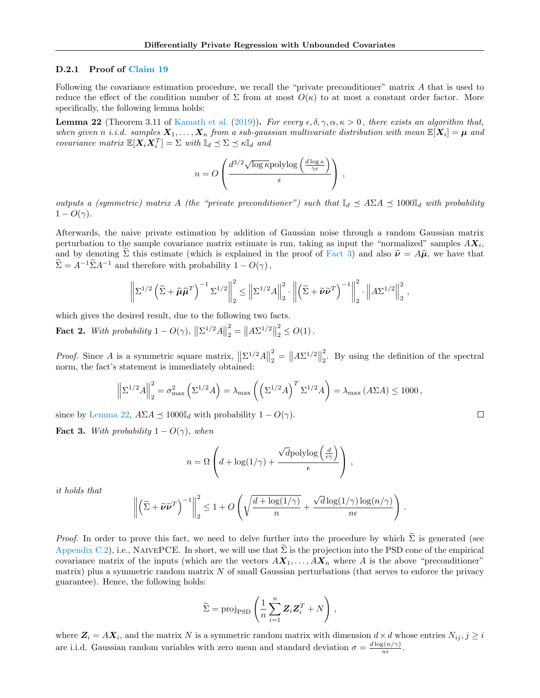### <span id="page-19-0"></span>D.2.1 Proof of [Claim 19](#page-18-0)

Following the covariance estimation procedure, we recall the "private preconditioner" matrix A that is used to reduce the effect of the condition number of  $\Sigma$  from at most  $O(\kappa)$  to at most a constant order factor. More specifically, the following lemma holds:

<span id="page-19-2"></span>**Lemma 22** (Theorem 3.11 of [Kamath et al.](#page-10-0) [\(2019\)](#page-10-0)). For every  $\epsilon, \delta, \gamma, \alpha, \kappa > 0$ , there exists an algorithm that, when given n i.i.d. samples  $X_1, \ldots, X_n$  from a sub-gaussian multivariate distribution with mean  $\mathbb{E}[X_i] = \mu$  and covariance matrix  $\mathbb{E}[X_i X_i^T] = \Sigma$  with  $\mathbb{I}_d \preceq \Sigma \preceq \kappa \mathbb{I}_d$  and

$$
n = O\left(\frac{d^{3/2}\sqrt{\log \kappa} \mathrm{polylog}\left(\frac{d \log \kappa}{\gamma \epsilon}\right)}{\epsilon}\right) \,,
$$

outputs a (symmetric) matrix A (the "private preconditioner") such that  $\mathbb{I}_d \preceq A \Sigma A \preceq 1000\mathbb{I}_d$  with probability  $1 - O(\gamma)$ .

Afterwards, the naive private estimation by addition of Gaussian noise through a random Gaussian matrix perturbation to the sample covariance matrix estimate is run, taking as input the "normalized" samples  $AX_i$ , and by denoting  $\Sigma$  this estimate (which is explained in the proof of [Fact 3\)](#page-19-1) and also  $\widetilde{\nu} = A\widehat{\mu}$ , we have that  $\widehat{\Sigma} = A^{-1} \widetilde{\Sigma} A^{-1}$  and therefore with probability  $1 - O(\gamma)$ ,

$$
\left\|\Sigma^{1/2}\left(\widehat{\Sigma}+\widehat{\boldsymbol{\mu}}\widehat{\boldsymbol{\mu}}^{T}\right)^{-1}\Sigma^{1/2}\right\|_{2}^{2} \leq \left\|\Sigma^{1/2}A\right\|_{2}^{2} \cdot \left\|\left(\widetilde{\Sigma}+\widetilde{\boldsymbol{\nu}}\widetilde{\boldsymbol{\nu}}^{T}\right)^{-1}\right\|_{2}^{2} \cdot \left\|\mathbf{A}\Sigma^{1/2}\right\|_{2}^{2},
$$

which gives the desired result, due to the following two facts.

<span id="page-19-3"></span>**Fact 2.** With probability  $1 - O(\gamma)$ ,  $\left\| \sum^{1/2} A \right\|$ 2  $\binom{2}{2} = \|A\Sigma^{1/2}\|$ 2  $\frac{2}{2} \leq O(1)$ .

*Proof.* Since A is a symmetric square matrix,  $\|\Sigma^{1/2}A\|$ 2  $\binom{2}{2} = \|A\Sigma^{1/2}\|$ 2 2 . By using the definition of the spectral norm, the fact's statement is immediately obtained:

$$
\left\|\Sigma^{1/2}A\right\|_{2}^{2} = \sigma_{\max}^{2}\left(\Sigma^{1/2}A\right) = \lambda_{\max}\left(\left(\Sigma^{1/2}A\right)^{T}\Sigma^{1/2}A\right) = \lambda_{\max}\left(A\Sigma A\right) \le 1000,
$$

since by [Lemma 22,](#page-19-2)  $A\Sigma A \preceq 1000\mathbb{I}_d$  with probability  $1 - O(\gamma)$ .

<span id="page-19-1"></span>**Fact 3.** With probability  $1 - O(\gamma)$ , when

$$
n = \Omega \left( d + \log(1/\gamma) + \frac{\sqrt{d} \text{polylog} \left( \frac{d}{\epsilon \gamma} \right)}{\epsilon} \right),
$$

it holds that

$$
\left\|\left(\widetilde{\Sigma}+\widetilde{\boldsymbol{\nu}}\widetilde{\boldsymbol{\nu}}^T\right)^{-1}\right\|_2^2 \leq 1 + O\left(\sqrt{\frac{d+\log(1/\gamma)}{n}} + \frac{\sqrt{d}\log(1/\gamma)\log(n/\gamma)}{n\epsilon}\right).
$$

*Proof.* In order to prove this fact, we need to delve further into the procedure by which  $\tilde{\Sigma}$  is generated (see [Appendix C.2\)](#page-14-1), i.e., NAIVEPCE. In short, we will use that  $\Sigma$  is the projection into the PSD cone of the empirical covariance matrix of the inputs (which are the vectors  $AX_1, \ldots, AX_n$  where A is the above "preconditioner" matrix) plus a symmetric random matrix  $N$  of small Gaussian perturbations (that serves to enforce the privacy guarantee). Hence, the following holds:

$$
\widetilde{\Sigma} = \text{proj}_{\text{PSD}} \left( \frac{1}{n} \sum_{i=1}^{n} \mathbf{Z}_{i} \mathbf{Z}_{i}^{T} + N \right),
$$

where  $\mathbf{Z}_i = A\mathbf{X}_i$ , and the matrix N is a symmetric random matrix with dimension  $d \times d$  whose entries  $N_{ij}, j \geq i$ are i.i.d. Gaussian random variables with zero mean and standard deviation  $\sigma = \frac{d \log(n/\gamma)}{n \epsilon}$  $\frac{g(n/\gamma)}{n\epsilon}$ .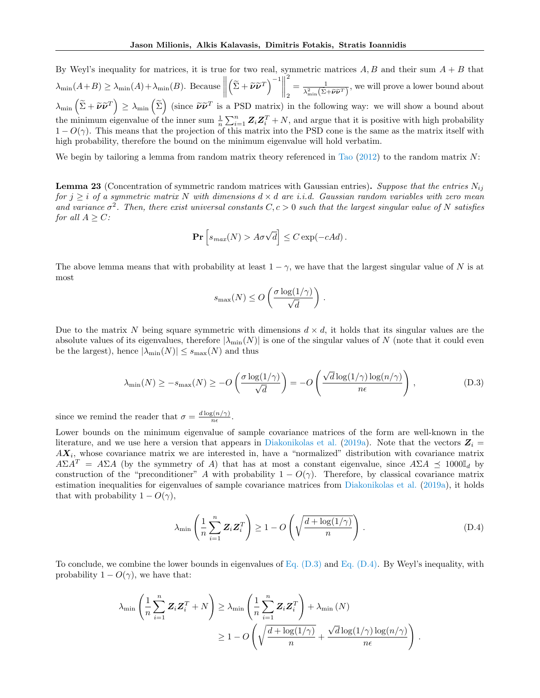By Weyl's inequality for matrices, it is true for two real, symmetric matrices  $A, B$  and their sum  $A + B$  that  $\lambda_{\min}(A+B) \geq \lambda_{\min}(A) + \lambda_{\min}(B)$ . Because  $\left( \widetilde{\Sigma} + \widetilde{\boldsymbol{\nu}} \widetilde{\boldsymbol{\nu}}^T \right)^{-1}$ 2 2  $=\frac{1}{\sqrt{2}+\tilde{\sigma}}$  $\frac{1}{\lambda_{\min}^2(\tilde{\Sigma}+\tilde{\nu}\tilde{\nu}^T)}$ , we will prove a lower bound about  $\lambda_{\min} \left( \tilde{\Sigma} + \tilde{\nu} \tilde{\nu}^T \right) \geq \lambda_{\min} \left( \tilde{\Sigma} \right)$  (since  $\tilde{\nu} \tilde{\nu}^T$  is a PSD matrix) in the following way: we will show a bound about the minimum eigenvalue of the inner sum  $\frac{1}{n}\sum_{i=1}^{n}\mathbf{Z}_i\mathbf{Z}_i^T+N$ , and argue that it is positive with high probability  $1 - O(\gamma)$ . This means that the projection of this matrix into the PSD cone is the same as the matrix itself with high probability, therefore the bound on the minimum eigenvalue will hold verbatim.

We begin by tailoring a lemma from random matrix theory referenced in [Tao](#page-11-15)  $(2012)$  to the random matrix N:

**Lemma 23** (Concentration of symmetric random matrices with Gaussian entries). Suppose that the entries  $N_{ij}$ for  $j \geq i$  of a symmetric matrix N with dimensions  $d \times d$  are i.i.d. Gaussian random variables with zero mean and variance  $\sigma^2$ . Then, there exist universal constants  $C, c > 0$  such that the largest singular value of N satisfies for all  $A \geq C$ :

$$
\mathbf{Pr}\left[s_{max}(N) > A\sigma\sqrt{d}\right] \leq C\exp(-cAd).
$$

The above lemma means that with probability at least  $1 - \gamma$ , we have that the largest singular value of N is at most

$$
s_{\max}(N) \le O\left(\frac{\sigma \log(1/\gamma)}{\sqrt{d}}\right).
$$

Due to the matrix N being square symmetric with dimensions  $d \times d$ , it holds that its singular values are the absolute values of its eigenvalues, therefore  $|\lambda_{\min}(N)|$  is one of the singular values of N (note that it could even be the largest), hence  $|\lambda_{\min}(N)| \leq s_{\max}(N)$  and thus

<span id="page-20-0"></span>
$$
\lambda_{\min}(N) \ge -s_{\max}(N) \ge -O\left(\frac{\sigma \log(1/\gamma)}{\sqrt{d}}\right) = -O\left(\frac{\sqrt{d}\log(1/\gamma)\log(n/\gamma)}{n\epsilon}\right),\tag{D.3}
$$

since we remind the reader that  $\sigma = \frac{d \log(n/\gamma)}{n \epsilon}$  $\frac{g(n/\gamma)}{n\epsilon}$ .

Lower bounds on the minimum eigenvalue of sample covariance matrices of the form are well-known in the literature, and we use here a version that appears in [Diakonikolas et al.](#page-9-18) [\(2019a\)](#page-9-18). Note that the vectors  $Z_i =$  $AX_i$ , whose covariance matrix we are interested in, have a "normalized" distribution with covariance matrix  $A\Sigma A^T = A\Sigma A$  (by the symmetry of A) that has at most a constant eigenvalue, since  $A\Sigma A \preceq 1000\mathbb{I}_d$  by construction of the "preconditioner" A with probability  $1 - O(\gamma)$ . Therefore, by classical covariance matrix estimation inequalities for eigenvalues of sample covariance matrices from [Diakonikolas et al.](#page-9-18) [\(2019a\)](#page-9-18), it holds that with probability  $1 - O(\gamma)$ ,

<span id="page-20-1"></span>
$$
\lambda_{\min}\left(\frac{1}{n}\sum_{i=1}^{n}\mathbf{Z}_{i}\mathbf{Z}_{i}^{T}\right) \ge 1 - O\left(\sqrt{\frac{d + \log(1/\gamma)}{n}}\right).
$$
\n(D.4)

To conclude, we combine the lower bounds in eigenvalues of [Eq. \(D.3\)](#page-20-0) and [Eq. \(D.4\).](#page-20-1) By Weyl's inequality, with probability  $1 - O(\gamma)$ , we have that:

$$
\lambda_{\min}\left(\frac{1}{n}\sum_{i=1}^{n}\mathbf{Z}_{i}\mathbf{Z}_{i}^{T} + N\right) \geq \lambda_{\min}\left(\frac{1}{n}\sum_{i=1}^{n}\mathbf{Z}_{i}\mathbf{Z}_{i}^{T}\right) + \lambda_{\min}\left(N\right) \geq 1 - O\left(\sqrt{\frac{d + \log(1/\gamma)}{n}} + \frac{\sqrt{d}\log(1/\gamma)\log(n/\gamma)}{n\epsilon}\right).
$$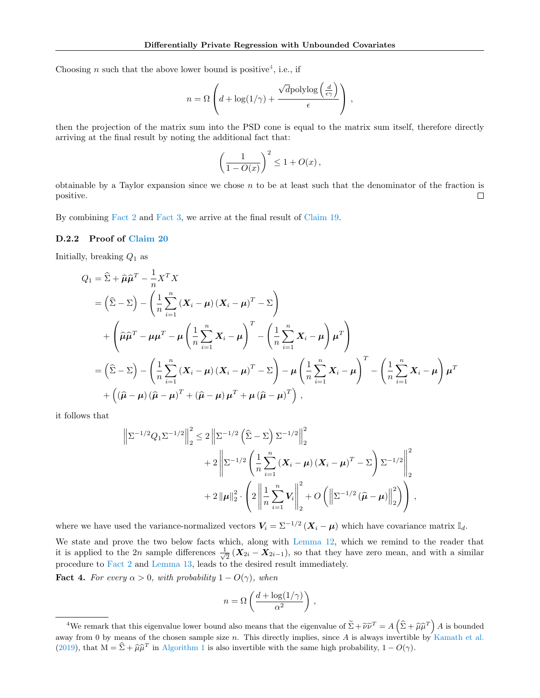Choosing *n* such that the above lower bound is positive<sup>[4](#page-21-0)</sup>, i.e., if

$$
n = \Omega \left( d + \log(1/\gamma) + \frac{\sqrt{d} \text{polylog}\left(\frac{d}{\epsilon \gamma}\right)}{\epsilon} \right),
$$

then the projection of the matrix sum into the PSD cone is equal to the matrix sum itself, therefore directly arriving at the final result by noting the additional fact that:

$$
\left(\frac{1}{1 - O(x)}\right)^2 \le 1 + O(x),
$$

obtainable by a Taylor expansion since we chose  $n$  to be at least such that the denominator of the fraction is positive.  $\Box$ 

By combining [Fact 2](#page-19-3) and [Fact 3,](#page-19-1) we arrive at the final result of [Claim 19.](#page-18-0)

### D.2.2 Proof of [Claim 20](#page-18-1)

Initially, breaking  $Q_1$  as

$$
Q_{1} = \hat{\Sigma} + \hat{\mu}\hat{\mu}^{T} - \frac{1}{n}X^{T}X
$$
  
\n
$$
= (\hat{\Sigma} - \Sigma) - (\frac{1}{n}\sum_{i=1}^{n} (X_{i} - \mu)(X_{i} - \mu)^{T} - \Sigma)
$$
  
\n
$$
+ (\hat{\mu}\hat{\mu}^{T} - \mu\mu^{T} - \mu(\frac{1}{n}\sum_{i=1}^{n} X_{i} - \mu)^{T} - (\frac{1}{n}\sum_{i=1}^{n} X_{i} - \mu)\mu^{T})
$$
  
\n
$$
= (\hat{\Sigma} - \Sigma) - (\frac{1}{n}\sum_{i=1}^{n} (X_{i} - \mu)(X_{i} - \mu)^{T} - \Sigma) - \mu(\frac{1}{n}\sum_{i=1}^{n} X_{i} - \mu)^{T} - (\frac{1}{n}\sum_{i=1}^{n} X_{i} - \mu)\mu^{T}
$$
  
\n
$$
+ ((\hat{\mu} - \mu)(\hat{\mu} - \mu)^{T} + (\hat{\mu} - \mu)\mu^{T} + \mu(\hat{\mu} - \mu)^{T}),
$$

it follows that

$$
\left\| \Sigma^{-1/2} Q_1 \Sigma^{-1/2} \right\|_2^2 \le 2 \left\| \Sigma^{-1/2} \left( \widehat{\Sigma} - \Sigma \right) \Sigma^{-1/2} \right\|_2^2 + 2 \left\| \Sigma^{-1/2} \left( \frac{1}{n} \sum_{i=1}^n (\boldsymbol{X}_i - \boldsymbol{\mu}) (\boldsymbol{X}_i - \boldsymbol{\mu})^T - \Sigma \right) \Sigma^{-1/2} \right\|_2^2 + 2 \left\| \boldsymbol{\mu} \right\|_2^2 \cdot \left( 2 \left\| \frac{1}{n} \sum_{i=1}^n V_i \right\|_2^2 + O \left( \left\| \Sigma^{-1/2} (\widehat{\boldsymbol{\mu}} - \boldsymbol{\mu}) \right\|_2^2 \right) \right),
$$

where we have used the variance-normalized vectors  $V_i = \sum_{i=1}^{i} (\boldsymbol{X}_i - \boldsymbol{\mu})$  which have covariance matrix  $\mathbb{I}_d$ .

We state and prove the two below facts which, along with [Lemma 12,](#page-14-2) which we remind to the reader that it is applied to the 2n sample differences  $\frac{1}{4}$  $\frac{1}{2}$  ( $X_{2i} - X_{2i-1}$ ), so that they have zero mean, and with a similar procedure to [Fact 2](#page-19-3) and [Lemma 13,](#page-15-1) leads to the desired result immediately.

<span id="page-21-1"></span>**Fact 4.** For every  $\alpha > 0$ , with probability  $1 - O(\gamma)$ , when

$$
n = \Omega\left(\frac{d + \log(1/\gamma)}{\alpha^2}\right),\,
$$

<span id="page-21-0"></span><sup>&</sup>lt;sup>4</sup>We remark that this eigenvalue lower bound also means that the eigenvalue of  $\tilde{\Sigma} + \tilde{\nu}\tilde{\nu}^T = A\left(\hat{\Sigma} + \hat{\mu}\hat{\mu}^T\right)A$  is bounded away from 0 by means of the chosen sample size  $n$ . This directly implies, since A is always invertible by [Kamath et al.](#page-10-0) [\(2019\)](#page-10-0), that  $M = \hat{\Sigma} + \hat{\mu}\hat{\mu}^T$  in [Algorithm 1](#page-5-2) is also invertible with the same high probability,  $1 - O(\gamma)$ .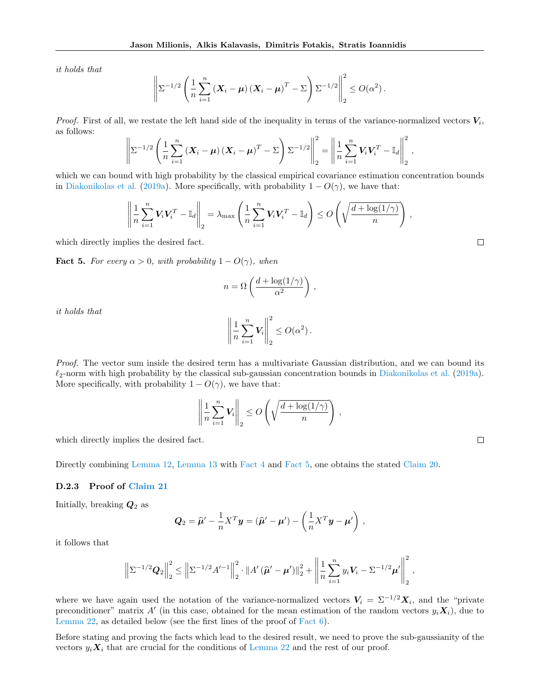it holds that

$$
\left\|\Sigma^{-1/2}\left(\frac{1}{n}\sum_{i=1}^n\left(\boldsymbol{X}_i-\boldsymbol{\mu}\right)\left(\boldsymbol{X}_i-\boldsymbol{\mu}\right)^T-\Sigma\right)\Sigma^{-1/2}\right\|_2^2\leq O(\alpha^2).
$$

*Proof.* First of all, we restate the left hand side of the inequality in terms of the variance-normalized vectors  $V_i$ , as follows:

$$
\left\|\Sigma^{-1/2}\left(\frac{1}{n}\sum_{i=1}^n\left(\boldsymbol{X}_i-\boldsymbol{\mu}\right)\left(\boldsymbol{X}_i-\boldsymbol{\mu}\right)^T-\Sigma\right)\Sigma^{-1/2}\right\|_2^2=\left\|\frac{1}{n}\sum_{i=1}^n\boldsymbol{V}_i\boldsymbol{V}_i^T-\mathbb{I}_d\right\|_2^2,
$$

which we can bound with high probability by the classical empirical covariance estimation concentration bounds in [Diakonikolas et al.](#page-9-18) [\(2019a\)](#page-9-18). More specifically, with probability  $1 - O(\gamma)$ , we have that:

$$
\left\|\frac{1}{n}\sum_{i=1}^n \mathbf{V}_i \mathbf{V}_i^T - \mathbb{I}_d\right\|_2 = \lambda_{\max}\left(\frac{1}{n}\sum_{i=1}^n \mathbf{V}_i \mathbf{V}_i^T - \mathbb{I}_d\right) \le O\left(\sqrt{\frac{d + \log(1/\gamma)}{n}}\right),
$$

which directly implies the desired fact.

<span id="page-22-1"></span>**Fact 5.** For every  $\alpha > 0$ , with probability  $1 - O(\gamma)$ , when

$$
n = \Omega\left(\frac{d + \log(1/\gamma)}{\alpha^2}\right),\,
$$

it holds that

$$
\left\| \frac{1}{n} \sum_{i=1}^n V_i \right\|_2^2 \le O(\alpha^2).
$$

Proof. The vector sum inside the desired term has a multivariate Gaussian distribution, and we can bound its  $\ell_2$ -norm with high probability by the classical sub-gaussian concentration bounds in [Diakonikolas et al.](#page-9-18) [\(2019a\)](#page-9-18). More specifically, with probability  $1 - O(\gamma)$ , we have that:

$$
\left\|\frac{1}{n}\sum_{i=1}^n V_i\right\|_2 \leq O\left(\sqrt{\frac{d+\log(1/\gamma)}{n}}\right),\,
$$

which directly implies the desired fact.

Directly combining [Lemma 12,](#page-14-2) [Lemma 13](#page-15-1) with [Fact 4](#page-21-1) and [Fact 5,](#page-22-1) one obtains the stated [Claim 20.](#page-18-1)

### <span id="page-22-0"></span>D.2.3 Proof of [Claim 21](#page-18-2)

Initially, breaking  $Q_2$  as

$$
\mathbf{Q}_2 = \widehat{\boldsymbol{\mu}}' - \frac{1}{n} \boldsymbol{X}^T \mathbf{y} = (\widehat{\boldsymbol{\mu}}' - \boldsymbol{\mu}') - \left(\frac{1}{n} \boldsymbol{X}^T \mathbf{y} - \boldsymbol{\mu}'\right),
$$

it follows that

$$
\left\|\Sigma^{-1/2} \mathbf{Q}_2\right\|_2^2 \le \left\|\Sigma^{-1/2} A'^{-1}\right\|_2^2 \cdot \left\|A'\left(\widehat{\boldsymbol{\mu}}' - \boldsymbol{\mu}'\right)\right\|_2^2 + \left\|\frac{1}{n}\sum_{i=1}^n y_i V_i - \Sigma^{-1/2} \boldsymbol{\mu}'\right\|_2^2,
$$

where we have again used the notation of the variance-normalized vectors  $V_i = \Sigma^{-1/2} X_i$ , and the "private preconditioner" matrix A' (in this case, obtained for the mean estimation of the random vectors  $y_i \mathbf{X}_i$ ), due to [Lemma 22,](#page-19-2) as detailed below (see the first lines of the proof of [Fact 6\)](#page-23-0).

<span id="page-22-2"></span>Before stating and proving the facts which lead to the desired result, we need to prove the sub-gaussianity of the vectors  $y_i \mathbf{X}_i$  that are crucial for the conditions of [Lemma 22](#page-19-2) and the rest of our proof.

 $\Box$ 

 $\Box$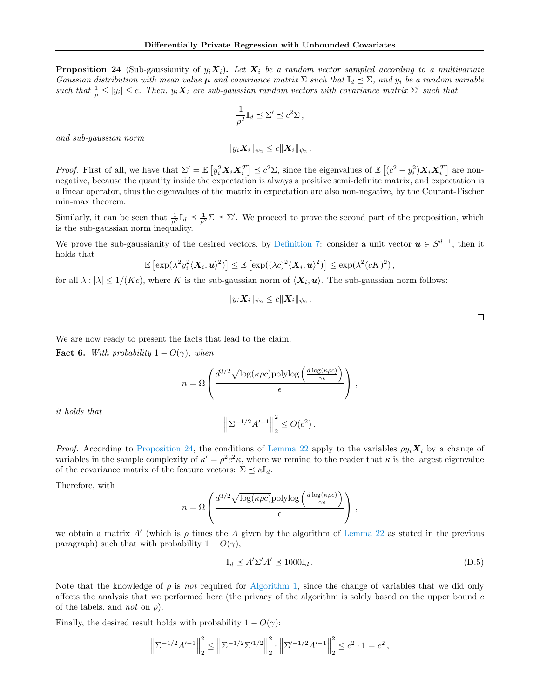**Proposition 24** (Sub-gaussianity of  $y_i \mathbf{X}_i$ ). Let  $\mathbf{X}_i$  be a random vector sampled according to a multivariate Gaussian distribution with mean value  $\mu$  and covariance matrix  $\Sigma$  such that  $\mathbb{I}_d \preceq \Sigma$ , and  $y_i$  be a random variable such that  $\frac{1}{\rho} \leq |y_i| \leq c$ . Then,  $y_i \mathbf{X}_i$  are sub-gaussian random vectors with covariance matrix  $\Sigma'$  such that

$$
\frac{1}{\rho^2} \mathbb{I}_d \preceq \Sigma' \preceq c^2 \Sigma \,,
$$

and sub-gaussian norm

$$
||y_i \mathbf{X}_i||_{\psi_2} \leq c||\mathbf{X}_i||_{\psi_2}.
$$

*Proof.* First of all, we have that  $\Sigma' = \mathbb{E} \left[ y_i^2 \mathbf{X}_i \mathbf{X}_i^T \right] \preceq c^2 \Sigma$ , since the eigenvalues of  $\mathbb{E} \left[ (c^2 - y_i^2) \mathbf{X}_i \mathbf{X}_i^T \right]$  are nonnegative, because the quantity inside the expectation is always a positive semi-definite matrix, and expectation is a linear operator, thus the eigenvalues of the matrix in expectation are also non-negative, by the Courant-Fischer min-max theorem.

Similarly, it can be seen that  $\frac{1}{\rho^2} \mathbb{I}_d \leq \frac{1}{\rho^2} \Sigma \leq \Sigma'$ . We proceed to prove the second part of the proposition, which is the sub-gaussian norm inequality.

We prove the sub-gaussianity of the desired vectors, by [Definition 7:](#page-12-3) consider a unit vector  $u \in S^{d-1}$ , then it holds that

$$
\mathbb{E}\left[\exp(\lambda^2 y_i^2 \langle \mathbf{X}_i, \boldsymbol{u}\rangle^2)\right] \leq \mathbb{E}\left[\exp((\lambda c)^2 \langle \mathbf{X}_i, \boldsymbol{u}\rangle^2)\right] \leq \exp(\lambda^2 (cK)^2),
$$

for all  $\lambda : |\lambda| \leq 1/(Kc)$ , where K is the sub-gaussian norm of  $\langle \mathbf{X}_i, \mathbf{u} \rangle$ . The sub-gaussian norm follows:

$$
||y_i \mathbf{X}_i||_{\psi_2} \leq c||\mathbf{X}_i||_{\psi_2}.
$$

We are now ready to present the facts that lead to the claim.

<span id="page-23-0"></span>**Fact 6.** With probability  $1 - O(\gamma)$ , when

$$
n = \Omega \left( \frac{d^{3/2} \sqrt{\log(\kappa \rho c)} \text{polylog}\left(\frac{d \log(\kappa \rho c)}{\gamma \epsilon}\right)}{\epsilon} \right),
$$

it holds that

$$
\left\|\Sigma^{-1/2}A'^{-1}\right\|_2^2 \le O(c^2).
$$
  
on 24, the conditions of Lemma 22 apply to the van

*Proof.* According to [Proposition 24,](#page-22-2) the conditions of [Lemma 22](#page-19-2) apply to the variables  $\rho y_i \mathbf{X}_i$  by a change of variables in the sample complexity of  $\kappa' = \rho^2 c^2 \kappa$ , where we remind to the reader that  $\kappa$  is the largest eigenvalue of the covariance matrix of the feature vectors:  $\Sigma \preceq \kappa \mathbb{I}_d$ .

Therefore, with

$$
n = \Omega \left( \frac{d^{3/2} \sqrt{\log(\kappa \rho c)} \text{polylog}\left(\frac{d \log(\kappa \rho c)}{\gamma \epsilon}\right)}{\epsilon} \right) ,
$$

we obtain a matrix  $A'$  (which is  $\rho$  times the A given by the algorithm of [Lemma 22](#page-19-2) as stated in the previous paragraph) such that with probability  $1 - O(\gamma)$ ,

<span id="page-23-1"></span>
$$
\mathbb{I}_d \preceq A' \Sigma' A' \preceq 1000 \mathbb{I}_d. \tag{D.5}
$$

Note that the knowledge of  $\rho$  is not required for [Algorithm 1,](#page-5-2) since the change of variables that we did only affects the analysis that we performed here (the privacy of the algorithm is solely based on the upper bound  $c$ of the labels, and *not* on  $\rho$ ).

Finally, the desired result holds with probability  $1 - O(\gamma)$ :

$$
\left\|\Sigma^{-1/2}A'^{-1}\right\|_{2}^{2} \le \left\|\Sigma^{-1/2}\Sigma'^{1/2}\right\|_{2}^{2} \cdot \left\|\Sigma'^{-1/2}A'^{-1}\right\|_{2}^{2} \le c^{2} \cdot 1 = c^{2},
$$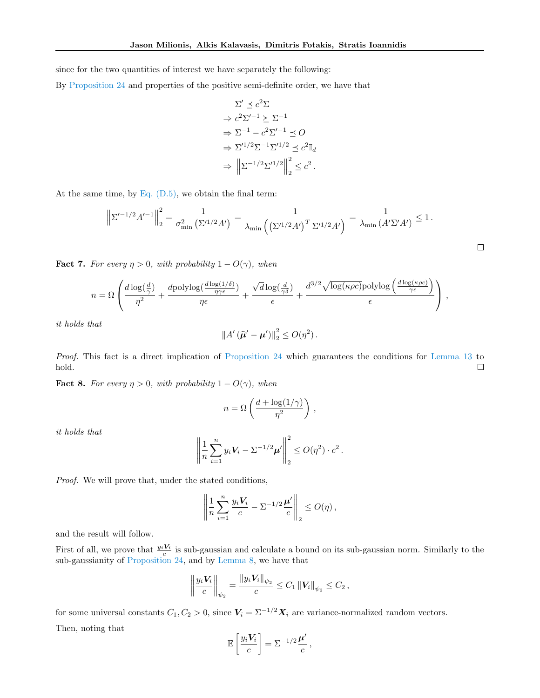since for the two quantities of interest we have separately the following:

By [Proposition 24](#page-22-2) and properties of the positive semi-definite order, we have that

$$
\Sigma' \preceq c^2 \Sigma
$$
  
\n
$$
\Rightarrow c^2 \Sigma'^{-1} \succeq \Sigma^{-1}
$$
  
\n
$$
\Rightarrow \Sigma^{-1} - c^2 \Sigma'^{-1} \preceq O
$$
  
\n
$$
\Rightarrow \Sigma'^{1/2} \Sigma^{-1} \Sigma'^{1/2} \preceq c^2 \mathbb{I}_d
$$
  
\n
$$
\Rightarrow ||\Sigma^{-1/2} \Sigma'^{1/2}||_2^2 \leq c^2.
$$

At the same time, by Eq.  $(D.5)$ , we obtain the final term:

$$
\left\| \Sigma'^{-1/2} A'^{-1} \right\|_2^2 = \frac{1}{\sigma_{\min}^2 \left( \Sigma'^{1/2} A' \right)} = \frac{1}{\lambda_{\min} \left( \left( \Sigma'^{1/2} A' \right)^T \Sigma'^{1/2} A' \right)} = \frac{1}{\lambda_{\min} \left( A' \Sigma' A' \right)} \le 1.
$$

 $\Box$ 

<span id="page-24-1"></span>**Fact 7.** For every  $\eta > 0$ , with probability  $1 - O(\gamma)$ , when

$$
n = \Omega\left(\frac{d\log(\frac{d}{\gamma})}{\eta^2} + \frac{d\text{polylog}(\frac{d\log(1/\delta)}{\eta\gamma\epsilon})}{\eta\epsilon} + \frac{\sqrt{d}\log(\frac{d}{\gamma\delta})}{\epsilon} + \frac{d^{3/2}\sqrt{\log(\kappa\rho c)}\text{polylog}\left(\frac{d\log(\kappa\rho c)}{\gamma\epsilon}\right)}{\epsilon}\right)\,,
$$

it holds that

$$
||A'(\widehat{\boldsymbol{\mu}}' - \boldsymbol{\mu}')||_2^2 \le O(\eta^2).
$$

Proof. This fact is a direct implication of [Proposition 24](#page-22-2) which guarantees the conditions for [Lemma 13](#page-15-1) to hold.  $\Box$ 

<span id="page-24-0"></span>**Fact 8.** For every  $\eta > 0$ , with probability  $1 - O(\gamma)$ , when

$$
n = \Omega\left(\frac{d + \log(1/\gamma)}{\eta^2}\right),\,
$$

it holds that

$$
\left\| \frac{1}{n} \sum_{i=1}^n y_i \mathbf{V}_i - \Sigma^{-1/2} \boldsymbol{\mu}' \right\|_2^2 \le O(\eta^2) \cdot c^2.
$$

Proof. We will prove that, under the stated conditions,

$$
\left\| \frac{1}{n} \sum_{i=1}^n \frac{y_i V_i}{c} - \Sigma^{-1/2} \frac{\mu'}{c} \right\|_2 \le O(\eta),
$$

and the result will follow.

First of all, we prove that  $\frac{y_i V_i}{c}$  is sub-gaussian and calculate a bound on its sub-gaussian norm. Similarly to the sub-gaussianity of [Proposition 24,](#page-22-2) and by [Lemma 8,](#page-12-4) we have that

$$
\left\| \frac{y_i V_i}{c} \right\|_{\psi_2} = \frac{\left\| y_i V_i \right\|_{\psi_2}}{c} \le C_1 \left\| V_i \right\|_{\psi_2} \le C_2,
$$

for some universal constants  $C_1, C_2 > 0$ , since  $V_i = \sum_{i=1}^{i} X_i$  are variance-normalized random vectors. Then, noting that

$$
\mathbb{E}\left[\frac{y_i \mathbf{V}_i}{c}\right] = \Sigma^{-1/2} \frac{\mu'}{c},
$$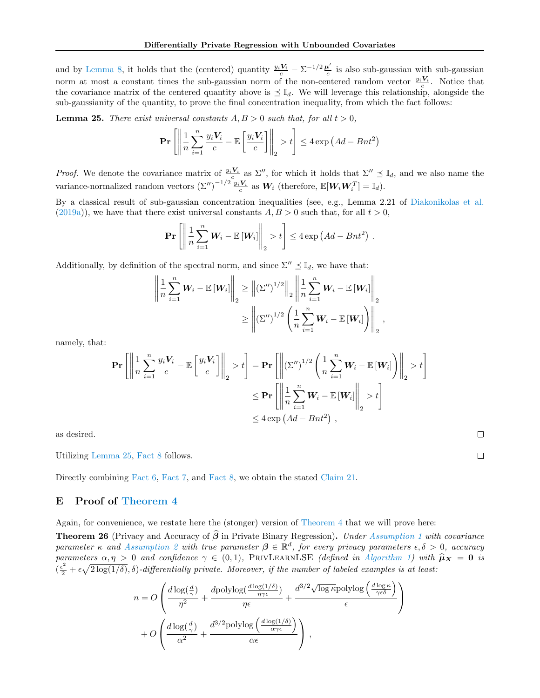and by [Lemma 8,](#page-12-4) it holds that the (centered) quantity  $\frac{y_i V_i}{c} - \sum_{i=1}^{n} \frac{\mu'}{c}$  $\frac{1}{c}$  is also sub-gaussian with sub-gaussian norm at most a constant times the sub-gaussian norm of the non-centered random vector  $\frac{y_i V_i}{c}$ . Notice that the covariance matrix of the centered quantity above is  $\leq \mathbb{I}_d$ . We will leverage this relationship, alongside the sub-gaussianity of the quantity, to prove the final concentration inequality, from which the fact follows:

<span id="page-25-1"></span>**Lemma 25.** There exist universal constants  $A, B > 0$  such that, for all  $t > 0$ ,

$$
\Pr\left[\left\|\frac{1}{n}\sum_{i=1}^{n}\frac{y_iV_i}{c} - \mathbb{E}\left[\frac{y_iV_i}{c}\right]\right\|_2 > t\right] \le 4\exp\left(Ad - Bnt^2\right)
$$

*Proof.* We denote the covariance matrix of  $\frac{y_i V_i}{c}$  as  $\Sigma''$ , for which it holds that  $\Sigma'' \preceq \mathbb{I}_d$ , and we also name the variance-normalized random vectors  $(\Sigma'')^{-1/2} \frac{y_i V_i}{c}$  as  $W_i$  (therefore,  $\mathbb{E}[W_i W_i^T] = \mathbb{I}_d$ ).

By a classical result of sub-gaussian concentration inequalities (see, e.g., Lemma 2.21 of [Diakonikolas et al.](#page-9-18)  $(2019a)$ , we have that there exist universal constants  $A, B > 0$  such that, for all  $t > 0$ ,

$$
\Pr\left[\left\|\frac{1}{n}\sum_{i=1}^n W_i - \mathbb{E}\left[W_i\right]\right\|_2 > t\right] \leq 4\exp\left(Ad - Bnt^2\right).
$$

Additionally, by definition of the spectral norm, and since  $\Sigma'' \preceq \mathbb{I}_d$ , we have that:

$$
\left\| \frac{1}{n} \sum_{i=1}^{n} \mathbf{W}_{i} - \mathbb{E} \left[ \mathbf{W}_{i} \right] \right\|_{2} \geq \left\| \left( \Sigma'' \right)^{1/2} \right\|_{2} \left\| \frac{1}{n} \sum_{i=1}^{n} \mathbf{W}_{i} - \mathbb{E} \left[ \mathbf{W}_{i} \right] \right\|_{2}
$$

$$
\geq \left\| \left( \Sigma'' \right)^{1/2} \left( \frac{1}{n} \sum_{i=1}^{n} \mathbf{W}_{i} - \mathbb{E} \left[ \mathbf{W}_{i} \right] \right) \right\|_{2},
$$

namely, that:

$$
\mathbf{Pr}\left[\left\|\frac{1}{n}\sum_{i=1}^{n}\frac{y_{i}V_{i}}{c} - \mathbb{E}\left[\frac{y_{i}V_{i}}{c}\right]\right\|_{2} > t\right] = \mathbf{Pr}\left[\left\|(\Sigma'')^{1/2}\left(\frac{1}{n}\sum_{i=1}^{n}W_{i} - \mathbb{E}\left[W_{i}\right]\right)\right\|_{2} > t\right]
$$
  

$$
\leq \mathbf{Pr}\left[\left\|\frac{1}{n}\sum_{i=1}^{n}W_{i} - \mathbb{E}\left[W_{i}\right]\right\|_{2} > t\right]
$$
  

$$
\leq 4 \exp\left(Ad - Bnt^{2}\right),
$$

 $\Box$ 

 $\Box$ 

as desired.

Utilizing [Lemma 25,](#page-25-1) [Fact 8](#page-24-0) follows.

Directly combining [Fact 6,](#page-23-0) [Fact 7,](#page-24-1) and [Fact 8,](#page-24-0) we obtain the stated [Claim 21.](#page-18-2)

## <span id="page-25-0"></span>E Proof of [Theorem 4](#page-5-0)

Again, for convenience, we restate here the (stonger) version of [Theorem 4](#page-5-0) that we will prove here:

**Theorem 26** (Privacy and Accuracy of  $\hat{\beta}$  in Private Binary Regression). Under [Assumption 1](#page-3-3) with covariance parameter  $\kappa$  and [Assumption 2](#page-4-0) with true parameter  $\beta \in \mathbb{R}^d$ , for every privacy parameters  $\epsilon, \delta > 0$ , accuracy parameters  $\alpha, \eta > 0$  and confidence  $\gamma \in (0, 1)$ , PRIVLEARNLSE (defined in [Algorithm 1\)](#page-5-2) with  $\hat{\mu}_X = 0$  is  $(\frac{\epsilon^2}{2} + \epsilon \sqrt{2 \log(1/\delta)}, \delta)$ -differentially private. Moreover, if the number of labeled examples is at least:

$$
n = O\left(\frac{d\log(\frac{d}{\gamma})}{\eta^2} + \frac{d\text{polylog}(\frac{d\log(1/\delta)}{\eta\gamma\epsilon})}{\eta\epsilon} + \frac{d^{3/2}\sqrt{\log k}\text{polylog}\left(\frac{d\log k}{\gamma\epsilon\delta}\right)}{\epsilon}\right) + O\left(\frac{d\log(\frac{d}{\gamma})}{\alpha^2} + \frac{d^{3/2}\text{polylog}\left(\frac{d\log(1/\delta)}{\alpha\gamma\epsilon}\right)}{\alpha\epsilon}\right),
$$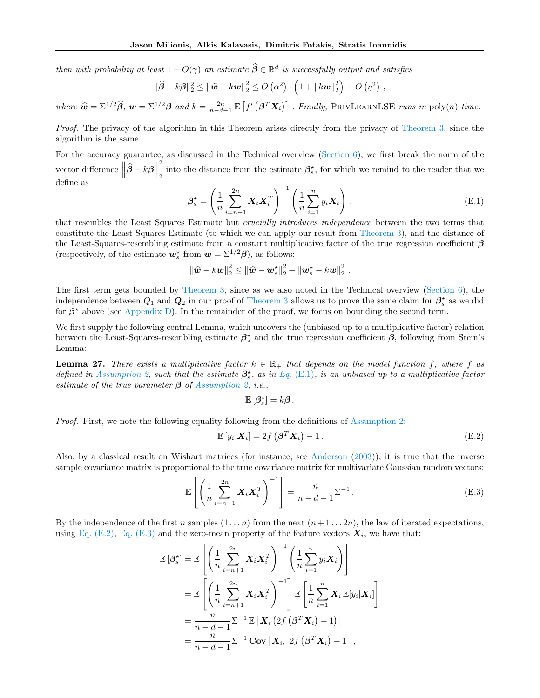then with probability at least  $1 - O(\gamma)$  an estimate  $\widehat{\beta} \in \mathbb{R}^d$  is successfully output and satisfies

$$
\|\widehat{\boldsymbol{\beta}} - k\boldsymbol{\beta}\|_2^2 \le \|\widehat{\boldsymbol{w}} - k\boldsymbol{w}\|_2^2 \le O\left(\alpha^2\right) \cdot \left(1 + \|k\boldsymbol{w}\|_2^2\right) + O\left(\eta^2\right) ,
$$

where  $\hat{\mathbf{w}} = \sum^{1/2} \hat{\boldsymbol{\beta}}, \mathbf{w} = \sum^{1/2} \boldsymbol{\beta}$  and  $k = \frac{2n}{n-d-1} \mathbb{E}\left[f'\left(\boldsymbol{\beta}^T \boldsymbol{X}_i\right)\right]$ . Finally, PRIVLEARNLSE runs in poly $(n)$  time.

Proof. The privacy of the algorithm in this Theorem arises directly from the privacy of [Theorem 3,](#page-5-1) since the algorithm is the same.

For the accuracy guarantee, as discussed in the Technical overview [\(Section 6\)](#page-6-0), we first break the norm of the vector difference  $\left\|\widehat{\boldsymbol{\beta}} - \boldsymbol{k}\boldsymbol{\beta}\right\|$ 2 into the distance from the estimate  $\beta_s^*$ , for which we remind to the reader that we define as

<span id="page-26-0"></span>
$$
\beta_s^* = \left(\frac{1}{n} \sum_{i=n+1}^{2n} \mathbf{X}_i \mathbf{X}_i^T\right)^{-1} \left(\frac{1}{n} \sum_{i=1}^n y_i \mathbf{X}_i\right), \tag{E.1}
$$

that resembles the Least Squares Estimate but *crucially introduces independence* between the two terms that constitute the Least Squares Estimate (to which we can apply our result from [Theorem 3\)](#page-5-1), and the distance of the Least-Squares-resembling estimate from a constant multiplicative factor of the true regression coefficient  $\beta$ (respectively, of the estimate  $w_s^*$  from  $w = \Sigma^{1/2} \beta$ ), as follows:

$$
\|\widehat{\boldsymbol{w}}-k\boldsymbol{w}\|_2^2 \leq \|\widehat{\boldsymbol{w}}-\boldsymbol{w}_s^{\star}\|_2^2 + \|\boldsymbol{w}_s^{\star}-k\boldsymbol{w}\|_2^2.
$$

The first term gets bounded by [Theorem 3,](#page-5-1) since as we also noted in the Technical overview [\(Section 6\)](#page-6-0), the independence between  $Q_1$  and  $Q_2$  in our proof of [Theorem 3](#page-5-1) allows us to prove the same claim for  $\beta_s^*$  as we did for  $\beta^*$  above (see [Appendix D\)](#page-16-0). In the remainder of the proof, we focus on bounding the second term.

We first supply the following central Lemma, which uncovers the (unbiased up to a multiplicative factor) relation between the Least-Squares-resembling estimate  $\beta_s^*$  and the true regression coefficient  $\beta$ , following from Stein's Lemma:

**Lemma 27.** There exists a multiplicative factor  $k \in \mathbb{R}_+$  that depends on the model function f, where f as defined in [Assumption 2,](#page-4-0) such that the estimate  $\beta_s^*$ , as in Eq. [\(E.1\)](#page-26-0), is an unbiased up to a multiplicative factor estimate of the true parameter  $\beta$  of [Assumption 2,](#page-4-0) i.e.,

<span id="page-26-2"></span>
$$
\mathbb{E}\left[\beta_s^\star\right] = k\boldsymbol{\beta}.
$$

Proof. First, we note the following equality following from the definitions of [Assumption 2:](#page-4-0)

<span id="page-26-1"></span>
$$
\mathbb{E}\left[y_i|\boldsymbol{X}_i\right] = 2f\left(\boldsymbol{\beta}^T\boldsymbol{X}_i\right) - 1.
$$
\n(E.2)

Also, by a classical result on Wishart matrices (for instance, see [Anderson](#page-8-6) [\(2003\)](#page-8-6)), it is true that the inverse sample covariance matrix is proportional to the true covariance matrix for multivariate Gaussian random vectors:

$$
\mathbb{E}\left[\left(\frac{1}{n}\sum_{i=n+1}^{2n} \mathbf{X}_i \mathbf{X}_i^T\right)^{-1}\right] = \frac{n}{n-d-1} \Sigma^{-1}.
$$
\n(E.3)

By the independence of the first n samples  $(1 \dots n)$  from the next  $(n+1 \dots 2n)$ , the law of iterated expectations, using [Eq. \(E.2\),](#page-26-1) [Eq. \(E.3\)](#page-26-2) and the zero-mean property of the feature vectors  $X_i$ , we have that:

$$
\mathbb{E}[\beta_s^*] = \mathbb{E}\left[\left(\frac{1}{n}\sum_{i=n+1}^{2n} \mathbf{X}_i \mathbf{X}_i^T\right)^{-1} \left(\frac{1}{n}\sum_{i=1}^n y_i \mathbf{X}_i\right)\right]
$$
  
\n
$$
= \mathbb{E}\left[\left(\frac{1}{n}\sum_{i=n+1}^{2n} \mathbf{X}_i \mathbf{X}_i^T\right)^{-1}\right] \mathbb{E}\left[\frac{1}{n}\sum_{i=1}^n \mathbf{X}_i \mathbb{E}[y_i|\mathbf{X}_i]\right]
$$
  
\n
$$
= \frac{n}{n-d-1} \Sigma^{-1} \mathbb{E}\left[\mathbf{X}_i \left(2f\left(\beta^T \mathbf{X}_i\right)-1\right)\right]
$$
  
\n
$$
= \frac{n}{n-d-1} \Sigma^{-1} \text{Cov}\left[\mathbf{X}_i, 2f\left(\beta^T \mathbf{X}_i\right)-1\right],
$$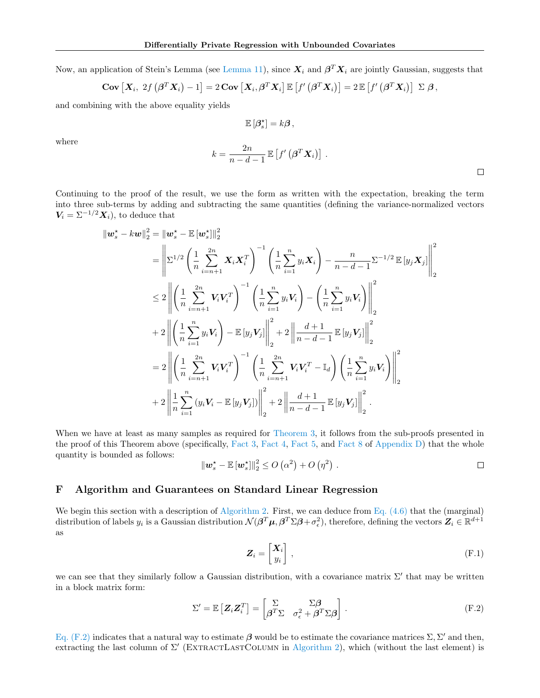Now, an application of Stein's Lemma (see [Lemma 11\)](#page-13-2), since  $X_i$  and  $\beta^T X_i$  are jointly Gaussian, suggests that

$$
\mathbf{Cov}\left[\mathbf{X}_i, 2f\left(\boldsymbol{\beta}^T\mathbf{X}_i\right)-1\right]=2\,\mathbf{Cov}\left[\mathbf{X}_i, \boldsymbol{\beta}^T\mathbf{X}_i\right]\mathbb{E}\left[f'\left(\boldsymbol{\beta}^T\mathbf{X}_i\right)\right]=2\,\mathbb{E}\left[f'\left(\boldsymbol{\beta}^T\mathbf{X}_i\right)\right]\,\Sigma\,\boldsymbol{\beta}\,,
$$

and combining with the above equality yields

$$
\mathbb{E}\left[\boldsymbol{\beta}_s^\star\right] = k\boldsymbol{\beta}\,,
$$

where

$$
k = \frac{2n}{n - d - 1} \mathbb{E}\left[f'\left(\boldsymbol{\beta}^T \boldsymbol{X}_i\right)\right].
$$

Continuing to the proof of the result, we use the form as written with the expectation, breaking the term into three sub-terms by adding and subtracting the same quantities (defining the variance-normalized vectors  $V_i = \Sigma^{-1/2} X_i$ , to deduce that

$$
\|\mathbf{w}_{s}^{*} - k\mathbf{w}\|_{2}^{2} = \|\mathbf{w}_{s}^{*} - \mathbb{E}[\mathbf{w}_{s}^{*}]\|_{2}^{2}
$$
\n
$$
= \left\|\sum_{i=1}^{1/2} \left(\frac{1}{n} \sum_{i=n+1}^{2n} \mathbf{X}_{i} \mathbf{X}_{i}^{T}\right)^{-1} \left(\frac{1}{n} \sum_{i=1}^{n} y_{i} \mathbf{X}_{i}\right) - \frac{n}{n-d-1} \sum_{i=1}^{1/2} \mathbb{E}[y_{j} \mathbf{X}_{j}]\right\|_{2}^{2}
$$
\n
$$
\leq 2 \left\|\left(\frac{1}{n} \sum_{i=n+1}^{2n} V_{i} V_{i}^{T}\right)^{-1} \left(\frac{1}{n} \sum_{i=1}^{n} y_{i} V_{i}\right) - \left(\frac{1}{n} \sum_{i=1}^{n} y_{i} V_{i}\right)\right\|_{2}^{2}
$$
\n
$$
+ 2 \left\|\left(\frac{1}{n} \sum_{i=1}^{n} y_{i} V_{i}\right) - \mathbb{E}[y_{j} V_{j}]\right\|_{2}^{2} + 2 \left\|\frac{d+1}{n-d-1} \mathbb{E}[y_{j} V_{j}]\right\|_{2}^{2}
$$
\n
$$
= 2 \left\|\left(\frac{1}{n} \sum_{i=n+1}^{2n} V_{i} V_{i}^{T}\right)^{-1} \left(\frac{1}{n} \sum_{i=n+1}^{2n} V_{i} V_{i}^{T} - \mathbb{I}_{d}\right) \left(\frac{1}{n} \sum_{i=1}^{n} y_{i} V_{i}\right)\right\|_{2}^{2}
$$
\n
$$
+ 2 \left\|\frac{1}{n} \sum_{i=1}^{n} (y_{i} V_{i} - \mathbb{E}[y_{j} V_{j}])\right\|_{2}^{2} + 2 \left\|\frac{d+1}{n-d-1} \mathbb{E}[y_{j} V_{j}]\right\|_{2}^{2}.
$$

When we have at least as many samples as required for [Theorem 3,](#page-5-1) it follows from the sub-proofs presented in the proof of this Theorem above (specifically, [Fact 3,](#page-19-1) [Fact 4,](#page-21-1) [Fact 5,](#page-22-1) and [Fact 8](#page-24-0) of [Appendix D\)](#page-16-0) that the whole quantity is bounded as follows:

$$
\|\boldsymbol{w}_s^{\star}-\mathbb{E}\left[\boldsymbol{w}_s^{\star}\right]\|_2^2 \leq O\left(\alpha^2\right) + O\left(\eta^2\right) . \qquad \qquad \Box
$$

## <span id="page-27-0"></span>F Algorithm and Guarantees on Standard Linear Regression

We begin this section with a description of [Algorithm 2.](#page-28-0) First, we can deduce from Eq.  $(4.6)$  that the (marginal) distribution of labels  $y_i$  is a Gaussian distribution  $\mathcal{N}(\beta^T\mu, \beta^T\Sigma\beta + \sigma_\epsilon^2)$ , therefore, defining the vectors  $\mathbf{Z}_i \in \mathbb{R}^{d+1}$ as

<span id="page-27-2"></span><span id="page-27-1"></span>
$$
Z_i = \begin{bmatrix} X_i \\ y_i \end{bmatrix}, \tag{F.1}
$$

we can see that they similarly follow a Gaussian distribution, with a covariance matrix  $\Sigma'$  that may be written in a block matrix form:

$$
\Sigma' = \mathbb{E}\left[Z_i Z_i^T\right] = \begin{bmatrix} \Sigma & \Sigma \beta \\ \beta^T \Sigma & \sigma_\epsilon^2 + \beta^T \Sigma \beta \end{bmatrix} . \tag{F.2}
$$

[Eq. \(F.2\)](#page-27-1) indicates that a natural way to estimate  $\beta$  would be to estimate the covariance matrices  $\Sigma$ ,  $\Sigma'$  and then, extracting the last column of  $\Sigma'$  (EXTRACTLASTCOLUMN in [Algorithm 2\)](#page-28-0), which (without the last element) is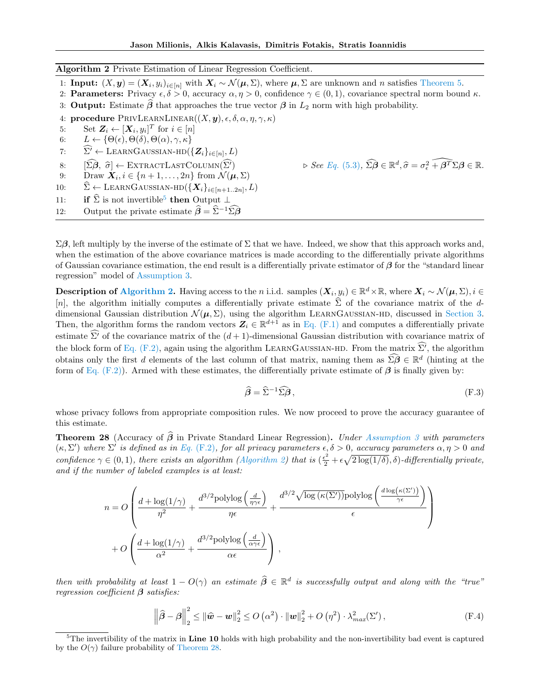<span id="page-28-0"></span>Algorithm 2 Private Estimation of Linear Regression Coefficient.

1: **Input:**  $(X, y) = (X_i, y_i)_{i \in [n]}$  with  $X_i \sim \mathcal{N}(\mu, \Sigma)$ , where  $\mu, \Sigma$  are unknown and *n* satisfies [Theorem 5.](#page-6-5)

2: **Parameters:** Privacy  $\epsilon, \delta > 0$ , accuracy  $\alpha, \eta > 0$ , confidence  $\gamma \in (0, 1)$ , covariance spectral norm bound  $\kappa$ .

3: Output: Estimate  $\beta$  that approaches the true vector  $\beta$  in  $L_2$  norm with high probability.

procedure PRIVLEARNLINEAR $((X, y), \epsilon, \delta, \alpha, \eta, \gamma, \kappa)$ 

5: Set  $\mathbf{Z}_i \leftarrow [\mathbf{X}_i, y_i]^T$  for  $i \in [n]$ 

- 6:  $L \leftarrow \{ \Theta(\epsilon), \Theta(\delta), \Theta(\alpha), \gamma, \kappa \}$
- 7:  $\widehat{\Sigma'} \leftarrow \text{LEARNGAUSSIAN-HD}(\{\boldsymbol{Z}_i\}_{i \in [n]}, L)$
- 8:  $[\widehat{\Sigma}\widehat{\boldsymbol{\beta}}, \widehat{\sigma}] \leftarrow \text{EXTRACTLASTCOLUTIONN}(\widehat{\Sigma'})$ <br>9: Draw  $\boldsymbol{X}_i, i \in \{n+1,\ldots,2n\}$  from  $\mathcal{N}(\boldsymbol{\mu})$
- 9: Draw  $\mathbf{X}_i, i \in \{n+1, \ldots, 2n\}$  from  $\mathcal{N}(\boldsymbol{\mu}, \Sigma)$

10:  $\widehat{\Sigma} \leftarrow \text{LEARNGAUSSIAN-HD}(\{\mathbf{X}_i\}_{i \in [n+1..2n]}, L)$ 

11: **if**  $\widehat{\Sigma}$  is not invertible<sup>[5](#page-28-1)</sup> then Output  $\perp$ 

12: Output the private estimate  $\hat{\beta} = \hat{\Sigma}^{-1} \hat{\Sigma} \hat{\beta}$ 

 $\Sigma \beta$ , left multiply by the inverse of the estimate of  $\Sigma$  that we have. Indeed, we show that this approach works and, when the estimation of the above covariance matrices is made according to the differentially private algorithms of Gaussian covariance estimation, the end result is a differentially private estimator of  $\beta$  for the "standard linear" regression" model of [Assumption 3.](#page-4-3)

**Description of [Algorithm 2.](#page-28-0)** Having access to the *n* i.i.d. samples  $(\mathbf{X}_i, y_i) \in \mathbb{R}^d \times \mathbb{R}$ , where  $\mathbf{X}_i \sim \mathcal{N}(\boldsymbol{\mu}, \Sigma)$ ,  $i \in$ [n], the algorithm initially computes a differentially private estimate  $\hat{\Sigma}$  of the covariance matrix of the ddimensional Gaussian distribution  $\mathcal{N}(\mu, \Sigma)$ , using the algorithm LEARNGAUSSIAN-HD, discussed in [Section 3.](#page-2-0) Then, the algorithm forms the random vectors  $\mathbf{Z}_i \in \mathbb{R}^{d+1}$  as in [Eq. \(F.1\)](#page-27-2) and computes a differentially private estimate  $\widehat{\Sigma'}$  of the covariance matrix of the  $(d+1)$ -dimensional Gaussian distribution with covariance matrix of the block form of [Eq. \(F.2\),](#page-27-1) again using the algorithm LEARNGAUSSIAN-HD. From the matrix  $\widehat{\Sigma'}$ , the algorithm obtains only the first *d* elements of the last column of that matrix, naming them as  $\widehat{\Omega} \in \mathbb{R}^d$  (hinting at the form of [Eq. \(F.2\)\)](#page-27-1). Armed with these estimates, the differentially private estimate of  $\beta$  is finally given by:

$$
\widehat{\boldsymbol{\beta}} = \widehat{\Sigma}^{-1} \widehat{\Sigma} \boldsymbol{\beta} \,, \tag{F.3}
$$

 $\mathcal{A}, \hat{\sigma} = \sigma_{\epsilon}^2 + \widehat{\boldsymbol{\beta}^T} \Sigma \boldsymbol{\beta} \in \mathbb{R}.$ 

whose privacy follows from appropriate composition rules. We now proceed to prove the accuracy guarantee of this estimate.

<span id="page-28-2"></span>**Theorem 28** (Accuracy of  $\widehat{\boldsymbol{\beta}}$  in Private Standard Linear Regression). Under [Assumption 3](#page-4-3) with parameters  $(\kappa, \Sigma')$  where  $\Sigma'$  is defined as in Eq. [\(F.2\)](#page-27-1), for all privacy parameters  $\epsilon, \delta > 0$ , accuracy parameters  $\alpha, \eta > 0$  and confidence  $\gamma \in (0, 1)$ , there exists an algorithm [\(Algorithm 2\)](#page-28-0) that is  $(\frac{\epsilon^2}{2} + \epsilon \sqrt{2 \log(1/\delta)}, \delta)$ -differentially private, and if the number of labeled examples is at least:

$$
n = O\left(\frac{d + \log(1/\gamma)}{\eta^2} + \frac{d^{3/2} \text{polylog}\left(\frac{d}{\eta \gamma \epsilon}\right)}{\eta \epsilon} + \frac{d^{3/2} \sqrt{\log(\kappa(\Sigma'))} \text{polylog}\left(\frac{d \log(\kappa(\Sigma'))}{\gamma \epsilon}\right)}{\epsilon}\right) + O\left(\frac{d + \log(1/\gamma)}{\alpha^2} + \frac{d^{3/2} \text{polylog}\left(\frac{d}{\alpha \gamma \epsilon}\right)}{\alpha \epsilon}\right),
$$

then with probability at least  $1 - O(\gamma)$  an estimate  $\widehat{\beta} \in \mathbb{R}^d$  is successfully output and along with the "true" regression coefficient  $\beta$  satisfies:

<span id="page-28-3"></span>
$$
\left\|\widehat{\boldsymbol{\beta}} - \boldsymbol{\beta}\right\|_{2}^{2} \leq \left\|\widehat{\boldsymbol{w}} - \boldsymbol{w}\right\|_{2}^{2} \leq O\left(\alpha^{2}\right) \cdot \left\|\boldsymbol{w}\right\|_{2}^{2} + O\left(\eta^{2}\right) \cdot \lambda_{max}^{2}(\Sigma'), \tag{F.4}
$$

<span id="page-28-1"></span> $5$ The invertibility of the matrix in Line 10 holds with high probability and the non-invertibility bad event is captured by the  $O(\gamma)$  failure probability of [Theorem 28.](#page-28-2)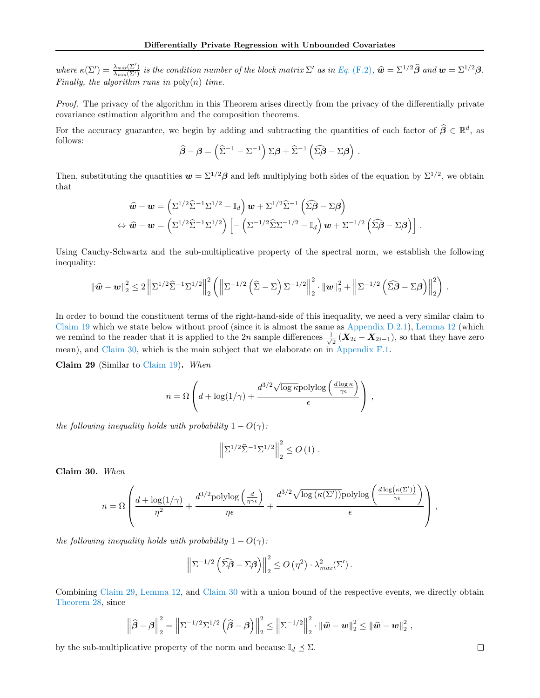where  $\kappa(\Sigma') = \frac{\lambda_{max}(\Sigma')}{\lambda_{min}(\Sigma')}$  is the condition number of the block matrix  $\Sigma'$  as in Eq. [\(F.2\)](#page-27-1),  $\hat{\boldsymbol{w}} = \Sigma^{1/2} \hat{\boldsymbol{\beta}}$  and  $\boldsymbol{w} = \Sigma^{1/2} \hat{\boldsymbol{\beta}}$ .<br>Finally, the algorithm runs in poly(n) time.

Proof. The privacy of the algorithm in this Theorem arises directly from the privacy of the differentially private covariance estimation algorithm and the composition theorems.

For the accuracy guarantee, we begin by adding and subtracting the quantities of each factor of  $\hat{\beta} \in \mathbb{R}^d$ , as follows:

$$
\widehat{\boldsymbol{\beta}} - \boldsymbol{\beta} = \left(\widehat{\Sigma}^{-1} - \Sigma^{-1}\right)\Sigma\boldsymbol{\beta} + \widehat{\Sigma}^{-1}\left(\widehat{\Sigma}\widehat{\boldsymbol{\beta}} - \Sigma\boldsymbol{\beta}\right).
$$

Then, substituting the quantities  $w = \Sigma^{1/2} \beta$  and left multiplying both sides of the equation by  $\Sigma^{1/2}$ , we obtain that

$$
\hat{\mathbf{w}} - \mathbf{w} = \left( \Sigma^{1/2} \widehat{\Sigma}^{-1} \Sigma^{1/2} - \mathbb{I}_d \right) \mathbf{w} + \Sigma^{1/2} \widehat{\Sigma}^{-1} \left( \widehat{\Sigma} \widehat{\boldsymbol{\beta}} - \Sigma \boldsymbol{\beta} \right)
$$
  
\n
$$
\Leftrightarrow \hat{\mathbf{w}} - \mathbf{w} = \left( \Sigma^{1/2} \widehat{\Sigma}^{-1} \Sigma^{1/2} \right) \left[ - \left( \Sigma^{-1/2} \widehat{\Sigma} \Sigma^{-1/2} - \mathbb{I}_d \right) \mathbf{w} + \Sigma^{-1/2} \left( \widehat{\Sigma} \widehat{\boldsymbol{\beta}} - \Sigma \boldsymbol{\beta} \right) \right].
$$

Using Cauchy-Schwartz and the sub-multiplicative property of the spectral norm, we establish the following inequality:

$$
\|\widehat{\mathbf{w}}-\mathbf{w}\|_2^2 \leq 2\left\|\Sigma^{1/2}\widehat{\Sigma}^{-1}\Sigma^{1/2}\right\|_2^2 \left(\left\|\Sigma^{-1/2}\left(\widehat{\Sigma}-\Sigma\right)\Sigma^{-1/2}\right\|_2^2 \cdot \|\mathbf{w}\|_2^2 + \left\|\Sigma^{-1/2}\left(\widehat{\Sigma}\beta-\Sigma\beta\right)\right\|_2^2\right).
$$

In order to bound the constituent terms of the right-hand-side of this inequality, we need a very similar claim to [Claim 19](#page-18-0) which we state below without proof (since it is almost the same as [Appendix D.2.1\)](#page-19-0), [Lemma 12](#page-14-2) (which we remind to the reader that it is applied to the 2n sample differences  $\frac{1}{\sqrt{2}}$  $\frac{1}{2}$  ( $X_{2i} - X_{2i-1}$ ), so that they have zero mean), and [Claim 30,](#page-29-0) which is the main subject that we elaborate on in [Appendix F.1.](#page-30-0)

<span id="page-29-1"></span>Claim 29 (Similar to [Claim 19\)](#page-18-0). When

$$
n = \Omega \left( d + \log(1/\gamma) + \frac{d^{3/2} \sqrt{\log \kappa} \text{polylog}\left(\frac{d \log \kappa}{\gamma \epsilon}\right)}{\epsilon} \right),
$$

the following inequality holds with probability  $1 - O(\gamma)$ :

$$
\left\|\Sigma^{1/2}\widehat{\Sigma}^{-1}\Sigma^{1/2}\right\|_2^2 \le O\left(1\right).
$$

<span id="page-29-0"></span>Claim 30. When

$$
n = \Omega \left( \frac{d + \log(1/\gamma)}{\eta^2} + \frac{d^{3/2} \text{polylog}\left(\frac{d}{\eta \gamma \epsilon}\right)}{\eta \epsilon} + \frac{d^{3/2} \sqrt{\log(\kappa(\Sigma'))} \text{polylog}\left(\frac{d \log(\kappa(\Sigma'))}{\gamma \epsilon}\right)}{\epsilon} \right),
$$

the following inequality holds with probability  $1 - O(\gamma)$ :

$$
\left\|\Sigma^{-1/2}\left(\widehat{\Sigma\beta}-\Sigma\beta\right)\right\|_2^2\leq O\left(\eta^2\right)\cdot\lambda_{max}^2(\Sigma').
$$

Combining [Claim 29,](#page-29-1) [Lemma 12,](#page-14-2) and [Claim 30](#page-29-0) with a union bound of the respective events, we directly obtain [Theorem 28,](#page-28-2) since

$$
\left\|\widehat{\boldsymbol{\beta}}-\boldsymbol{\beta}\right\|_{2}^{2}=\left\|\Sigma^{-1/2}\Sigma^{1/2}\left(\widehat{\boldsymbol{\beta}}-\boldsymbol{\beta}\right)\right\|_{2}^{2}\leq\left\|\Sigma^{-1/2}\right\|_{2}^{2}\cdot\left\|\widehat{\boldsymbol{w}}-\boldsymbol{w}\right\|_{2}^{2}\leq\left\|\widehat{\boldsymbol{w}}-\boldsymbol{w}\right\|_{2}^{2},
$$

by the sub-multiplicative property of the norm and because  $\mathbb{I}_d \leq \Sigma$ .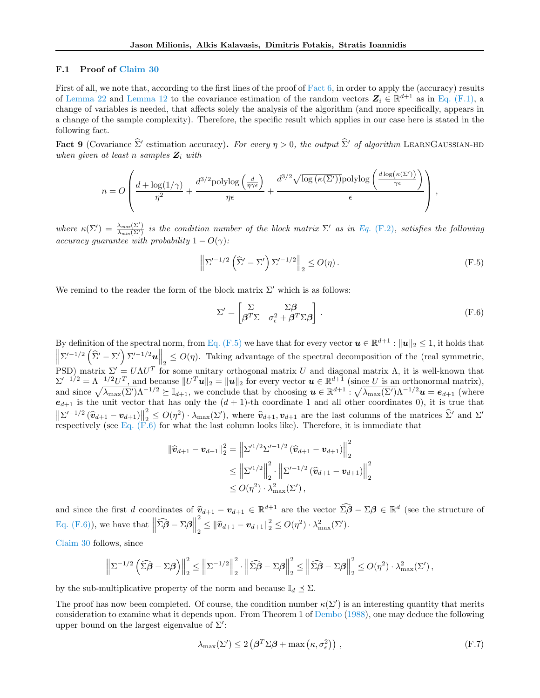## <span id="page-30-0"></span>F.1 Proof of [Claim 30](#page-29-0)

First of all, we note that, according to the first lines of the proof of [Fact 6,](#page-23-0) in order to apply the (accuracy) results of [Lemma 22](#page-19-2) and [Lemma 12](#page-14-2) to the covariance estimation of the random vectors  $\mathbf{Z}_i \in \mathbb{R}^{d+1}$  as in [Eq. \(F.1\),](#page-27-2) a change of variables is needed, that affects solely the analysis of the algorithm (and more specifically, appears in a change of the sample complexity). Therefore, the specific result which applies in our case here is stated in the following fact.

Fact 9 (Covariance  $\hat{\Sigma}'$  estimation accuracy). For every  $\eta > 0$ , the output  $\hat{\Sigma}'$  of algorithm LEARNGAUSSIAN-HD when given at least n samples  $Z_i$  with

$$
n = O\left(\frac{d + \log(1/\gamma)}{\eta^2} + \frac{d^{3/2} \text{polylog}\left(\frac{d}{\eta \gamma \epsilon}\right)}{\eta \epsilon} + \frac{d^{3/2} \sqrt{\log(\kappa(\Sigma'))} \text{polylog}\left(\frac{d \log(\kappa(\Sigma'))}{\gamma \epsilon}\right)}{\epsilon}\right),
$$

where  $\kappa(\Sigma') = \frac{\lambda_{max}(\Sigma')}{\lambda_{min}(\Sigma')}$  is the condition number of the block matrix  $\Sigma'$  as in Eq. [\(F.2\)](#page-27-1), satisfies the following accuracy guarantee with probability  $1 - O(\gamma)$ :

$$
\left\| \Sigma'^{-1/2} \left( \widehat{\Sigma}' - \Sigma' \right) \Sigma'^{-1/2} \right\|_2 \le O(\eta). \tag{F.5}
$$

We remind to the reader the form of the block matrix  $\Sigma'$  which is as follows:

<span id="page-30-2"></span><span id="page-30-1"></span>
$$
\Sigma' = \begin{bmatrix} \Sigma & \Sigma \beta \\ \beta^T \Sigma & \sigma_{\epsilon}^2 + \beta^T \Sigma \beta \end{bmatrix} .
$$
 (F.6)

By definition of the spectral norm, from [Eq. \(F.5\)](#page-30-1) we have that for every vector  $u \in \mathbb{R}^{d+1}$  :  $||u||_2 \leq 1$ , it holds that  $\left\|\Sigma'^{-1/2}\left(\widehat{\Sigma}'-\Sigma'\right)\Sigma'^{-1/2}u\right\|_2 \leq O(\eta)$ . Taking advantage of the spectral decomposition of the (real symmetric, PSD) matrix  $\Sigma' = U \Lambda U^T$  for some unitary orthogonal matrix U and diagonal matrix  $\Lambda$ , it is well-known that  $\Sigma'^{-1/2} = \Lambda^{-1/2} U^T$ , and because  $||U^T u||_2 = ||u||_2$  for every vector  $u \in \mathbb{R}^{d+1}$  (since U is an orthonormal matrix), and since  $\sqrt{\lambda_{\max}(\Sigma')}\Lambda^{-1/2} \succeq \mathbb{I}_{d+1}$ , we conclude that by choosing  $\mathbf{u} \in \mathbb{R}^{d+1}$ :  $\sqrt{\lambda_{\max}(\Sigma')}\Lambda^{-1/2}\mathbf{u} = \mathbf{e}_{d+1}$  (where  $e_{d+1}$  is the unit vector that has only the  $(d+1)$ -th coordinate 1 and all other coordinates 0), it is true that  $\left\|\sum^{l-1/2}(\widehat{\bm{v}}_{d+1}-\bm{v}_{d+1})\right\|$ 2  $\|\Sigma'^{-1/2}(\hat{\bm{v}}_{d+1}-\bm{v}_{d+1})\|_2^2 \leq O(\eta^2) \cdot \lambda_{\max}(\Sigma')$ , where  $\hat{\bm{v}}_{d+1}, \bm{v}_{d+1}$  are the last columns of the matrices  $\hat{\Sigma}'$  and  $\Sigma'$  respectively (see [Eq. \(F.6\)](#page-30-2) for what the last column looks like). Therefore,

$$
\|\widehat{\mathbf{v}}_{d+1} - \mathbf{v}_{d+1}\|_{2}^{2} = \left\|\Sigma'^{1/2}\Sigma'^{-1/2}(\widehat{\mathbf{v}}_{d+1} - \mathbf{v}_{d+1})\right\|_{2}^{2}
$$
  
\$\leq \left\|\Sigma'^{1/2}\right\|\_{2}^{2} \cdot \left\|\Sigma'^{-1/2}(\widehat{\mathbf{v}}\_{d+1} - \mathbf{v}\_{d+1})\right\|\_{2}^{2}\$  
\$\leq O(\eta^{2}) \cdot \lambda\_{\max}^{2}(\Sigma')\$,

and since the first d coordinates of  $\hat{v}_{d+1} - v_{d+1} \in \mathbb{R}^{d+1}$  are the vector  $\widehat{\Sigma}\widehat{\boldsymbol{\beta}} - \Sigma\boldsymbol{\beta} \in \mathbb{R}^d$  (see the structure of [Eq. \(F.6\)\)](#page-30-2), we have that  $\left\|\widehat{\Sigma\beta} - \Sigma\beta\right\|$ 2  $\frac{2}{2} \leq \|\hat{\bm{v}}_{d+1} - \bm{v}_{d+1}\|_2^2 \leq O(\eta^2) \cdot \lambda_{\max}^2(\Sigma').$ 

[Claim 30](#page-29-0) follows, since

$$
\left\|\Sigma^{-1/2}\left(\widehat{\Sigma\boldsymbol{\beta}}-\Sigma\boldsymbol{\beta}\right)\right\|_{2}^{2} \leq \left\|\Sigma^{-1/2}\right\|_{2}^{2} \cdot \left\|\widehat{\Sigma\boldsymbol{\beta}}-\Sigma\boldsymbol{\beta}\right\|_{2}^{2} \leq \left\|\widehat{\Sigma\boldsymbol{\beta}}-\Sigma\boldsymbol{\beta}\right\|_{2}^{2} \leq O(\eta^{2}) \cdot \lambda_{\max}^{2}(\Sigma'),
$$

by the sub-multiplicative property of the norm and because  $\mathbb{I}_d \preceq \Sigma$ .

The proof has now been completed. Of course, the condition number  $\kappa(\Sigma')$  is an interesting quantity that merits consideration to examine what it depends upon. From Theorem 1 of [Dembo](#page-9-19) [\(1988\)](#page-9-19), one may deduce the following upper bound on the largest eigenvalue of  $\Sigma'$ :

<span id="page-30-3"></span>
$$
\lambda_{\max}(\Sigma') \le 2\left(\beta^T \Sigma \beta + \max\left(\kappa, \sigma_\epsilon^2\right)\right) \,,\tag{F.7}
$$